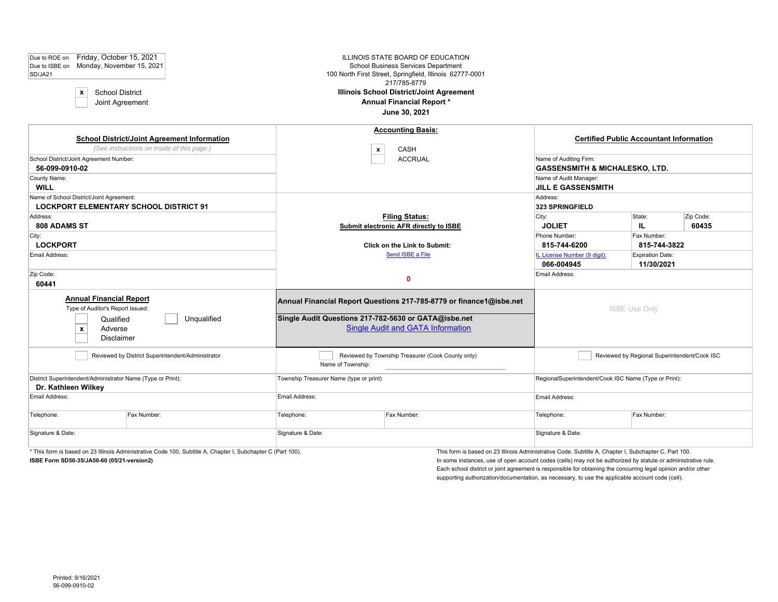| Friday, October 15, 2021<br>Due to ROE on<br>Due to ISBE on Monday, November 15, 2021<br>SD/JA21<br><b>School District</b><br>$\boldsymbol{\mathsf{x}}$<br>Joint Agreement |                                                                                                              |                                         | ILLINOIS STATE BOARD OF EDUCATION<br>School Business Services Department<br>100 North First Street, Springfield, Illinois 62777-0001<br>217/785-8779<br><b>Illinois School District/Joint Agreement</b><br>Annual Financial Report*<br>June 30, 2021 |                                                                                                                            |                                                       |  |  |
|----------------------------------------------------------------------------------------------------------------------------------------------------------------------------|--------------------------------------------------------------------------------------------------------------|-----------------------------------------|------------------------------------------------------------------------------------------------------------------------------------------------------------------------------------------------------------------------------------------------------|----------------------------------------------------------------------------------------------------------------------------|-------------------------------------------------------|--|--|
| School District/Joint Agreement Number:<br>56-099-0910-02<br>County Name:<br><b>WILL</b>                                                                                   | <b>School District/Joint Agreement Information</b><br>(See instructions on inside of this page.)             |                                         | <b>Accounting Basis:</b><br><b>CASH</b><br>$\pmb{\mathsf{x}}$<br><b>ACCRUAL</b>                                                                                                                                                                      | Name of Auditing Firm:<br><b>GASSENSMITH &amp; MICHALESKO, LTD.</b><br>Name of Audit Manager:<br><b>JILL E GASSENSMITH</b> | <b>Certified Public Accountant Information</b>        |  |  |
| Name of School District/Joint Agreement:<br><b>LOCKPORT ELEMENTARY SCHOOL DISTRICT 91</b><br>Address:<br>808 ADAMS ST<br>City:                                             |                                                                                                              |                                         | <b>Filing Status:</b><br>Submit electronic AFR directly to ISBE                                                                                                                                                                                      | Address:<br><b>323 SPRINGFIELD</b><br>City:<br><b>JOLIET</b><br>Phone Number:                                              | State:<br>Zip Code:<br>60435<br>IL.<br>Fax Number:    |  |  |
| <b>LOCKPORT</b><br>Email Address:<br>Zip Code:                                                                                                                             |                                                                                                              |                                         | <b>Click on the Link to Submit:</b><br>Send ISBE a File<br>$\mathbf 0$                                                                                                                                                                               | 815-744-6200<br>IL License Number (9 digit):<br>066-004945<br>Email Address:                                               | 815-744-3822<br><b>Expiration Date:</b><br>11/30/2021 |  |  |
| 60441<br><b>Annual Financial Report</b><br>Type of Auditor's Report Issued:<br>Qualified<br>Adverse<br>$\pmb{\mathsf{x}}$<br><b>Disclaimer</b>                             | Unqualified                                                                                                  |                                         | Annual Financial Report Questions 217-785-8779 or finance1@isbe.net<br>Single Audit Questions 217-782-5630 or GATA@isbe.net<br><b>Single Audit and GATA Information</b>                                                                              |                                                                                                                            | <b>ISBE Use Only</b>                                  |  |  |
|                                                                                                                                                                            | Reviewed by District Superintendent/Administrator                                                            | Name of Township:                       | Reviewed by Township Treasurer (Cook County only)                                                                                                                                                                                                    |                                                                                                                            | Reviewed by Regional Superintendent/Cook ISC          |  |  |
| District Superintendent/Administrator Name (Type or Print):<br>Dr. Kathleen Wilkey                                                                                         |                                                                                                              | Township Treasurer Name (type or print) |                                                                                                                                                                                                                                                      | RegionalSuperintendent/Cook ISC Name (Type or Print):                                                                      |                                                       |  |  |
| Email Address:                                                                                                                                                             |                                                                                                              | Email Address:                          |                                                                                                                                                                                                                                                      | Email Address:                                                                                                             |                                                       |  |  |
| Telephone:                                                                                                                                                                 | Fax Number:                                                                                                  | Telephone:                              | Fax Number:                                                                                                                                                                                                                                          | Telephone:                                                                                                                 | Fax Number:                                           |  |  |
| Signature & Date:                                                                                                                                                          |                                                                                                              | Signature & Date:                       |                                                                                                                                                                                                                                                      | Signature & Date:                                                                                                          |                                                       |  |  |
|                                                                                                                                                                            | * This form is based on 23 Illinois Administrative Code 100, Subtitle A, Chapter I, Subchapter C (Part 100). |                                         |                                                                                                                                                                                                                                                      | This form is based on 23 Illinois Administrative Code, Subtitle A, Chapter I, Subchapter C, Part 100.                      |                                                       |  |  |

**ISBE Form SD50-35/JA50-60 (05/21-version2)** In some instances, use of open account codes (cells) may not be authorized by statute or administrative rule. Each school district or joint agreement is responsible for obtaining the concurring legal opinion and/or other supporting authorization/documentation, as necessary, to use the applicable account code (cell).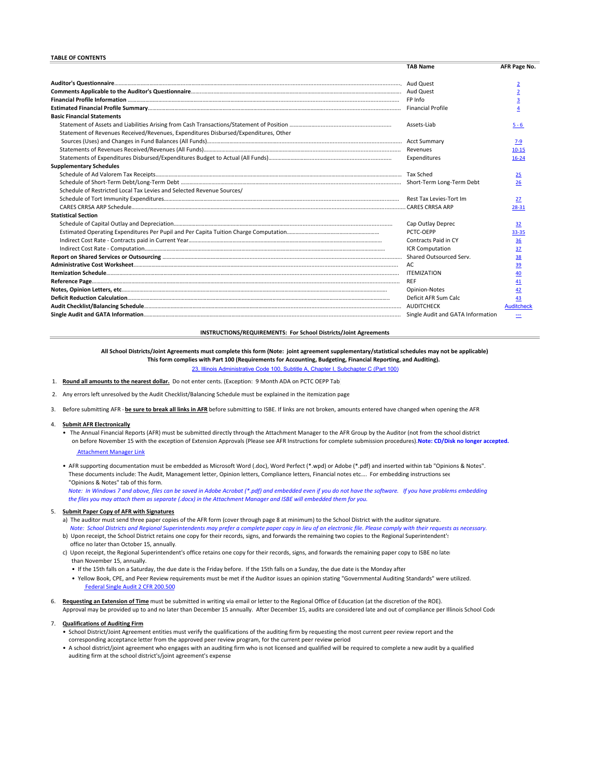#### **TABLE OF CONTENTS**

|                                                                                     | <b>TAB Name</b>         | AFR Page No.      |
|-------------------------------------------------------------------------------------|-------------------------|-------------------|
|                                                                                     | Aud Quest               | $\overline{2}$    |
|                                                                                     |                         | $\overline{2}$    |
|                                                                                     |                         | 3                 |
|                                                                                     |                         |                   |
| <b>Basic Financial Statements</b>                                                   |                         |                   |
|                                                                                     | Assets-Liab             | $5 - 6$           |
| Statement of Revenues Received/Revenues, Expenditures Disbursed/Expenditures, Other |                         |                   |
|                                                                                     |                         | $7-9$             |
|                                                                                     |                         | $10 - 15$         |
|                                                                                     | Expenditures            | $16 - 24$         |
| <b>Supplementary Schedules</b>                                                      |                         |                   |
|                                                                                     |                         | 25                |
|                                                                                     |                         | 26                |
| Schedule of Restricted Local Tax Levies and Selected Revenue Sources/               |                         |                   |
|                                                                                     |                         | 27                |
|                                                                                     |                         | 28-31             |
| <b>Statistical Section</b>                                                          |                         |                   |
|                                                                                     | Cap Outlay Deprec       | 32                |
|                                                                                     | PCTC-OEPP               | 33-35             |
|                                                                                     | Contracts Paid in CY    | 36                |
|                                                                                     | <b>ICR Computation</b>  | 37                |
|                                                                                     | Shared Outsourced Serv. | 38                |
|                                                                                     | AC.                     | 39                |
|                                                                                     | <b>ITEMIZATION</b>      | 40                |
|                                                                                     | <b>REF</b>              | 41                |
|                                                                                     | Opinion-Notes           | 42                |
|                                                                                     | Deficit AFR Sum Calc    | 43                |
|                                                                                     | <b>AUDITCHECK</b>       | <b>Auditcheck</b> |
|                                                                                     |                         | ÷                 |

## **INSTRUCTIONS/REQUIREMENTS: For School Districts/Joint Agreements**

**All School Districts/Joint Agreements must complete this form (Note: joint agreement supplementary/statistical schedules may not be applicable) This form complies with Part 100 (Requirements for Accounting, Budgeting, Financial Reporting, and Auditing).**  23, Ie 100, Subtitle A, Chapter I, Subchapter C (Part 100)

- 1. **Round all amounts to the nearest dollar.** Do not enter cents. (Exception: 9 Month ADA on PCTC OEPP Tab)
- 2. Any errors left unresolved by the Audit Checklist/Balancing Schedule must be explained in the itemization page

3. Before submitting AFR ‐ **be sure to break all links in AFR** before submitting to ISBE. If links are not broken, amounts entered have changed when opening the AFR

#### 4.  **Submit AFR Electronically**

 • The Annual Financial Reports (AFR) must be submitted directly through the Attachment Manager to the AFR Group by the Auditor (not from the school district on before November 15 with the exception of Extension Approvals (Please see AFR Instructions for complete submission procedures). **Note: CD/Disk no longer accepted.** 

Attachment Manager Link

 • AFR supporting documentation must be embedded as Microsoft Word (.doc), Word Perfect (\*.wpd) or Adobe (\*.pdf) and inserted within tab "Opinions & Notes". These documents include: The Audit, Management letter, Opinion letters, Compliance letters, Financial notes etc…. For embedding instructions see "Opinions & Notes" tab of this form.  *Note: In Windows 7 and above, files can be saved in Adobe Acrobat (\*.pdf) and embedded even if you do not have the software. If you have problems embedding* 

 *the files you may attach them as separate (.docx) in the Attachment Manager and ISBE will embedded them for you.*

### 5.  **Submit Paper Copy of AFR with Signatures**

- a) The auditor must send three paper copies of the AFR form (cover through page 8 at minimum) to the School District with the auditor signature.  *Note: School Districts and Regional Superintendents may prefer a complete paper copy in lieu of an electronic file. Please comply with their requests as necessary.*
- b) Upon receipt, the School District retains one copy for their records, signs, and forwards the remaining two copies to the Regional Superintendent's office no later than October 15, annually.
- c) Upon receipt, the Regional Superintendent's office retains one copy for their records, signs, and forwards the remaining paper copy to ISBE no later than November 15, annually.
	- If the 15th falls on a Saturday, the due date is the Friday before. If the 15th falls on a Sunday, the due date is the Monday after
	- Yellow Book, CPE, and Peer Review requirements must be met if the Auditor issues an opinion stating "Governmental Auditing Standards" were utilized. Federal Single Audit 2 CFR 200.500
- 6.  **Requesting an Extension of Time** must be submitted in writing via email or letter to the Regional Office of Education (at the discretion of the ROE). Approval may be provided up to and no later than December 15 annually. After December 15, audits are considered late and out of compliance per Illinois School Code

#### 7.  **Qualifications of Auditing Firm**

- • School District/Joint Agreement entities must verify the qualifications of the auditing firm by requesting the most current peer review report and the corresponding acceptance letter from the approved peer review program, for the current peer review period
- • A school district/joint agreement who engages with an auditing firm who is not licensed and qualified will be required to complete a new audit by a qualified auditing firm at the school district's/joint agreement's expense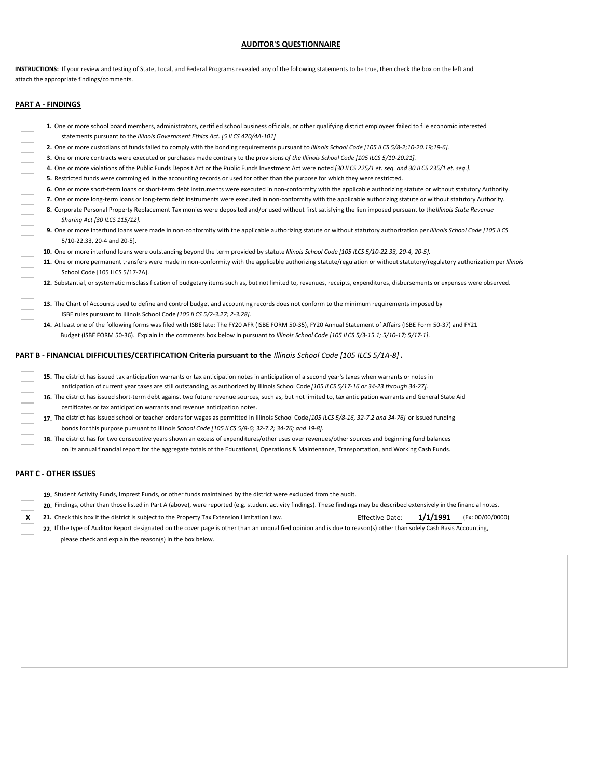# **AUDITOR'S QUESTIONNAIRE**

**INSTRUCTIONS:**  If your review and testing of State, Local, and Federal Programs revealed any of the following statements to be true, then check the box on the left and attach the appropriate findings/comments.

# **PART A ‐ FINDINGS**

| 1. One or more school board members, administrators, certified school business officials, or other qualifying district employees failed to file economic interested                                                    |
|------------------------------------------------------------------------------------------------------------------------------------------------------------------------------------------------------------------------|
| statements pursuant to the Illinois Government Ethics Act. [5 ILCS 420/4A-101]                                                                                                                                         |
| 2. One or more custodians of funds failed to comply with the bonding requirements pursuant to Illinois School Code [105 ILCS 5/8-2;10-20.19;19-6].                                                                     |
| 3. One or more contracts were executed or purchases made contrary to the provisions of the Illinois School Code [105 ILCS 5/10-20.21].                                                                                 |
| 4. One or more violations of the Public Funds Deposit Act or the Public Funds Investment Act were noted [30 ILCS 225/1 et. seq. and 30 ILCS 235/1 et. seq.].                                                           |
| 5. Restricted funds were commingled in the accounting records or used for other than the purpose for which they were restricted.                                                                                       |
| 6. One or more short-term loans or short-term debt instruments were executed in non-conformity with the applicable authorizing statute or without statutory Authority.                                                 |
| 7. One or more long-term loans or long-term debt instruments were executed in non-conformity with the applicable authorizing statute or without statutory Authority.                                                   |
| 8. Corporate Personal Property Replacement Tax monies were deposited and/or used without first satisfying the lien imposed pursuant to the Illinois State Revenue<br>Sharing Act [30 ILCS 115/12].                     |
| 9. One or more interfund loans were made in non-conformity with the applicable authorizing statute or without statutory authorization per Illinois School Code [105 ILCS<br>5/10-22.33, 20-4 and 20-5].                |
| 10. One or more interfund loans were outstanding beyond the term provided by statute Illinois School Code [105 ILCS 5/10-22.33, 20-4, 20-5].                                                                           |
| 11. One or more permanent transfers were made in non-conformity with the applicable authorizing statute/regulation or without statutory/regulatory authorization per Illinois<br>School Code [105 ILCS 5/17-2A].       |
| 12. Substantial, or systematic misclassification of budgetary items such as, but not limited to, revenues, receipts, expenditures, disbursements or expenses were observed.                                            |
| 13. The Chart of Accounts used to define and control budget and accounting records does not conform to the minimum requirements imposed by<br>ISBE rules pursuant to Illinois School Code [105 ILCS 5/2-3.27; 2-3.28]. |
| 14. At least one of the following forms was filed with ISBE late: The FY20 AFR (ISBE FORM 50-35), FY20 Annual Statement of Affairs (ISBE Form 50-37) and FY21                                                          |
| Budget (ISBE FORM 50-36). Explain in the comments box below in pursuant to Illinois School Code [105 ILCS 5/3-15.1; 5/10-17; 5/17-1].                                                                                  |
| PART B - FINANCIAL DIFFICULTIES/CERTIFICATION Criteria pursuant to the Illinois School Code [105 ILCS 5/1A-8].                                                                                                         |
| 15. The district has issued tax anticipation warrants or tax anticipation notes in anticipation of a second year's taxes when warrants or notes in                                                                     |
| anticipation of current year taxes are still outstanding, as authorized by Illinois School Code [105 ILCS 5/17-16 or 34-23 through 34-27].                                                                             |
| 16. The district has issued short-term debt against two future revenue sources, such as, but not limited to, tax anticipation warrants and General State Aid                                                           |
| certificates or tax anticipation warrants and revenue anticipation notes.                                                                                                                                              |
| 17. The district has issued school or teacher orders for wages as permitted in Illinois School Code [105 ILCS 5/8-16, 32-7.2 and 34-76] or issued funding                                                              |
| bonds for this purpose pursuant to Illinois School Code [105 ILCS 5/8-6; 32-7.2; 34-76; and 19-8].                                                                                                                     |

**18.** The district has for two consecutive years shown an excess of expenditures/other uses over revenues/other sources and beginning fund balances on its annual financial report for the aggregate totals of the Educational, Operations & Maintenance, Transportation, and Working Cash Funds.

## **PART C ‐ OTHER ISSUES**

- **19.** Student Activity Funds, Imprest Funds, or other funds maintained by the district were excluded from the audit.
- **20.** Findings, other than those listed in Part A (above), were reported (e.g. student activity findings). These findings may be described extensively in the financial notes.
- **X 21.** Check this box if the district is subject to the Property Tax Extension Limitation Law. **Effective Date: 1/1/1991** (Ex: 00/00/0000)
	-
	- **22.** If the type of Auditor Report designated on the cover page is other than an unqualified opinion and is due to reason(s) other than solely Cash Basis Accounting, please check and explain the reason(s) in the box below.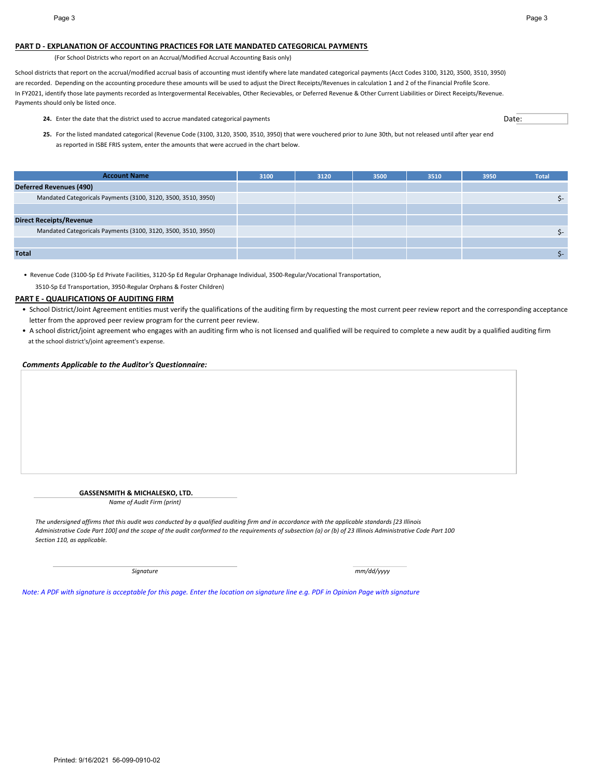## **PART D ‐ EXPLANATION OF ACCOUNTING PRACTICES FOR LATE MANDATED CATEGORICAL PAYMENTS**

(For School Districts who report on an Accrual/Modified Accrual Accounting Basis only)

School districts that report on the accrual/modified accrual basis of accounting must identify where late mandated categorical payments (Acct Codes 3100, 3120, 3500, 3510, 3950) are recorded. Depending on the accounting procedure these amounts will be used to adjust the Direct Receipts/Revenues in calculation 1 and 2 of the Financial Profile Score. In FY2021, identify those late payments recorded as Intergovermental Receivables, Other Recievables, or Deferred Revenue & Other Current Liabilities or Direct Receipts/Revenue. Payments should only be listed once.

24. Enter the date that the district used to accrue mandated categorical payments contained as a state of the state of Date:

**25.** For the listed mandated categorical (Revenue Code (3100, 3120, 3500, 3510, 3950) that were vouchered prior to June 30th, but not released until after year end as reported in ISBE FRIS system, enter the amounts that were accrued in the chart below.

| <b>Account Name</b>                                           | 3100 | 3120 | 3500 | 3510 | 3950 | <b>Total</b> |
|---------------------------------------------------------------|------|------|------|------|------|--------------|
| <b>Deferred Revenues (490)</b>                                |      |      |      |      |      |              |
| Mandated Categoricals Payments (3100, 3120, 3500, 3510, 3950) |      |      |      |      |      | S-           |
|                                                               |      |      |      |      |      |              |
| <b>Direct Receipts/Revenue</b>                                |      |      |      |      |      |              |
| Mandated Categoricals Payments (3100, 3120, 3500, 3510, 3950) |      |      |      |      |      | Տ-           |
|                                                               |      |      |      |      |      |              |
| <b>Total</b>                                                  |      |      |      |      |      |              |

• Revenue Code (3100‐Sp Ed Private Facilities, 3120‐Sp Ed Regular Orphanage Individual, 3500‐Regular/Vocational Transportation,

3510‐Sp Ed Transportation, 3950‐Regular Orphans & Foster Children)

# **PART E ‐ QUALIFICATIONS OF AUDITING FIRM**

- School District/Joint Agreement entities must verify the qualifications of the auditing firm by requesting the most current peer review report and the corresponding acceptance letter from the approved peer review program for the current peer review.
- A school district/joint agreement who engages with an auditing firm who is not licensed and qualified will be required to complete a new audit by a qualified auditing firm at the school district's/joint agreement's expense.

## *Comments Applicable to the Auditor's Questionnaire:*

**GASSENSMITH & MICHALESKO, LTD.**

*Name of Audit Firm (print)*

*The undersigned affirms that this audit was conducted by a qualified auditing firm and in accordance with the applicable standards [23 Illinois Administrative Code Part 100] and the scope of the audit conformed to the requirements of subsection (a) or (b) of 23 Illinois Administrative Code Part 100 Section 110, as applicable.*

*Signature mm/dd/yyyy*

*Note: A PDF with signature is acceptable for this page. Enter the location on signature line e.g. PDF in Opinion Page with signature*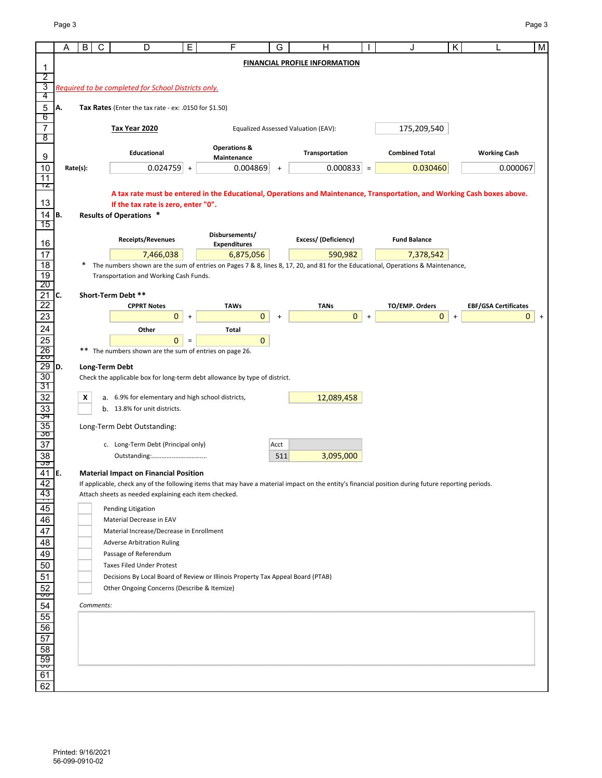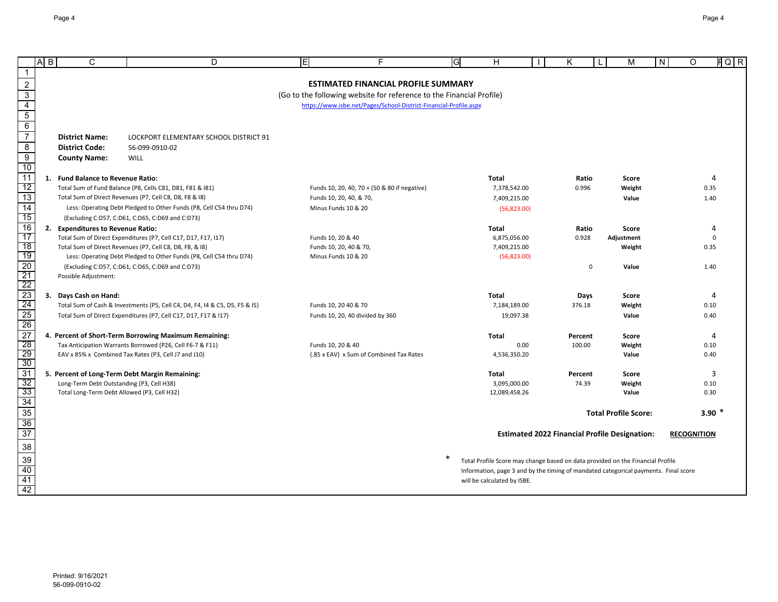|                                                                         | A <sub>B</sub> | C                                                                                        | D                                                                                                                          | ΙEΙ                                         | F                                                                    | G | Н                                                                                   | Κ       |             | M                                                    | N | O                  | $FQ$ R        |
|-------------------------------------------------------------------------|----------------|------------------------------------------------------------------------------------------|----------------------------------------------------------------------------------------------------------------------------|---------------------------------------------|----------------------------------------------------------------------|---|-------------------------------------------------------------------------------------|---------|-------------|------------------------------------------------------|---|--------------------|---------------|
|                                                                         |                |                                                                                          |                                                                                                                            |                                             |                                                                      |   |                                                                                     |         |             |                                                      |   |                    |               |
| $\sqrt{2}$                                                              |                |                                                                                          |                                                                                                                            |                                             | <b>ESTIMATED FINANCIAL PROFILE SUMMARY</b>                           |   |                                                                                     |         |             |                                                      |   |                    |               |
| $\frac{3}{4}$ $\frac{4}{5}$ $\frac{6}{7}$                               |                |                                                                                          |                                                                                                                            |                                             | (Go to the following website for reference to the Financial Profile) |   |                                                                                     |         |             |                                                      |   |                    |               |
|                                                                         |                |                                                                                          |                                                                                                                            |                                             | https://www.isbe.net/Pages/School-District-Financial-Profile.aspx    |   |                                                                                     |         |             |                                                      |   |                    |               |
|                                                                         |                |                                                                                          |                                                                                                                            |                                             |                                                                      |   |                                                                                     |         |             |                                                      |   |                    |               |
|                                                                         |                | <b>District Name:</b>                                                                    | LOCKPORT ELEMENTARY SCHOOL DISTRICT 91                                                                                     |                                             |                                                                      |   |                                                                                     |         |             |                                                      |   |                    |               |
| $\overline{8}$                                                          |                | <b>District Code:</b>                                                                    | 56-099-0910-02                                                                                                             |                                             |                                                                      |   |                                                                                     |         |             |                                                      |   |                    |               |
| $\overline{9}$                                                          |                | <b>County Name:</b>                                                                      | <b>WILL</b>                                                                                                                |                                             |                                                                      |   |                                                                                     |         |             |                                                      |   |                    |               |
| 10                                                                      |                |                                                                                          |                                                                                                                            |                                             |                                                                      |   |                                                                                     |         |             |                                                      |   |                    |               |
| $\overline{11}$                                                         |                | 1. Fund Balance to Revenue Ratio:                                                        |                                                                                                                            |                                             |                                                                      |   | Total                                                                               | Ratio   |             | Score                                                |   |                    | 4             |
| 12                                                                      |                |                                                                                          | Total Sum of Fund Balance (P8, Cells C81, D81, F81 & I81)                                                                  |                                             | Funds 10, 20, 40, 70 + (50 & 80 if negative)                         |   | 7,378,542.00                                                                        | 0.996   |             | Weight                                               |   |                    | 0.35          |
| $\overline{13}$                                                         |                |                                                                                          | Total Sum of Direct Revenues (P7, Cell C8, D8, F8 & I8)                                                                    | Funds 10, 20, 40, & 70,                     |                                                                      |   | 7,409,215.00                                                                        |         |             | Value                                                |   |                    | 1.40          |
| $\overline{14}$                                                         |                |                                                                                          | Less: Operating Debt Pledged to Other Funds (P8, Cell C54 thru D74)                                                        | Minus Funds 10 & 20                         |                                                                      |   | (56,823.00)                                                                         |         |             |                                                      |   |                    |               |
| 15                                                                      |                |                                                                                          | (Excluding C:D57, C:D61, C:D65, C:D69 and C:D73)                                                                           |                                             |                                                                      |   |                                                                                     |         |             |                                                      |   |                    |               |
| $\overline{16}$<br>17                                                   |                | 2. Expenditures to Revenue Ratio:                                                        |                                                                                                                            |                                             |                                                                      |   | Total                                                                               | Ratio   |             | <b>Score</b>                                         |   |                    | 4<br>$\Omega$ |
| 18                                                                      |                |                                                                                          | Total Sum of Direct Expenditures (P7, Cell C17, D17, F17, I17)<br>Total Sum of Direct Revenues (P7, Cell C8, D8, F8, & I8) | Funds 10, 20 & 40<br>Funds 10, 20, 40 & 70, |                                                                      |   | 6,875,056.00<br>7,409,215.00                                                        | 0.928   |             | Adjustment<br>Weight                                 |   |                    | 0.35          |
| 19                                                                      |                |                                                                                          | Less: Operating Debt Pledged to Other Funds (P8, Cell C54 thru D74)                                                        | Minus Funds 10 & 20                         |                                                                      |   | (56,823.00)                                                                         |         |             |                                                      |   |                    |               |
|                                                                         |                |                                                                                          | (Excluding C:D57, C:D61, C:D65, C:D69 and C:D73)                                                                           |                                             |                                                                      |   |                                                                                     |         | $\mathbf 0$ | Value                                                |   |                    | 1.40          |
| 20<br>21<br>22<br>23<br>24<br>25<br>26<br>27<br>28                      |                | Possible Adjustment:                                                                     |                                                                                                                            |                                             |                                                                      |   |                                                                                     |         |             |                                                      |   |                    |               |
|                                                                         |                |                                                                                          |                                                                                                                            |                                             |                                                                      |   |                                                                                     |         |             |                                                      |   |                    |               |
|                                                                         |                | 3. Days Cash on Hand:                                                                    |                                                                                                                            |                                             |                                                                      |   | Total                                                                               | Days    |             | Score                                                |   |                    | 4             |
|                                                                         |                |                                                                                          | Total Sum of Cash & Investments (P5, Cell C4, D4, F4, I4 & C5, D5, F5 & I5)                                                | Funds 10, 20 40 & 70                        |                                                                      |   | 7,184,189.00                                                                        | 376.18  |             | Weight                                               |   |                    | 0.10          |
|                                                                         |                |                                                                                          | Total Sum of Direct Expenditures (P7, Cell C17, D17, F17 & I17)                                                            |                                             | Funds 10, 20, 40 divided by 360                                      |   | 19,097.38                                                                           |         |             | Value                                                |   |                    | 0.40          |
|                                                                         |                |                                                                                          | 4. Percent of Short-Term Borrowing Maximum Remaining:                                                                      |                                             |                                                                      |   | Total                                                                               | Percent |             | Score                                                |   |                    | 4             |
|                                                                         |                |                                                                                          | Tax Anticipation Warrants Borrowed (P26, Cell F6-7 & F11)                                                                  | Funds 10, 20 & 40                           |                                                                      |   | 0.00                                                                                | 100.00  |             | Weight                                               |   |                    | 0.10          |
|                                                                         |                |                                                                                          | EAV x 85% x Combined Tax Rates (P3, Cell J7 and J10)                                                                       |                                             | (.85 x EAV) x Sum of Combined Tax Rates                              |   | 4,536,350.20                                                                        |         |             | Value                                                |   |                    | 0.40          |
| 30<br>31                                                                |                |                                                                                          |                                                                                                                            |                                             |                                                                      |   |                                                                                     |         |             |                                                      |   |                    |               |
|                                                                         |                |                                                                                          | 5. Percent of Long-Term Debt Margin Remaining:                                                                             |                                             |                                                                      |   | Total                                                                               | Percent |             | Score                                                |   |                    | 3             |
| 32<br>33                                                                |                | Long-Term Debt Outstanding (P3, Cell H38)<br>Total Long-Term Debt Allowed (P3, Cell H32) |                                                                                                                            |                                             |                                                                      |   | 3,095,000.00<br>12,089,458.26                                                       | 74.39   |             | Weight<br>Value                                      |   |                    | 0.10<br>0.30  |
|                                                                         |                |                                                                                          |                                                                                                                            |                                             |                                                                      |   |                                                                                     |         |             |                                                      |   |                    |               |
|                                                                         |                |                                                                                          |                                                                                                                            |                                             |                                                                      |   |                                                                                     |         |             | <b>Total Profile Score:</b>                          |   |                    | 3.90 $*$      |
|                                                                         |                |                                                                                          |                                                                                                                            |                                             |                                                                      |   |                                                                                     |         |             |                                                      |   |                    |               |
| $\frac{34}{35} \frac{36}{37} \frac{38}{39} \frac{38}{40} \frac{40}{42}$ |                |                                                                                          |                                                                                                                            |                                             |                                                                      |   |                                                                                     |         |             | <b>Estimated 2022 Financial Profile Designation:</b> |   | <b>RECOGNITION</b> |               |
|                                                                         |                |                                                                                          |                                                                                                                            |                                             |                                                                      |   |                                                                                     |         |             |                                                      |   |                    |               |
|                                                                         |                |                                                                                          |                                                                                                                            |                                             |                                                                      | ∗ | Total Profile Score may change based on data provided on the Financial Profile      |         |             |                                                      |   |                    |               |
|                                                                         |                |                                                                                          |                                                                                                                            |                                             |                                                                      |   | Information, page 3 and by the timing of mandated categorical payments. Final score |         |             |                                                      |   |                    |               |
|                                                                         |                |                                                                                          |                                                                                                                            |                                             |                                                                      |   | will be calculated by ISBE.                                                         |         |             |                                                      |   |                    |               |
|                                                                         |                |                                                                                          |                                                                                                                            |                                             |                                                                      |   |                                                                                     |         |             |                                                      |   |                    |               |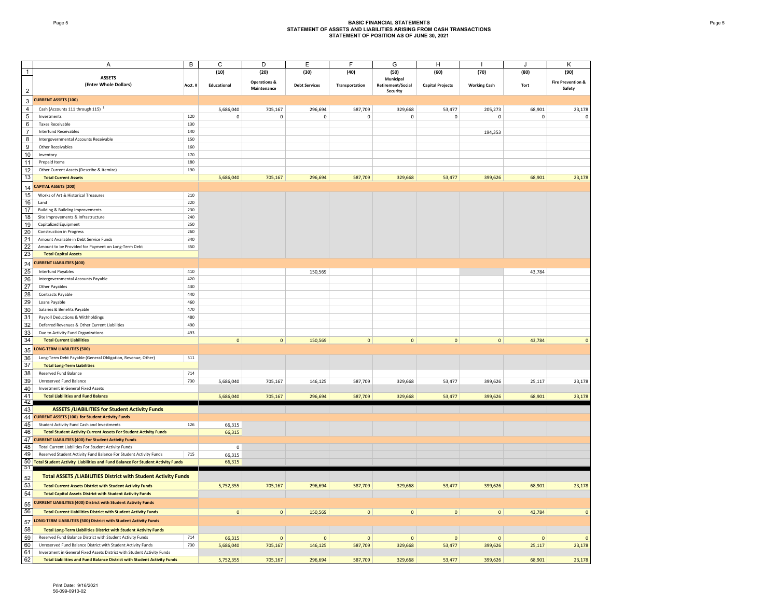#### Page 5 **BASIC FINANCIAL STATEMENTS STATEMENT OF ASSETS AND LIABILITIES ARISING FROM CASH TRANSACTIONS STATEMENT OF POSITION AS OF JUNE 30, 2021**

|                         | A                                                                                 | $\overline{B}$ | C            | $\overline{D}$          | Ε                    | F              | G                             | H                       |                     |           | K                            |
|-------------------------|-----------------------------------------------------------------------------------|----------------|--------------|-------------------------|----------------------|----------------|-------------------------------|-------------------------|---------------------|-----------|------------------------------|
|                         |                                                                                   |                |              |                         |                      |                |                               |                         |                     |           |                              |
| $\overline{1}$          | <b>ASSETS</b>                                                                     |                | (10)         | (20)                    | (30)                 | (40)           | (50)                          | (60)                    | (70)                | (80)      | (90)                         |
|                         | (Enter Whole Dollars)                                                             |                |              | <b>Operations &amp;</b> |                      |                | Municipal                     |                         |                     |           | <b>Fire Prevention &amp;</b> |
| $\overline{2}$          |                                                                                   | Acct.#         | Educational  | Maintenance             | <b>Debt Services</b> | Transportation | Retirement/Social<br>Security | <b>Capital Projects</b> | <b>Working Cash</b> | Tort      | Safety                       |
|                         |                                                                                   |                |              |                         |                      |                |                               |                         |                     |           |                              |
| $\mathsf 3$             | <b>CURRENT ASSETS (100)</b>                                                       |                |              |                         |                      |                |                               |                         |                     |           |                              |
| $\overline{4}$          | Cash (Accounts 111 through 115) <sup>1</sup>                                      |                | 5,686,040    | 705,167                 | 296,694              | 587,709        | 329,668                       | 53,477                  | 205,273             | 68,901    | 23,178                       |
| $\sqrt{5}$              | Investments                                                                       | 120            | 0            | 0                       | $\mathbf 0$          | $\mathbf 0$    | 0                             | $\mathbf 0$             | $\pmb{0}$           | $\pmb{0}$ | $\pmb{0}$                    |
| $6\phantom{1}6$         | <b>Taxes Receivable</b>                                                           | 130            |              |                         |                      |                |                               |                         |                     |           |                              |
|                         |                                                                                   |                |              |                         |                      |                |                               |                         |                     |           |                              |
| $\overline{7}$          | <b>Interfund Receivables</b>                                                      | 140            |              |                         |                      |                |                               |                         | 194,353             |           |                              |
| $\overline{\mathbf{8}}$ | Intergovernmental Accounts Receivable                                             | 150            |              |                         |                      |                |                               |                         |                     |           |                              |
| 9                       | Other Receivables                                                                 | 160            |              |                         |                      |                |                               |                         |                     |           |                              |
| 10                      | Inventory                                                                         | 170            |              |                         |                      |                |                               |                         |                     |           |                              |
| 11                      | Prepaid Items                                                                     | 180            |              |                         |                      |                |                               |                         |                     |           |                              |
| 12                      | Other Current Assets (Describe & Itemize)                                         | 190            |              |                         |                      |                |                               |                         |                     |           |                              |
| 13                      | <b>Total Current Assets</b>                                                       |                | 5,686,040    | 705,167                 | 296,694              | 587,709        | 329,668                       | 53,477                  | 399,626             | 68,901    | 23,178                       |
|                         |                                                                                   |                |              |                         |                      |                |                               |                         |                     |           |                              |
| 14                      | <b>CAPITAL ASSETS (200)</b>                                                       |                |              |                         |                      |                |                               |                         |                     |           |                              |
| 15                      | Works of Art & Historical Treasures                                               | 210            |              |                         |                      |                |                               |                         |                     |           |                              |
| 16                      | Land                                                                              | 220            |              |                         |                      |                |                               |                         |                     |           |                              |
| 17                      | <b>Building &amp; Building Improvements</b>                                       | 230            |              |                         |                      |                |                               |                         |                     |           |                              |
| 18                      | Site Improvements & Infrastructure                                                | 240            |              |                         |                      |                |                               |                         |                     |           |                              |
| 19                      | Capitalized Equipment                                                             | 250            |              |                         |                      |                |                               |                         |                     |           |                              |
|                         |                                                                                   |                |              |                         |                      |                |                               |                         |                     |           |                              |
| 20                      | <b>Construction in Progress</b>                                                   | 260            |              |                         |                      |                |                               |                         |                     |           |                              |
| 21                      | Amount Available in Debt Service Funds                                            | 340            |              |                         |                      |                |                               |                         |                     |           |                              |
| 22                      | Amount to be Provided for Payment on Long-Term Debt                               | 350            |              |                         |                      |                |                               |                         |                     |           |                              |
| 23                      | <b>Total Capital Assets</b>                                                       |                |              |                         |                      |                |                               |                         |                     |           |                              |
| 24                      | <b>CURRENT LIABILITIES (400)</b>                                                  |                |              |                         |                      |                |                               |                         |                     |           |                              |
| 25                      | <b>Interfund Payables</b>                                                         | 410            |              |                         | 150,569              |                |                               |                         |                     | 43,784    |                              |
|                         |                                                                                   |                |              |                         |                      |                |                               |                         |                     |           |                              |
| 26                      | Intergovernmental Accounts Payable                                                | 420            |              |                         |                      |                |                               |                         |                     |           |                              |
| 27                      | Other Payables                                                                    | 430            |              |                         |                      |                |                               |                         |                     |           |                              |
| 28                      | Contracts Payable                                                                 | 440            |              |                         |                      |                |                               |                         |                     |           |                              |
| 29                      | Loans Payable                                                                     | 460            |              |                         |                      |                |                               |                         |                     |           |                              |
| 30                      | Salaries & Benefits Payable                                                       | 470            |              |                         |                      |                |                               |                         |                     |           |                              |
| 31                      | Payroll Deductions & Withholdings                                                 | 480            |              |                         |                      |                |                               |                         |                     |           |                              |
| 32                      | Deferred Revenues & Other Current Liabilities                                     | 490            |              |                         |                      |                |                               |                         |                     |           |                              |
|                         |                                                                                   |                |              |                         |                      |                |                               |                         |                     |           |                              |
| 33                      | Due to Activity Fund Organizations                                                | 493            |              |                         |                      |                |                               |                         |                     |           |                              |
| 34                      | <b>Total Current Liabilities</b>                                                  |                | $\mathbf 0$  | $\mathbf{0}$            | 150,569              | $\mathbf 0$    | $\overline{0}$                | $\mathbf{O}$            | $\mathbf{0}$        | 43,784    | $\mathbf{0}$                 |
| 35                      | <b>LONG-TERM LIABILITIES (500)</b>                                                |                |              |                         |                      |                |                               |                         |                     |           |                              |
| 36                      | Long-Term Debt Payable (General Obligation, Revenue, Other)                       | 511            |              |                         |                      |                |                               |                         |                     |           |                              |
| 37                      | <b>Total Long-Term Liabilities</b>                                                |                |              |                         |                      |                |                               |                         |                     |           |                              |
|                         |                                                                                   |                |              |                         |                      |                |                               |                         |                     |           |                              |
| 38                      | <b>Reserved Fund Balance</b>                                                      | 714            |              |                         |                      |                |                               |                         |                     |           |                              |
| 39                      | Unreserved Fund Balance                                                           | 730            | 5,686,040    | 705,167                 | 146,125              | 587,709        | 329,668                       | 53,477                  | 399,626             | 25,117    | 23,178                       |
| 40                      | Investment in General Fixed Assets                                                |                |              |                         |                      |                |                               |                         |                     |           |                              |
| 41                      | <b>Total Liabilities and Fund Balance</b>                                         |                | 5,686,040    | 705,167                 | 296,694              | 587,709        | 329,668                       | 53,477                  | 399,626             | 68,901    | 23,178                       |
| 42                      |                                                                                   |                |              |                         |                      |                |                               |                         |                     |           |                              |
| 43                      | <b>ASSETS /LIABILITIES for Student Activity Funds</b>                             |                |              |                         |                      |                |                               |                         |                     |           |                              |
| 44                      | <b>CURRENT ASSETS (100) for Student Activity Funds</b>                            |                |              |                         |                      |                |                               |                         |                     |           |                              |
| 45                      | Student Activity Fund Cash and Investments                                        | 126            | 66,315       |                         |                      |                |                               |                         |                     |           |                              |
| 46                      | <b>Total Student Activity Current Assets For Student Activity Funds</b>           |                | 66,315       |                         |                      |                |                               |                         |                     |           |                              |
| 47                      | <b>CURRENT LIABILITIES (400) For Student Activity Funds</b>                       |                |              |                         |                      |                |                               |                         |                     |           |                              |
| 48                      | Total Current Liabilities For Student Activity Funds                              |                | $\mathbf 0$  |                         |                      |                |                               |                         |                     |           |                              |
| 49                      | Reserved Student Activity Fund Balance For Student Activity Funds                 | 715            |              |                         |                      |                |                               |                         |                     |           |                              |
|                         |                                                                                   |                | 66,315       |                         |                      |                |                               |                         |                     |           |                              |
| 51                      | 50 Total Student Activity Liabilities and Fund Balance For Student Activity Funds |                | 66,315       |                         |                      |                |                               |                         |                     |           |                              |
|                         |                                                                                   |                |              |                         |                      |                |                               |                         |                     |           |                              |
| 52                      | <b>Total ASSETS /LIABILITIES District with Student Activity Funds</b>             |                |              |                         |                      |                |                               |                         |                     |           |                              |
| 53                      | <b>Total Current Assets District with Student Activity Funds</b>                  |                | 5,752,355    | 705,167                 | 296,694              | 587,709        | 329,668                       | 53,477                  | 399,626             | 68,901    | 23,178                       |
| 54                      | <b>Total Capital Assets District with Student Activity Funds</b>                  |                |              |                         |                      |                |                               |                         |                     |           |                              |
|                         | <b>CURRENT LIABILITIES (400) District with Student Activity Funds</b>             |                |              |                         |                      |                |                               |                         |                     |           |                              |
| 55                      |                                                                                   |                |              |                         |                      |                |                               |                         |                     |           |                              |
| 56                      | <b>Total Current Liabilities District with Student Activity Funds</b>             |                | $\mathbf{0}$ | $\overline{0}$          | 150,569              | $\mathbf 0$    | $\circ$                       | $\mathbf{0}$            | $\circ$             | 43,784    | $\mathbf{0}$                 |
| 57                      | LONG-TERM LIABILITIES (500) District with Student Activity Funds                  |                |              |                         |                      |                |                               |                         |                     |           |                              |
|                         |                                                                                   |                |              |                         |                      |                |                               |                         |                     |           |                              |
| 58                      | <b>Total Long-Term Liabilities District with Student Activity Funds</b>           |                |              |                         |                      |                |                               |                         |                     |           |                              |
| 59                      | Reserved Fund Balance District with Student Activity Funds                        | 714            | 66,315       | $\mathbf 0$             | $\mathbf{0}$         | $\mathbf{0}$   | $\mathbf{0}$                  | $\mathbf 0$             | $\mathbf{0}$        | $\Omega$  | $\mathbf{0}$                 |
| 60                      | Unreserved Fund Balance District with Student Activity Funds                      | 730            | 5,686,040    | 705,167                 | 146,125              | 587,709        | 329,668                       | 53,477                  | 399,626             | 25,117    | 23,178                       |
| 61                      | Investment in General Fixed Assets District with Student Activity Funds           |                |              |                         |                      |                |                               |                         |                     |           |                              |
| 62                      | <b>Total Liabilities and Fund Balance District with Student Activity Funds</b>    |                | 5,752,355    | 705,167                 | 296,694              | 587,709        | 329.668                       | 53,477                  | 399,626             | 68.901    | 23,178                       |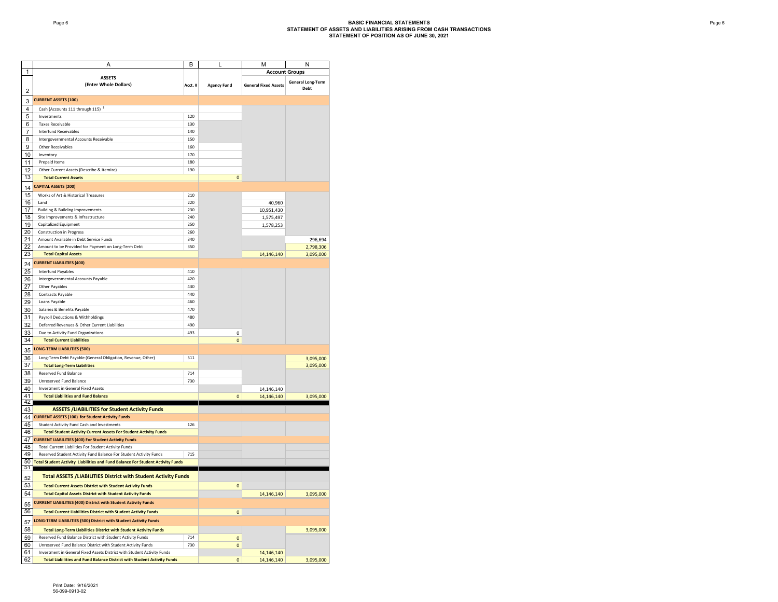|                |                                                                                   | в      |                    |                             | N                        |
|----------------|-----------------------------------------------------------------------------------|--------|--------------------|-----------------------------|--------------------------|
| 1              |                                                                                   |        |                    | <b>Account Groups</b>       |                          |
|                | <b>ASSETS</b>                                                                     |        |                    |                             |                          |
|                | (Enter Whole Dollars)                                                             | Acct.# | <b>Agency Fund</b> | <b>General Fixed Assets</b> | <b>General Long-Term</b> |
| $\overline{2}$ |                                                                                   |        |                    |                             | Debt                     |
|                |                                                                                   |        |                    |                             |                          |
| 3              | <b>CURRENT ASSETS (100)</b>                                                       |        |                    |                             |                          |
| 4              | Cash (Accounts 111 through 115) <sup>1</sup>                                      |        |                    |                             |                          |
| 5              | Investments                                                                       | 120    |                    |                             |                          |
|                |                                                                                   |        |                    |                             |                          |
| 6              | <b>Taxes Receivable</b>                                                           | 130    |                    |                             |                          |
| $\overline{7}$ | <b>Interfund Receivables</b>                                                      | 140    |                    |                             |                          |
| 8              | Intergovernmental Accounts Receivable                                             | 150    |                    |                             |                          |
|                |                                                                                   |        |                    |                             |                          |
| 9              | Other Receivables                                                                 | 160    |                    |                             |                          |
| 10             | Inventory                                                                         | 170    |                    |                             |                          |
| 11             | Prepaid Items                                                                     | 180    |                    |                             |                          |
| 12             | Other Current Assets (Describe & Itemize)                                         | 190    |                    |                             |                          |
|                |                                                                                   |        |                    |                             |                          |
| 13             | <b>Total Current Assets</b>                                                       |        | $\Omega$           |                             |                          |
| 14             | CAPITAL ASSETS (200)                                                              |        |                    |                             |                          |
|                |                                                                                   |        |                    |                             |                          |
| 15             | Works of Art & Historical Treasures                                               | 210    |                    |                             |                          |
| 16             | Land                                                                              | 220    |                    | 40,960                      |                          |
| 17             | <b>Building &amp; Building Improvements</b>                                       | 230    |                    | 10,951,430                  |                          |
| 18             | Site Improvements & Infrastructure                                                | 240    |                    |                             |                          |
|                |                                                                                   |        |                    | 1,575,497                   |                          |
| 19             | Capitalized Equipment                                                             | 250    |                    | 1,578,253                   |                          |
| 20             | <b>Construction in Progress</b>                                                   | 260    |                    |                             |                          |
| 21             | Amount Available in Debt Service Funds                                            | 340    |                    |                             | 296,694                  |
| 22             | Amount to be Provided for Payment on Long-Term Debt                               | 350    |                    |                             |                          |
|                |                                                                                   |        |                    |                             | 2,798,306                |
| 23             | <b>Total Capital Assets</b>                                                       |        |                    | 14,146,140                  | 3,095,000                |
| 24             | <b>CURRENT LIABILITIES (400)</b>                                                  |        |                    |                             |                          |
|                |                                                                                   |        |                    |                             |                          |
| 25             | <b>Interfund Pavables</b>                                                         | 410    |                    |                             |                          |
| 26             | Intergovernmental Accounts Payable                                                | 420    |                    |                             |                          |
| 27             | Other Payables                                                                    | 430    |                    |                             |                          |
| 28             |                                                                                   | 440    |                    |                             |                          |
|                | Contracts Payable                                                                 |        |                    |                             |                          |
| 29             | Loans Payable                                                                     | 460    |                    |                             |                          |
| 30             | Salaries & Benefits Payable                                                       | 470    |                    |                             |                          |
| 31             | Payroll Deductions & Withholdings                                                 | 480    |                    |                             |                          |
|                |                                                                                   |        |                    |                             |                          |
| 32             | Deferred Revenues & Other Current Liabilities                                     | 490    |                    |                             |                          |
| 33             | Due to Activity Fund Organizations                                                | 493    | 0                  |                             |                          |
| 34             | <b>Total Current Liabilities</b>                                                  |        | 0                  |                             |                          |
|                |                                                                                   |        |                    |                             |                          |
| 35             | LONG-TERM LIABILITIES (500)                                                       |        |                    |                             |                          |
| 36             | Long-Term Debt Payable (General Obligation, Revenue, Other)                       | 511    |                    |                             | 3,095,000                |
| 37             |                                                                                   |        |                    |                             |                          |
|                | <b>Total Long-Term Liabilities</b>                                                |        |                    |                             | 3,095,000                |
| 38             | <b>Reserved Fund Balance</b>                                                      | 714    |                    |                             |                          |
| 39             | Unreserved Fund Balance                                                           | 730    |                    |                             |                          |
| 40             | <b>Investment in General Fixed Assets</b>                                         |        |                    | 14,146,140                  |                          |
|                |                                                                                   |        |                    |                             |                          |
| 41             | <b>Total Liabilities and Fund Balance</b>                                         |        | $\Omega$           | 14,146,140                  | 3,095,000                |
| 42             |                                                                                   |        |                    |                             |                          |
| 43             | <b>ASSETS /LIABILITIES for Student Activity Funds</b>                             |        |                    |                             |                          |
| 44             | <b>CURRENT ASSETS (100) for Student Activity Funds</b>                            |        |                    |                             |                          |
| 45             | Student Activity Fund Cash and Investments                                        | 126    |                    |                             |                          |
|                |                                                                                   |        |                    |                             |                          |
| 46             | <b>Total Student Activity Current Assets For Student Activity Funds</b>           |        |                    |                             |                          |
| 47             | <b>CURRENT LIABILITIES (400) For Student Activity Funds</b>                       |        |                    |                             |                          |
| 48             | Total Current Liabilities For Student Activity Funds                              |        |                    |                             |                          |
|                |                                                                                   | 715    |                    |                             |                          |
| 49             | Reserved Student Activity Fund Balance For Student Activity Funds                 |        |                    |                             |                          |
|                | 50 Total Student Activity Liabilities and Fund Balance For Student Activity Funds |        |                    |                             |                          |
| 51             |                                                                                   |        |                    |                             |                          |
|                | <b>Total ASSETS /LIABILITIES District with Student Activity Funds</b>             |        |                    |                             |                          |
| 52             |                                                                                   |        |                    |                             |                          |
| 53             | <b>Total Current Assets District with Student Activity Funds</b>                  |        | $\Omega$           |                             |                          |
| 54             | <b>Total Capital Assets District with Student Activity Funds</b>                  |        |                    | 14,146,140                  | 3,095,000                |
|                |                                                                                   |        |                    |                             |                          |
| 55             | <b>CURRENT LIABILITIES (400) District with Student Activity Funds</b>             |        |                    |                             |                          |
| 56             | <b>Total Current Liabilities District with Student Activity Funds</b>             |        | $\mathsf{o}\,$     |                             |                          |
|                |                                                                                   |        |                    |                             |                          |
| 57             | LONG-TERM LIABILITIES (500) District with Student Activity Funds                  |        |                    |                             |                          |
| 58             | <b>Total Long-Term Liabilities District with Student Activity Funds</b>           |        |                    |                             | 3,095,000                |
|                |                                                                                   |        |                    |                             |                          |
| 59             | Reserved Fund Balance District with Student Activity Funds                        | 714    | $\mathbf{0}$       |                             |                          |
| 60             | Unreserved Fund Balance District with Student Activity Funds                      | 730    | $\Omega$           |                             |                          |
| 61             | Investment in General Fixed Assets District with Student Activity Funds           |        |                    | 14,146,140                  |                          |
| 62             | <b>Total Liabilities and Fund Balance District with Student Activity Funds</b>    |        | $\pmb{\mathsf{O}}$ | 14,146,140                  | 3,095,000                |
|                |                                                                                   |        |                    |                             |                          |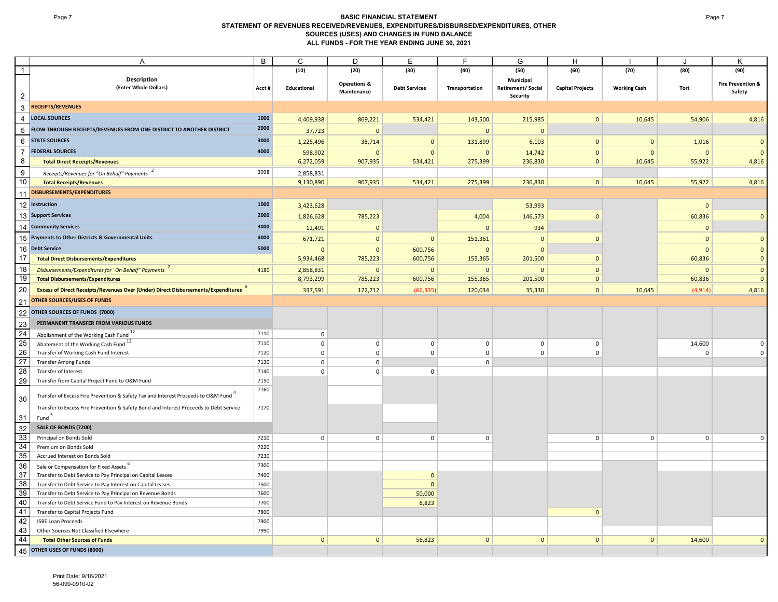### **Page 7 BASIC FINANCIAL STATEMENT STATEMENT OF REVENUES RECEIVED/REVENUES, EXPENDITURES/DISBURSED/EXPENDITURES, OTHER SOURCES (USES) AND CHANGES IN FUND BALANCE ALL FUNDS - FOR THE YEAR ENDING JUNE 30, 2021**

|                 | Α                                                                                              | $\overline{B}$ | $\overline{c}$ | $\overline{D}$                         | Ε                    |                | G                                                 | Η                       |                     |              | Κ                                      |
|-----------------|------------------------------------------------------------------------------------------------|----------------|----------------|----------------------------------------|----------------------|----------------|---------------------------------------------------|-------------------------|---------------------|--------------|----------------------------------------|
| $\mathbf{1}$    |                                                                                                |                | (10)           | (20)                                   | (30)                 | (40)           | (50)                                              | (60)                    | (70)                | (80)         | (90)                                   |
| $\overline{2}$  | Description<br>(Enter Whole Dollars)                                                           | Acct#          | Educational    | <b>Operations &amp;</b><br>Maintenance | <b>Debt Services</b> | Transportation | Municipal<br><b>Retirement/Social</b><br>Security | <b>Capital Projects</b> | <b>Working Cash</b> | Tort         | <b>Fire Prevention &amp;</b><br>Safety |
| $\mathbf{3}$    | <b>RECEIPTS/REVENUES</b>                                                                       |                |                |                                        |                      |                |                                                   |                         |                     |              |                                        |
|                 | <b>LOCAL SOURCES</b>                                                                           | 1000           |                |                                        |                      |                |                                                   |                         |                     |              |                                        |
| $\overline{4}$  |                                                                                                | 2000           | 4,409,938      | 869,221                                | 534,421              | 143,500        | 215,985                                           | $\mathbf{0}$            | 10,645              | 54,906       | 4,816                                  |
| $\overline{5}$  | FLOW-THROUGH RECEIPTS/REVENUES FROM ONE DISTRICT TO ANOTHER DISTRICT                           |                | 37,723         | $\Omega$                               |                      | $\mathbf 0$    | $\mathbf{0}$                                      |                         |                     |              |                                        |
| $\,6\,$         | <b>STATE SOURCES</b>                                                                           | 3000           | 1,225,496      | 38,714                                 | $\mathbf 0$          | 131,899        | 6,103                                             | $\mathbf{0}$            | $\mathbf{0}$        | 1,016        | $\mathbf 0$                            |
| $\overline{7}$  | <b>FEDERAL SOURCES</b>                                                                         | 4000           | 598,902        | $\Omega$                               | $\mathbf{0}$         | $\Omega$       | 14,742                                            | $\mathbf{0}$            | $\Omega$            | $\mathbf{0}$ | $\Omega$                               |
| $\infty$        | <b>Total Direct Receipts/Revenues</b>                                                          |                | 6,272,059      | 907,935                                | 534,421              | 275,399        | 236,830                                           | $\mathbf{0}$            | 10,645              | 55,922       | 4,816                                  |
| 9               | Receipts/Revenues for "On Behalf" Payments                                                     | 3998           | 2,858,831      |                                        |                      |                |                                                   |                         |                     |              |                                        |
| 10              | <b>Total Receipts/Revenues</b>                                                                 |                | 9,130,890      | 907,935                                | 534,421              | 275,399        | 236,830                                           | $\mathbf{0}$            | 10,645              | 55,922       | 4,816                                  |
| 11              | DISBURSEMENTS/EXPENDITURES                                                                     |                |                |                                        |                      |                |                                                   |                         |                     |              |                                        |
| 12              | Instruction                                                                                    | 1000           | 3,423,628      |                                        |                      |                | 53,993                                            |                         |                     | $\Omega$     |                                        |
|                 | 13 Support Services                                                                            | 2000           |                |                                        |                      |                |                                                   |                         |                     |              | $\Omega$                               |
|                 |                                                                                                | 3000           | 1,826,628      | 785,223                                |                      | 4,004          | 146,573                                           | $\mathbf{0}$            |                     | 60,836       |                                        |
|                 | 14 Community Services                                                                          |                | 12,491         | $\Omega$                               |                      | $\mathbf 0$    | 934                                               |                         |                     | $\Omega$     |                                        |
| 15 <sub>1</sub> | Payments to Other Districts & Governmental Units                                               | 4000           | 671,721        | $\Omega$                               | $\mathbf 0$          | 151,361        | $\mathbf 0$                                       | $\mathbf{0}$            |                     | $\mathbf{0}$ | $\Omega$                               |
| 16              | <b>Debt Service</b>                                                                            | 5000           | $\Omega$       | $\mathbf{0}$                           | 600,756              | $\Omega$       | $\mathbf{0}$                                      |                         |                     | $\mathbf{0}$ | $\Omega$                               |
| 17              | <b>Total Direct Disbursements/Expenditures</b>                                                 |                | 5,934,468      | 785,223                                | 600,756              | 155,365        | 201,500                                           | $\mathbf{0}$            |                     | 60,836       | $\mathbf{0}$                           |
| 18              | Disbursements/Expenditures for "On Behalf" Payments <sup>2</sup>                               | 4180           | 2,858,831      | $\mathbf{0}$                           | $\mathbf{0}$         | $\mathbf{0}$   | $\mathbf{0}$                                      | $\mathbf{0}$            |                     | $\mathbf{0}$ | $\mathbf{0}$                           |
| 19              | <b>Total Disbursements/Expenditures</b>                                                        |                | 8,793,299      | 785,223                                | 600,756              | 155,365        | 201,500                                           | $\mathbf{0}$            |                     | 60,836       | $\mathbf 0$                            |
| 20              | <b>Excess of Direct Receipts/Revenues Over (Under) Direct Disbursements/Expenditures</b> 3     |                | 337,591        | 122,712                                | (66, 335)            | 120,034        | 35,330                                            | $\mathbf{0}$            | 10,645              | (4, 914)     | 4,816                                  |
| 21              | <b>OTHER SOURCES/USES OF FUNDS</b>                                                             |                |                |                                        |                      |                |                                                   |                         |                     |              |                                        |
| 22              | OTHER SOURCES OF FUNDS (7000)                                                                  |                |                |                                        |                      |                |                                                   |                         |                     |              |                                        |
| 23              | PERMANENT TRANSFER FROM VARIOUS FUNDS                                                          |                |                |                                        |                      |                |                                                   |                         |                     |              |                                        |
| 24              | Abolishment of the Working Cash Fund 12                                                        | 7110           | $\mathsf 0$    |                                        |                      |                |                                                   |                         |                     |              |                                        |
| 25              | Abatement of the Working Cash Fund <sup>12</sup>                                               | 7110           | $\mathsf 0$    | $\mathsf 0$                            | $\mathbf 0$          | $\mathsf 0$    | $\mathsf 0$                                       | $\Omega$                |                     | 14,600       |                                        |
| 26              | Transfer of Working Cash Fund Interest                                                         | 7120           | $\mathsf 0$    | $\mathsf 0$                            | $\mathsf 0$          | $\mathsf 0$    | $\mathsf 0$                                       | 0                       |                     | 0            |                                        |
| 27              | Transfer Among Funds                                                                           | 7130           | $\mathbf 0$    | $\mathbf 0$                            |                      | $\mathbf 0$    |                                                   |                         |                     |              |                                        |
| 28              | Transfer of Interest                                                                           | 7140           | $\Omega$       | $\mathbf 0$                            | $\Omega$             |                |                                                   |                         |                     |              |                                        |
| 29              | Transfer from Capital Project Fund to O&M Fund                                                 | 7150           |                |                                        |                      |                |                                                   |                         |                     |              |                                        |
|                 |                                                                                                | 7160           |                |                                        |                      |                |                                                   |                         |                     |              |                                        |
| 30              | Transfer of Excess Fire Prevention & Safety Tax and Interest Proceeds to O&M Fund <sup>4</sup> |                |                |                                        |                      |                |                                                   |                         |                     |              |                                        |
|                 | Transfer to Excess Fire Prevention & Safety Bond and Interest Proceeds to Debt Service         | 7170           |                |                                        |                      |                |                                                   |                         |                     |              |                                        |
| 31              | Fund <sup>5</sup>                                                                              |                |                |                                        |                      |                |                                                   |                         |                     |              |                                        |
| 32              | SALE OF BONDS (7200)                                                                           |                |                |                                        |                      |                |                                                   |                         |                     |              |                                        |
| 33              | Principal on Bonds Sold                                                                        | 7210           | $\mathbf 0$    | $\mathbf 0$                            | $\mathbf{0}$         | $\mathbf 0$    |                                                   | $\mathbf 0$             | $\mathbf 0$         | $\mathbf{0}$ |                                        |
| 34              | Premium on Bonds Sold                                                                          | 7220           |                |                                        |                      |                |                                                   |                         |                     |              |                                        |
| 35              | Accrued Interest on Bonds Sold                                                                 | 7230           |                |                                        |                      |                |                                                   |                         |                     |              |                                        |
| 36              | Sale or Compensation for Fixed Assets <sup>o</sup>                                             | 7300           |                |                                        |                      |                |                                                   |                         |                     |              |                                        |
| $\overline{37}$ | Transfer to Debt Service to Pay Principal on Capital Leases                                    | 7400           |                |                                        | $\mathbf{0}$         |                |                                                   |                         |                     |              |                                        |
| 38              | Transfer to Debt Service to Pay Interest on Capital Leases                                     | 7500           |                |                                        | $\mathbf 0$          |                |                                                   |                         |                     |              |                                        |
| 39              | Transfer to Debt Service to Pay Principal on Revenue Bonds                                     | 7600           |                |                                        | 50,000               |                |                                                   |                         |                     |              |                                        |
| 40              | Transfer to Debt Service Fund to Pay Interest on Revenue Bonds                                 | 7700           |                |                                        | 6,823                |                |                                                   |                         |                     |              |                                        |
| 41              | Transfer to Capital Projects Fund                                                              | 7800           |                |                                        |                      |                |                                                   | $\mathbf{0}$            |                     |              |                                        |
| 42<br>43        | <b>ISBE Loan Proceeds</b><br>Other Sources Not Classified Elsewhere                            | 7900<br>7990   |                |                                        |                      |                |                                                   |                         |                     |              |                                        |
| 44              | <b>Total Other Sources of Funds</b>                                                            |                | $\mathbf 0$    | $\mathbf{0}$                           | 56,823               | $\mathbf{0}$   | $\mathbf{0}$                                      | $\mathbf{0}$            | $\mathbf{0}$        | 14,600       | $\Omega$                               |
|                 |                                                                                                |                |                |                                        |                      |                |                                                   |                         |                     |              |                                        |
| 45              | OTHER USES OF FUNDS (8000)                                                                     |                |                |                                        |                      |                |                                                   |                         |                     |              |                                        |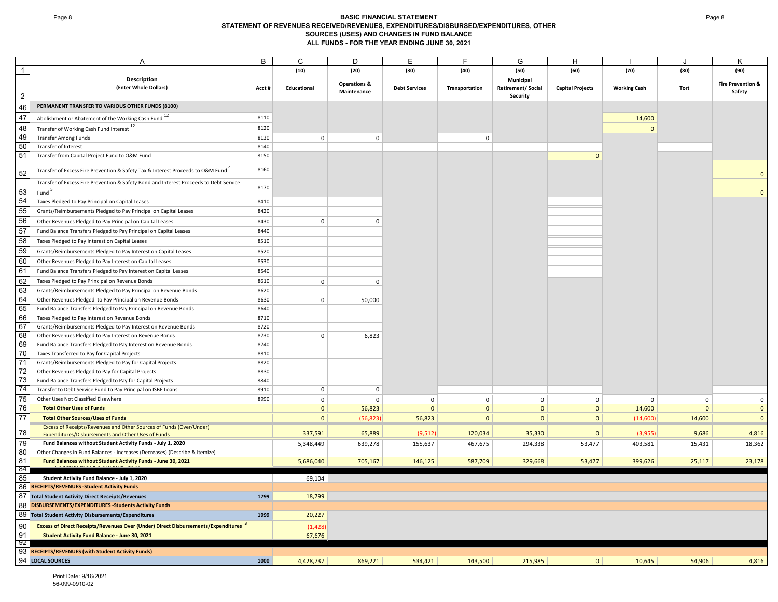### Page 8 **BASIC FINANCIAL STATEMENT STATEMENT OF REVENUES RECEIVED/REVENUES, EXPENDITURES/DISBURSED/EXPENDITURES, OTHER SOURCES (USES) AND CHANGES IN FUND BALANCE ALL FUNDS - FOR THE YEAR ENDING JUNE 30, 2021**

|                 | Α                                                                                            | B     | $\mathsf C$  | D                                      | Е                    | F              | G                        | H                       |                     |              | Κ                                      |
|-----------------|----------------------------------------------------------------------------------------------|-------|--------------|----------------------------------------|----------------------|----------------|--------------------------|-------------------------|---------------------|--------------|----------------------------------------|
| $\overline{1}$  |                                                                                              |       | (10)         | (20)                                   | (30)                 | (40)           | (50)                     | (60)                    | (70)                | (80)         | (90)                                   |
|                 | Description                                                                                  |       |              |                                        |                      |                | Municipal                |                         |                     |              |                                        |
|                 | (Enter Whole Dollars)                                                                        | Acct# | Educational  | <b>Operations &amp;</b><br>Maintenance | <b>Debt Services</b> | Transportation | <b>Retirement/Social</b> | <b>Capital Projects</b> | <b>Working Cash</b> | Tort         | <b>Fire Prevention &amp;</b><br>Safety |
| $\overline{2}$  |                                                                                              |       |              |                                        |                      |                | Security                 |                         |                     |              |                                        |
| 46              | PERMANENT TRANSFER TO VARIOUS OTHER FUNDS (8100)                                             |       |              |                                        |                      |                |                          |                         |                     |              |                                        |
| 47              | Abolishment or Abatement of the Working Cash Fund 12                                         | 8110  |              |                                        |                      |                |                          |                         | 14,600              |              |                                        |
|                 |                                                                                              |       |              |                                        |                      |                |                          |                         |                     |              |                                        |
| 48              | Transfer of Working Cash Fund Interest 12                                                    | 8120  |              |                                        |                      |                |                          |                         | $\Omega$            |              |                                        |
| 49              | <b>Transfer Among Funds</b>                                                                  | 8130  | $\mathbf 0$  | $\mathbf 0$                            |                      | $\mathbf 0$    |                          |                         |                     |              |                                        |
| 50              | Transfer of Interest                                                                         | 8140  |              |                                        |                      |                |                          |                         |                     |              |                                        |
| 51              | Transfer from Capital Project Fund to O&M Fund                                               | 8150  |              |                                        |                      |                |                          | $\Omega$                |                     |              |                                        |
| 52              | Transfer of Excess Fire Prevention & Safety Tax & Interest Proceeds to O&M Fund <sup>4</sup> | 8160  |              |                                        |                      |                |                          |                         |                     |              |                                        |
|                 | Transfer of Excess Fire Prevention & Safety Bond and Interest Proceeds to Debt Service       | 8170  |              |                                        |                      |                |                          |                         |                     |              |                                        |
| 53              | Fund <sup>5</sup>                                                                            |       |              |                                        |                      |                |                          |                         |                     |              |                                        |
| 54              | Taxes Pledged to Pay Principal on Capital Leases                                             | 8410  |              |                                        |                      |                |                          |                         |                     |              |                                        |
| 55              | Grants/Reimbursements Pledged to Pay Principal on Capital Leases                             | 8420  |              |                                        |                      |                |                          |                         |                     |              |                                        |
| 56              | Other Revenues Pledged to Pay Principal on Capital Leases                                    | 8430  | $\mathbf 0$  | $\Omega$                               |                      |                |                          |                         |                     |              |                                        |
| 57              | Fund Balance Transfers Pledged to Pay Principal on Capital Leases                            | 8440  |              |                                        |                      |                |                          |                         |                     |              |                                        |
| 58              | Taxes Pledged to Pay Interest on Capital Leases                                              | 8510  |              |                                        |                      |                |                          |                         |                     |              |                                        |
| 59              |                                                                                              | 8520  |              |                                        |                      |                |                          |                         |                     |              |                                        |
|                 | Grants/Reimbursements Pledged to Pay Interest on Capital Leases                              |       |              |                                        |                      |                |                          |                         |                     |              |                                        |
| 60              | Other Revenues Pledged to Pay Interest on Capital Leases                                     | 8530  |              |                                        |                      |                |                          |                         |                     |              |                                        |
| 61              | Fund Balance Transfers Pledged to Pay Interest on Capital Leases                             | 8540  |              |                                        |                      |                |                          |                         |                     |              |                                        |
| 62              | Taxes Pledged to Pay Principal on Revenue Bonds                                              | 8610  | $\mathbf 0$  | $\pmb{0}$                              |                      |                |                          |                         |                     |              |                                        |
| 63              | Grants/Reimbursements Pledged to Pay Principal on Revenue Bonds                              | 8620  |              |                                        |                      |                |                          |                         |                     |              |                                        |
| 64              | Other Revenues Pledged to Pay Principal on Revenue Bonds                                     | 8630  | $\mathbf 0$  | 50,000                                 |                      |                |                          |                         |                     |              |                                        |
| 65              | Fund Balance Transfers Pledged to Pay Principal on Revenue Bonds                             | 8640  |              |                                        |                      |                |                          |                         |                     |              |                                        |
| 66              | Taxes Pledged to Pay Interest on Revenue Bonds                                               | 8710  |              |                                        |                      |                |                          |                         |                     |              |                                        |
| 67              | Grants/Reimbursements Pledged to Pay Interest on Revenue Bonds                               | 8720  |              |                                        |                      |                |                          |                         |                     |              |                                        |
| 68              | Other Revenues Pledged to Pay Interest on Revenue Bonds                                      | 8730  | $\mathbf 0$  | 6,823                                  |                      |                |                          |                         |                     |              |                                        |
| 69              | Fund Balance Transfers Pledged to Pay Interest on Revenue Bonds                              | 8740  |              |                                        |                      |                |                          |                         |                     |              |                                        |
|                 | Taxes Transferred to Pay for Capital Projects                                                | 8810  |              |                                        |                      |                |                          |                         |                     |              |                                        |
| $\frac{70}{71}$ | Grants/Reimbursements Pledged to Pay for Capital Projects                                    | 8820  |              |                                        |                      |                |                          |                         |                     |              |                                        |
| 72              | Other Revenues Pledged to Pay for Capital Projects                                           | 8830  |              |                                        |                      |                |                          |                         |                     |              |                                        |
| 73              | Fund Balance Transfers Pledged to Pay for Capital Projects                                   | 8840  |              |                                        |                      |                |                          |                         |                     |              |                                        |
| 74              | Transfer to Debt Service Fund to Pay Principal on ISBE Loans                                 | 8910  | $\mathbf 0$  | $\mathbf 0$                            |                      |                |                          |                         |                     |              |                                        |
| 75              | Other Uses Not Classified Elsewhere                                                          | 8990  | $\mathbf 0$  | $\mathbf 0$                            | $\mathbf 0$          | $\mathsf{o}$   | $\mathsf{O}$             | $\mathsf 0$             | $\mathbf 0$         | $\mathbf 0$  | $\mathbf 0$                            |
| 76              | <b>Total Other Uses of Funds</b>                                                             |       | $\mathbf{0}$ | 56,823                                 | $\mathbf{0}$         | $\mathbf 0$    | $\mathbf{0}$             | $\mathbf 0$             | 14,600              | $\mathbf{0}$ | $\overline{0}$                         |
| 77              | <b>Total Other Sources/Uses of Funds</b>                                                     |       | $\mathbf 0$  | (56, 823)                              | 56,823               | $\mathbf{0}$   | $\mathbf{0}$             | $\mathbf 0$             | (14,600)            | 14,600       | $\overline{0}$                         |
|                 | Excess of Receipts/Revenues and Other Sources of Funds (Over/Under)                          |       |              |                                        |                      |                |                          |                         |                     |              |                                        |
| 78              | Expenditures/Disbursements and Other Uses of Funds                                           |       | 337,591      | 65,889                                 | (9, 512)             | 120,034        | 35,330                   | $\mathbf 0$             | (3, 955)            | 9,686        | 4,816                                  |
| 79              | Fund Balances without Student Activity Funds - July 1, 2020                                  |       | 5,348,449    | 639,278                                | 155,637              | 467,675        | 294,338                  | 53,477                  | 403,581             | 15,431       | 18,362                                 |
| 80              | Other Changes in Fund Balances - Increases (Decreases) (Describe & Itemize)                  |       |              |                                        |                      |                |                          |                         |                     |              |                                        |
| 81              | Fund Balances without Student Activity Funds - June 30, 2021                                 |       | 5,686,040    | 705,167                                | 146,125              | 587,709        | 329,668                  | 53,477                  | 399,626             | 25,117       | 23,178                                 |
| -84             |                                                                                              |       |              |                                        |                      |                |                          |                         |                     |              |                                        |
| 85              | Student Activity Fund Balance - July 1, 2020                                                 |       | 69,104       |                                        |                      |                |                          |                         |                     |              |                                        |
| 86              | <b>RECEIPTS/REVENUES - Student Activity Funds</b>                                            |       |              |                                        |                      |                |                          |                         |                     |              |                                        |
| 87              | <b>Total Student Activity Direct Receipts/Revenues</b>                                       | 1799  | 18,799       |                                        |                      |                |                          |                         |                     |              |                                        |
| 88              | DISBURSEMENTS/EXPENDITURES - Students Activity Funds                                         |       |              |                                        |                      |                |                          |                         |                     |              |                                        |
| 89              | <b>Total Student Activity Disbursements/Expenditures</b>                                     | 1999  | 20,227       |                                        |                      |                |                          |                         |                     |              |                                        |
| 90              | <b>Excess of Direct Receipts/Revenues Over (Under) Direct Disbursements/Expenditures</b> 3   |       | (1, 428)     |                                        |                      |                |                          |                         |                     |              |                                        |
| 91              | <b>Student Activity Fund Balance - June 30, 2021</b>                                         |       | 67,676       |                                        |                      |                |                          |                         |                     |              |                                        |
| -92             |                                                                                              |       |              |                                        |                      |                |                          |                         |                     |              |                                        |
|                 | 93 RECEIPTS/REVENUES (with Student Activity Funds)                                           |       |              |                                        |                      |                |                          |                         |                     |              |                                        |
|                 | 94 LOCAL SOURCES                                                                             | 1000  | 4,428,737    | 869,221                                | 534,421              | 143,500        | 215,985                  | 0                       | 10,645              | 54,906       | 4,816                                  |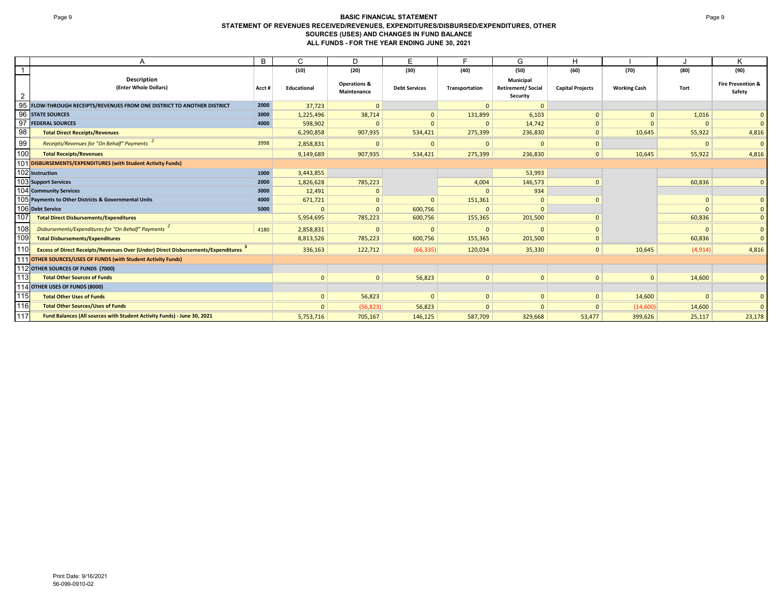### Page 9 **BASIC FINANCIAL STATEMENT STATEMENT OF REVENUES RECEIVED/REVENUES, EXPENDITURES/DISBURSED/EXPENDITURES, OTHER SOURCES (USES) AND CHANGES IN FUND BALANCE ALL FUNDS - FOR THE YEAR ENDING JUNE 30, 2021**

|                | A                                                                                        | B     | С            | D                                      | Е                    |                | G                                                        | н                       |                     |              | Κ                                      |
|----------------|------------------------------------------------------------------------------------------|-------|--------------|----------------------------------------|----------------------|----------------|----------------------------------------------------------|-------------------------|---------------------|--------------|----------------------------------------|
|                |                                                                                          |       | (10)         | (20)                                   | (30)                 | (40)           | (50)                                                     | (60)                    | (70)                | (80)         | (90)                                   |
| $\overline{2}$ | <b>Description</b><br>(Enter Whole Dollars)                                              | Acct# | Educational  | <b>Operations &amp;</b><br>Maintenance | <b>Debt Services</b> | Transportation | <b>Municipal</b><br><b>Retirement/Social</b><br>Security | <b>Capital Projects</b> | <b>Working Cash</b> | Tort         | <b>Fire Prevention &amp;</b><br>Safety |
| 95             | FLOW-THROUGH RECEIPTS/REVENUES FROM ONE DISTRICT TO ANOTHER DISTRICT                     | 2000  | 37,723       | $\Omega$                               |                      | $\Omega$       | $\Omega$                                                 |                         |                     |              |                                        |
|                | 96 STATE SOURCES                                                                         | 3000  | 1,225,496    | 38,714                                 | $\Omega$             | 131,899        | 6,103                                                    | $\mathbf{0}$            | $\mathbf{0}$        | 1,016        | $\mathbf{0}$                           |
| 97             | <b>FEDERAL SOURCES</b>                                                                   | 4000  | 598,902      | $\Omega$                               |                      | $\Omega$       | 14,742                                                   | $\mathbf{0}$            |                     | $\Omega$     | $\mathbf{0}$                           |
| 98             | <b>Total Direct Receipts/Revenues</b>                                                    |       | 6,290,858    | 907,935                                | 534,421              | 275,399        | 236,830                                                  | $\mathbf{0}$            | 10,645              | 55,922       | 4,816                                  |
| 99             | Receipts/Revenues for "On Behalf" Payments                                               | 3998  | 2,858,831    | $\Omega$                               | $\Omega$             | $\Omega$       | $\Omega$                                                 | $\mathbf{0}$            |                     | $\mathbf{0}$ | $\mathbf{0}$                           |
| 100            | <b>Total Receipts/Revenues</b>                                                           |       | 9,149,689    | 907,935                                | 534,421              | 275,399        | 236,830                                                  | $\mathbf{0}$            | 10,645              | 55,922       | 4,816                                  |
|                | 101 DISBURSEMENTS/EXPENDITURES (with Student Activity Funds)                             |       |              |                                        |                      |                |                                                          |                         |                     |              |                                        |
|                | 102 Instruction                                                                          | 1000  | 3,443,855    |                                        |                      |                | 53,993                                                   |                         |                     |              |                                        |
|                | 103 Support Services                                                                     | 2000  | 1,826,628    | 785,223                                |                      | 4,004          | 146,573                                                  |                         |                     | 60,836       | $\mathbf{0}$                           |
|                | 104 Community Services                                                                   | 3000  | 12,491       |                                        |                      |                | 934                                                      |                         |                     |              |                                        |
|                | 105 Payments to Other Districts & Governmental Units                                     | 4000  | 671,721      | $\Omega$                               | $\Omega$             | 151,361        | $\mathbf{0}$                                             |                         |                     | $\Omega$     | $\mathbf 0$                            |
|                | 106 Debt Service                                                                         | 5000  |              | $\Omega$                               | 600,756              |                |                                                          |                         |                     | $\Omega$     | $\mathbf{0}$                           |
| 107            | <b>Total Direct Disbursements/Expenditures</b>                                           |       | 5,954,695    | 785,223                                | 600,756              | 155,365        | 201,500                                                  |                         |                     | 60,836       | $\mathbf{0}$                           |
| 108            | Disbursements/Expenditures for "On Behalf" Payments <sup>2</sup>                         | 4180  | 2,858,831    | $\Omega$                               | $\Omega$             | $\Omega$       | $\Omega$                                                 | $\mathbf{0}$            |                     | $\Omega$     | $\mathbf{0}$                           |
| 109            | <b>Total Disbursements/Expenditures</b>                                                  |       | 8,813,526    | 785,223                                | 600,756              | 155,365        | 201,500                                                  | $\mathbf{0}$            |                     | 60,836       | $\overline{0}$                         |
| 110            | <b>Excess of Direct Receipts/Revenues Over (Under) Direct Disbursements/Expenditures</b> |       | 336,163      | 122,712                                | (66, 335)            | 120,034        | 35,330                                                   | 0 <sup>1</sup>          | 10,645              | (4, 914)     | 4,816                                  |
|                | 111 OTHER SOURCES/USES OF FUNDS (with Student Activity Funds)                            |       |              |                                        |                      |                |                                                          |                         |                     |              |                                        |
|                | 112 OTHER SOURCES OF FUNDS (7000)                                                        |       |              |                                        |                      |                |                                                          |                         |                     |              |                                        |
| 113            | <b>Total Other Sources of Funds</b>                                                      |       | $\Omega$     | $\mathbf{0}$                           | 56,823               | $\Omega$       | $\Omega$                                                 | $\mathbf{0}$            | $\mathbf{0}$        | 14,600       | $\mathbf{0}$                           |
|                | 114 OTHER USES OF FUNDS (8000)                                                           |       |              |                                        |                      |                |                                                          |                         |                     |              |                                        |
| 115            | <b>Total Other Uses of Funds</b>                                                         |       | $\mathbf{0}$ | 56,823                                 | $\Omega$             | $\mathbf{0}$   | $\mathbf{0}$                                             | $\mathbf{0}$            | 14,600              | $\mathbf{0}$ | $\mathbf 0$                            |
| 116            | <b>Total Other Sources/Uses of Funds</b>                                                 |       | $\Omega$     | (56, 823)                              | 56,823               | $\Omega$       | $\mathbf{0}$                                             | $\mathbf{0}$            | (14,600)            | 14,600       | $\Omega$                               |
| 117            | Fund Balances (All sources with Student Activity Funds) - June 30, 2021                  |       | 5,753,716    | 705,167                                | 146,125              | 587,709        | 329,668                                                  | 53,477                  | 399,626             | 25,117       | 23,178                                 |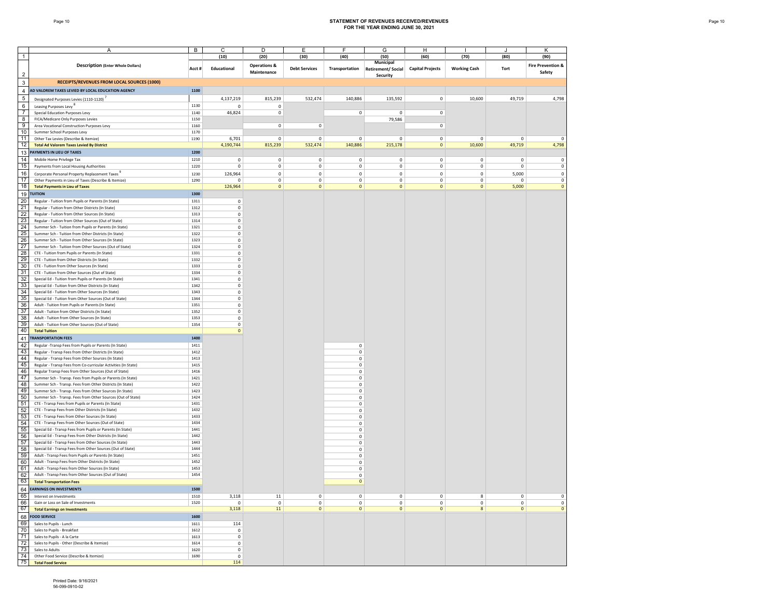#### Page 10 **STATEMENT OF REVENUES RECEIVED/REVENUES FOR THE YEAR ENDING JUNE 30, 2021**

|                | Α                                                                                                                     | В            | C                  | D                       | E                      | F                          | G                                     | н                       |                     | J            | Κ                            |
|----------------|-----------------------------------------------------------------------------------------------------------------------|--------------|--------------------|-------------------------|------------------------|----------------------------|---------------------------------------|-------------------------|---------------------|--------------|------------------------------|
| -1             |                                                                                                                       |              | (10)               | (20)                    | (30)                   | (40)                       | (50)                                  | (60)                    | (70)                | (80)         | (90)                         |
|                | <b>Description (Enter Whole Dollars)</b>                                                                              | Acct#        | Educational        | <b>Operations &amp;</b> | <b>Debt Services</b>   | Transportation             | Municipal<br><b>Retirement/Social</b> | <b>Capital Projects</b> | <b>Working Cash</b> | Tort         | <b>Fire Prevention &amp;</b> |
| $\overline{2}$ |                                                                                                                       |              |                    | Maintenance             |                        |                            | Security                              |                         |                     |              | Safety                       |
| $\mathbf{3}$   | RECEIPTS/REVENUES FROM LOCAL SOURCES (1000)                                                                           |              |                    |                         |                        |                            |                                       |                         |                     |              |                              |
| $\overline{4}$ | AD VALOREM TAXES LEVIED BY LOCAL EDUCATION AGENCY                                                                     | 1100         |                    |                         |                        |                            |                                       |                         |                     |              |                              |
| 5              | Designated Purposes Levies (1110-1120)                                                                                |              | 4,137,219          | 815,239                 | 532,474                | 140,886                    | 135,592                               | $\mathsf{O}\xspace$     | 10,600              | 49,719       | 4,798                        |
| 6              | Leasing Purposes Levy <sup>o</sup>                                                                                    | 1130         | $^{\circ}$         | $\mathsf{O}\xspace$     |                        |                            |                                       |                         |                     |              |                              |
| $\overline{7}$ | Special Education Purposes Levy                                                                                       | 1140         | 46,824             | $\mathbf 0$             |                        | $\mathbf 0$                | $\mathsf 0$                           | $\mathsf 0$             |                     |              |                              |
| 8              | FICA/Medicare Only Purposes Levies                                                                                    | 1150         |                    |                         |                        |                            | 79,586                                |                         |                     |              |                              |
| 9              | Area Vocational Construction Purposes Levy                                                                            | 1160         |                    | 0                       | 0                      |                            |                                       | $\mathsf{O}\xspace$     |                     |              |                              |
| 10             | Summer School Purposes Levy                                                                                           | 1170         |                    |                         |                        |                            |                                       |                         |                     |              |                              |
| 11<br>12       | Other Tax Levies (Describe & Itemize)<br><b>Total Ad Valorem Taxes Levied By District</b>                             | 1190         | 6,701<br>4,190,744 | $\mathbf{0}$<br>815,239 | $\mathbf 0$<br>532,474 | $^{\circ}$<br>140,886      | 0<br>215,178                          | 0<br>$\mathbf 0$        | 0<br>10,600         | 0<br>49,719  | $\Omega$<br>4,798            |
| 13             | AYMENTS IN LIEU OF TAXES                                                                                              | 1200         |                    |                         |                        |                            |                                       |                         |                     |              |                              |
| 14             | Mobile Home Privilege Tax                                                                                             | 1210         | 0                  | 0                       | $\pmb{0}$              | $^{\circ}$                 | 0                                     | $\mathsf 0$             | 0                   | 0            | $\mathbf 0$                  |
| 15             | Payments from Local Housing Authorities                                                                               | 1220         | $\mathsf 0$        | 0                       | $\pmb{0}$              | $\mathbf 0$                | $\mathbf 0$                           | $\mathsf{o}$            | $\mathsf{o}\,$      | $\mathbf 0$  | $\mathsf 0$                  |
| 16             | Corporate Personal Property Replacement Taxes                                                                         | 1230         | 126,964            | $\mathsf 0$             | $\mathbf 0$            | $\mathbf 0$                | $\mathsf 0$                           | $\mathsf{o}$            | $\mathbf 0$         | 5,000        | $\mathbf 0$                  |
| 17             | Other Payments in Lieu of Taxes (Describe & Itemize)                                                                  | 1290         | $^{\circ}$         | 0                       | $\mathbf 0$            | $\mathbf 0$                | 0                                     | $\mathsf 0$             | 0                   | $\mathbf 0$  | $\mathsf 0$                  |
| 18             | <b>Total Payments in Lieu of Taxes</b>                                                                                |              | 126,964            | $\mathbf 0$             | $\mathbf 0$            | $\mathbf{0}$               | $\mathbf 0$                           | $\mathbf 0$             | $\mathbf{0}$        | 5,000        | $\Omega$                     |
|                | 19 TUITION                                                                                                            | 1300         |                    |                         |                        |                            |                                       |                         |                     |              |                              |
| 20             | Regular - Tuition from Pupils or Parents (In State)                                                                   | 1311         | $\mathsf 0$        |                         |                        |                            |                                       |                         |                     |              |                              |
| 21             | Regular - Tuition from Other Districts (In State)                                                                     | 1312         | $\mathsf 0$        |                         |                        |                            |                                       |                         |                     |              |                              |
| 22             | Regular - Tuition from Other Sources (In State)                                                                       | 1313         | $\mathsf 0$        |                         |                        |                            |                                       |                         |                     |              |                              |
| 23             | Regular - Tuition from Other Sources (Out of State)                                                                   | 1314         | $\mathsf 0$        |                         |                        |                            |                                       |                         |                     |              |                              |
| 24<br>25       | Summer Sch - Tuition from Pupils or Parents (In State)<br>Summer Sch - Tuition from Other Districts (In State)        | 1321<br>1322 | 0<br>$\mathsf 0$   |                         |                        |                            |                                       |                         |                     |              |                              |
| 26             | Summer Sch - Tuition from Other Sources (In State)                                                                    | 1323         | 0                  |                         |                        |                            |                                       |                         |                     |              |                              |
| 27             | Summer Sch - Tuition from Other Sources (Out of State)                                                                | 1324         | $\mathsf 0$        |                         |                        |                            |                                       |                         |                     |              |                              |
| 28             | CTE - Tuition from Pupils or Parents (In State)                                                                       | 1331         | $\mathsf 0$        |                         |                        |                            |                                       |                         |                     |              |                              |
| 29             | CTE - Tuition from Other Districts (In State)                                                                         | 1332         | 0                  |                         |                        |                            |                                       |                         |                     |              |                              |
| 30             | CTE - Tuition from Other Sources (In State)                                                                           | 1333         | $\mathsf 0$        |                         |                        |                            |                                       |                         |                     |              |                              |
| 31             | CTE - Tuition from Other Sources (Out of State)                                                                       | 1334         | $\mathsf 0$        |                         |                        |                            |                                       |                         |                     |              |                              |
| 32             | Special Ed - Tuition from Pupils or Parents (In State)                                                                | 1341         | $\mathsf 0$        |                         |                        |                            |                                       |                         |                     |              |                              |
| 33<br>34       | Special Ed - Tuition from Other Districts (In State)<br>Special Ed - Tuition from Other Sources (In State)            | 1342<br>1343 | $\mathsf 0$<br>0   |                         |                        |                            |                                       |                         |                     |              |                              |
| 35             | Special Ed - Tuition from Other Sources (Out of State)                                                                | 1344         | $\mathsf 0$        |                         |                        |                            |                                       |                         |                     |              |                              |
| 36             | Adult - Tuition from Pupils or Parents (In State)                                                                     | 1351         | $\mathsf 0$        |                         |                        |                            |                                       |                         |                     |              |                              |
| 37             | Adult - Tuition from Other Districts (In State)                                                                       | 1352         | $\mathsf 0$        |                         |                        |                            |                                       |                         |                     |              |                              |
| 38             | Adult - Tuition from Other Sources (In State)                                                                         | 1353         | $\mathsf 0$        |                         |                        |                            |                                       |                         |                     |              |                              |
| 39             | Adult - Tuition from Other Sources (Out of State)                                                                     | 1354         | 0                  |                         |                        |                            |                                       |                         |                     |              |                              |
| 40             | <b>Total Tuition</b>                                                                                                  |              | $\mathbf 0$        |                         |                        |                            |                                       |                         |                     |              |                              |
| 41             | <b>TRANSPORTATION FEES</b>                                                                                            | 1400         |                    |                         |                        |                            |                                       |                         |                     |              |                              |
| 42             | Regular - Transp Fees from Pupils or Parents (In State)                                                               | 1411         |                    |                         |                        | $\mathbf 0$                |                                       |                         |                     |              |                              |
| 43             | Regular - Transp Fees from Other Districts (In State)                                                                 | 1412         |                    |                         |                        | $\mathbf 0$                |                                       |                         |                     |              |                              |
| 44<br>45       | Regular - Transp Fees from Other Sources (In State)<br>Regular - Transp Fees from Co-curricular Activities (In State) | 1413<br>1415 |                    |                         |                        | $\mathbf 0$<br>$\mathbf 0$ |                                       |                         |                     |              |                              |
| 46             | Regular Transp Fees from Other Sources (Out of State)                                                                 | 1416         |                    |                         |                        | $^{\circ}$                 |                                       |                         |                     |              |                              |
| 47             | Summer Sch - Transp. Fees from Pupils or Parents (In State)                                                           | 1421         |                    |                         |                        | $\mathbf 0$                |                                       |                         |                     |              |                              |
| 48             | Summer Sch - Transp. Fees from Other Districts (In State)                                                             | 1422         |                    |                         |                        | $\mathbf 0$                |                                       |                         |                     |              |                              |
| 49             | Summer Sch - Transp. Fees from Other Sources (In State)                                                               | 1423         |                    |                         |                        | $\mathbf 0$                |                                       |                         |                     |              |                              |
| 50             | Summer Sch - Transp. Fees from Other Sources (Out of State)                                                           | 1424         |                    |                         |                        | $\mathbf 0$                |                                       |                         |                     |              |                              |
| 51             | CTE - Transp Fees from Pupils or Parents (In State)                                                                   | 1431         |                    |                         |                        | $\mathbf 0$                |                                       |                         |                     |              |                              |
| 52             | CTE - Transp Fees from Other Districts (In State)<br>CTE - Transp Fees from Other Sources (In State)                  | 1432<br>1433 |                    |                         |                        | $\mathbf 0$                |                                       |                         |                     |              |                              |
| 53<br>54       | CTE - Transp Fees from Other Sources (Out of State)                                                                   | 1434         |                    |                         |                        | $\mathbf 0$<br>$\mathbf 0$ |                                       |                         |                     |              |                              |
| 55             | Special Ed - Transp Fees from Pupils or Parents (In State)                                                            | 1441         |                    |                         |                        | $\mathbf 0$                |                                       |                         |                     |              |                              |
| 56             | Special Ed - Transp Fees from Other Districts (In State)                                                              | 1442         |                    |                         |                        | $^{\circ}$                 |                                       |                         |                     |              |                              |
| 57             | Special Ed - Transp Fees from Other Sources (In State)                                                                | 1443         |                    |                         |                        | $\mathbf 0$                |                                       |                         |                     |              |                              |
| 58             | Special Ed - Transp Fees from Other Sources (Out of State)                                                            | 1444         |                    |                         |                        | $\mathbf 0$                |                                       |                         |                     |              |                              |
| 59             | Adult - Transp Fees from Pupils or Parents (In State)                                                                 | 1451         |                    |                         |                        | $\mathbf 0$                |                                       |                         |                     |              |                              |
| 60             | Adult - Transp Fees from Other Districts (In State)                                                                   | 1452<br>1453 |                    |                         |                        | $\mathbf 0$                |                                       |                         |                     |              |                              |
| 61<br>62       | Adult - Transp Fees from Other Sources (In State)<br>Adult - Transp Fees from Other Sources (Out of State)            | 1454         |                    |                         |                        | $\mathbf 0$<br>$\mathbf 0$ |                                       |                         |                     |              |                              |
| 63             | <b>Total Transportation Fees</b>                                                                                      |              |                    |                         |                        | $\mathbf 0$                |                                       |                         |                     |              |                              |
|                | 64 EARNINGS ON INVESTMENTS                                                                                            | 1500         |                    |                         |                        |                            |                                       |                         |                     |              |                              |
| 65             | Interest on Investments                                                                                               | 1510         | 3,118              | 11                      | $\mathbf 0$            | $\mathbf 0$                | $\mathsf 0$                           | $\mathsf 0$             | 8                   | $\mathbf 0$  | $\mathsf 0$                  |
| 66             | Gain or Loss on Sale of Investments                                                                                   | 1520         | $^{\circ}$         | $\mathbf 0$             | $\mathbb O$            | $\mathbf 0$                | $\mathsf 0$                           | $\mathbf 0$             | $\mathbf 0$         | $\mathbf 0$  | $\mathbf 0$                  |
| 67             | <b>Total Earnings on Investments</b>                                                                                  |              | 3,118              | 11                      | $\mathbf{0}$           | $\mathbf 0$                | $\mathbf 0$                           | $\mathbf{0}$            | 8                   | $\mathbf{0}$ | $\Omega$                     |
|                | 68 FOOD SERVICE                                                                                                       | 1600         |                    |                         |                        |                            |                                       |                         |                     |              |                              |
| 69             | Sales to Pupils - Lunch                                                                                               | 1611         | 114                |                         |                        |                            |                                       |                         |                     |              |                              |
| 70             | Sales to Pupils - Breakfast                                                                                           | 1612         | $\mathsf 0$        |                         |                        |                            |                                       |                         |                     |              |                              |
| 71             | Sales to Pupils - A la Carte                                                                                          | 1613         | $\mathsf 0$        |                         |                        |                            |                                       |                         |                     |              |                              |
| 72             | Sales to Pupils - Other (Describe & Itemize)                                                                          | 1614         | $\mathsf 0$        |                         |                        |                            |                                       |                         |                     |              |                              |
| 73<br>74       | Sales to Adults                                                                                                       | 1620         | $\mathsf 0$        |                         |                        |                            |                                       |                         |                     |              |                              |
| 75             | Other Food Service (Describe & Itemize)<br><b>Total Food Service</b>                                                  | 1690         | $\mathsf 0$<br>114 |                         |                        |                            |                                       |                         |                     |              |                              |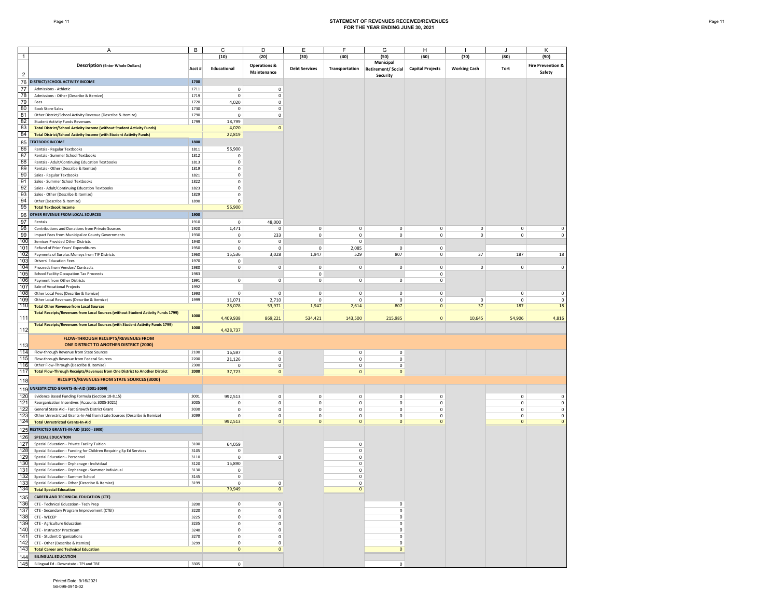#### Page 11 **STATEMENT OF REVENUES RECEIVED/REVENUES FOR THE YEAR ENDING JUNE 30, 2021**

| $\mathbf{1}$   | Α                                                                                                                       | В            | С<br>(10)                  | D<br>(20)               | Ε<br>(30)                  | F<br>(40)                  | G<br>(50)                  | н<br>(60)                          | (70)                | (80)                   | κ<br>(90)                    |
|----------------|-------------------------------------------------------------------------------------------------------------------------|--------------|----------------------------|-------------------------|----------------------------|----------------------------|----------------------------|------------------------------------|---------------------|------------------------|------------------------------|
|                |                                                                                                                         |              |                            |                         |                            |                            | Municipal                  |                                    |                     |                        |                              |
|                | <b>Description (Enter Whole Dollars)</b>                                                                                | Acct#        | Educational                | <b>Operations &amp;</b> | <b>Debt Services</b>       | Transportation             | <b>Retirement/Social</b>   | <b>Capital Projects</b>            | <b>Working Cash</b> | Tort                   | <b>Fire Prevention &amp;</b> |
| $\overline{2}$ |                                                                                                                         |              |                            | Maintenance             |                            |                            | Security                   |                                    |                     |                        | Safety                       |
| 76             | DISTRICT/SCHOOL ACTIVITY INCOME                                                                                         | 1700         |                            |                         |                            |                            |                            |                                    |                     |                        |                              |
| 77             | Admissions - Athletic                                                                                                   | 1711         | $\mathbf 0$                | 0                       |                            |                            |                            |                                    |                     |                        |                              |
| 78             | Admissions - Other (Describe & Itemize)                                                                                 | 1719         | $\mathsf{O}\xspace$        | 0                       |                            |                            |                            |                                    |                     |                        |                              |
| 79             | Fees                                                                                                                    | 1720         | 4,020                      | $\mathsf{o}\,$          |                            |                            |                            |                                    |                     |                        |                              |
| 80             | <b>Book Store Sales</b>                                                                                                 | 1730         | $\mathsf 0$                | 0                       |                            |                            |                            |                                    |                     |                        |                              |
| 81             | Other District/School Activity Revenue (Describe & Itemize)                                                             | 1790<br>1799 | $\mathsf 0$                | 0                       |                            |                            |                            |                                    |                     |                        |                              |
| 82<br>83       | <b>Student Activity Funds Revenues</b><br><b>Total District/School Activity Income (without Student Activity Funds)</b> |              | 18,799<br>4,020            | $\mathbf{0}$            |                            |                            |                            |                                    |                     |                        |                              |
| 84             | <b>Total District/School Activity Income (with Student Activity Funds)</b>                                              |              | 22,819                     |                         |                            |                            |                            |                                    |                     |                        |                              |
| 85             | <b>TEXTBOOK INCOME</b>                                                                                                  | 1800         |                            |                         |                            |                            |                            |                                    |                     |                        |                              |
| 86             | Rentals - Regular Textbooks                                                                                             | 1811         | 56,900                     |                         |                            |                            |                            |                                    |                     |                        |                              |
| 87             | Rentals - Summer School Textbooks                                                                                       | 1812         | 0                          |                         |                            |                            |                            |                                    |                     |                        |                              |
| 88             | Rentals - Adult/Continuing Education Textbooks                                                                          | 1813         | $\mathsf 0$                |                         |                            |                            |                            |                                    |                     |                        |                              |
| 89             | Rentals - Other (Describe & Itemize)                                                                                    | 1819         | $\mathsf 0$                |                         |                            |                            |                            |                                    |                     |                        |                              |
| 90             | Sales - Regular Textbooks                                                                                               | 1821         | $\mathbf 0$                |                         |                            |                            |                            |                                    |                     |                        |                              |
| 91             | Sales - Summer School Textbooks                                                                                         | 1822         | $\mathbf 0$                |                         |                            |                            |                            |                                    |                     |                        |                              |
| 92             | Sales - Adult/Continuing Education Textbooks                                                                            | 1823         | $\mathbf 0$                |                         |                            |                            |                            |                                    |                     |                        |                              |
| 93             | Sales - Other (Describe & Itemize)                                                                                      | 1829         | $\mathsf 0$                |                         |                            |                            |                            |                                    |                     |                        |                              |
| 94<br>95       | Other (Describe & Itemize)                                                                                              | 1890         | $\mathsf 0$                |                         |                            |                            |                            |                                    |                     |                        |                              |
|                | <b>Total Textbook Income</b>                                                                                            |              | 56,900                     |                         |                            |                            |                            |                                    |                     |                        |                              |
| 96             | OTHER REVENUE FROM LOCAL SOURCES                                                                                        | 1900         |                            |                         |                            |                            |                            |                                    |                     |                        |                              |
| 97<br>98       | Rentals<br>Contributions and Donations from Private Sources                                                             | 1910<br>1920 | 0<br>1,471                 | 48,000<br>0             | $\mathbf 0$                | $\mathbf 0$                | $\mathsf 0$                | $\mathsf 0$                        | $\mathbf 0$         | $\mathbf 0$            | $\mathsf 0$                  |
| 99             | Impact Fees from Municipal or County Governments                                                                        | 1930         | $\mathbf 0$                | 233                     | 0                          | $\mathbf 0$                | $\mathbf 0$                | $\mathsf{O}\xspace$                | $\mathbf 0$         | $\mathbf 0$            | $\mathsf 0$                  |
| 100            | Services Provided Other Districts                                                                                       | 1940         | $\mathbf 0$                | 0                       |                            | $\mathbf 0$                |                            |                                    |                     |                        |                              |
| 101            | Refund of Prior Years' Expenditures                                                                                     | 1950         | $\mathsf 0$                | 0                       | 0                          | 2,085                      | $\mathbf 0$                | $\mathsf 0$                        |                     |                        |                              |
| 102            | Payments of Surplus Moneys from TIF Districts                                                                           | 1960         | 15,536                     | 3,028                   | 1,947                      | 529                        | 807                        | 0                                  | 37                  | 187                    | 18                           |
| 103            | <b>Drivers' Education Fees</b>                                                                                          | 1970         | $\mathsf 0$                |                         |                            |                            |                            |                                    |                     |                        |                              |
| 104            | Proceeds from Vendors' Contracts                                                                                        | 1980         | $\mathbf 0$                | 0                       | $\mathsf{o}\,$             | $\mathbf 0$                | $\mathsf 0$                | $\mathsf 0$                        | $\mathbf 0$         | $\mathbf 0$            | $\mathbf 0$                  |
| 105            | School Facility Occupation Tax Proceeds                                                                                 | 1983         |                            |                         | 0                          |                            |                            | $\mathsf{O}\xspace$                |                     |                        |                              |
| 106            | Payment from Other Districts                                                                                            | 1991         | $\mathbf 0$                | 0                       | $\mathsf 0$                | $\circ$                    | $\circ$                    | $\Omega$                           |                     |                        |                              |
| 107            | Sale of Vocational Projects<br>Other Local Fees (Describe & Itemize)                                                    | 1992         |                            |                         |                            |                            |                            |                                    |                     |                        |                              |
| 108<br>109     | Other Local Revenues (Describe & Itemize)                                                                               | 1993<br>1999 | $\mathsf 0$<br>11,071      | 0<br>2,710              | $\mathbf 0$<br>$\mathbf 0$ | $\mathbf 0$<br>$\mathbf 0$ | $\mathsf 0$<br>$\mathbf 0$ | $\mathsf 0$<br>$\mathsf{O}\xspace$ |                     | $\mathbf 0$<br>0       | $\mathsf 0$<br>$\mathbf 0$   |
| 110            | <b>Total Other Revenue from Local Sources</b>                                                                           |              | 28,078                     | 53,971                  | 1,947                      | 2,614                      | 807                        | $\mathbf{0}$                       | 0<br>37             | 187                    | 18                           |
|                | <b>Total Receipts/Revenues from Local Sources (without Student Activity Funds 1799)</b>                                 |              |                            |                         |                            |                            |                            |                                    |                     |                        |                              |
| 111            |                                                                                                                         | 1000         | 4,409,938                  | 869,221                 | 534,421                    | 143,500                    | 215,985                    | $\mathbf 0$                        | 10,645              | 54,906                 | 4,816                        |
|                | <b>Total Receipts/Revenues from Local Sources (with Student Activity Funds 1799)</b>                                    | 1000         |                            |                         |                            |                            |                            |                                    |                     |                        |                              |
| 112            |                                                                                                                         |              | 4,428,737                  |                         |                            |                            |                            |                                    |                     |                        |                              |
|                | FLOW-THROUGH RECEIPTS/REVENUES FROM                                                                                     |              |                            |                         |                            |                            |                            |                                    |                     |                        |                              |
| 113            | ONE DISTRICT TO ANOTHER DISTRICT (2000)                                                                                 |              |                            |                         |                            |                            |                            |                                    |                     |                        |                              |
| 114<br>115     | Flow-through Revenue from State Sources                                                                                 | 2100<br>2200 | 16,597                     | $\mathsf 0$             |                            | $\circ$<br>$\mathbf 0$     | $\mathsf 0$<br>$\mathbf 0$ |                                    |                     |                        |                              |
| 116            | Flow-through Revenue from Federal Sources<br>Other Flow-Through (Describe & Itemize)                                    | 2300         | 21,126<br>0                | 0<br>0                  |                            | $\mathbf 0$                | $\mathbf 0$                |                                    |                     |                        |                              |
| 117            | <b>Total Flow-Through Receipts/Revenues from One District to Another District</b>                                       | 2000         | 37,723                     | $\mathbf 0$             |                            | $\mathbf 0$                | $\circ$                    |                                    |                     |                        |                              |
| 118            | RECEIPTS/REVENUES FROM STATE SOURCES (3000)                                                                             |              |                            |                         |                            |                            |                            |                                    |                     |                        |                              |
|                |                                                                                                                         |              |                            |                         |                            |                            |                            |                                    |                     |                        |                              |
| 119            | UNRESTRICTED GRANTS-IN-AID (3001-3099)                                                                                  |              |                            |                         |                            |                            |                            |                                    |                     |                        |                              |
| 120<br>121     | Evidence Based Funding Formula (Section 18-8.15)                                                                        | 3001<br>3005 | 992,513                    | 0                       | 0                          | $\mathbf 0$<br>$\mathbf 0$ | 0<br>$\mathbf 0$           | $\mathsf 0$<br>$\mathsf 0$         |                     | $\circ$<br>$\mathbf 0$ | $\mathbf 0$<br>$\mathsf 0$   |
| 122            | Reorganization Incentives (Accounts 3005-3021)<br>General State Aid - Fast Growth District Grant                        | 3030         | $\mathsf 0$<br>$\mathbf 0$ | 0<br>0                  | 0<br>$\mathsf{o}\,$        | $\mathbf 0$                | 0                          | 0                                  |                     | 0                      | $\mathbf 0$                  |
| 123            | Other Unrestricted Grants-In-Aid from State Sources (Describe & Itemize)                                                | 3099         | $\mathsf 0$                | 0                       | 0                          | $\mathbf 0$                | $\mathsf 0$                | $\mathsf 0$                        |                     | $\mathbf 0$            | $\mathbf 0$                  |
| 124            | <b>Total Unrestricted Grants-In-Aid</b>                                                                                 |              | 992,513                    | $\mathbf 0$             | $\mathbf{0}$               | $\circ$                    | $\mathbf{0}$               | $\mathbf 0$                        |                     | $\mathbf{0}$           | $\mathbf{0}$                 |
| 125            | RESTRICTED GRANTS-IN-AID (3100 - 3900)                                                                                  |              |                            |                         |                            |                            |                            |                                    |                     |                        |                              |
| 126            | SPECIAL EDUCATION                                                                                                       |              |                            |                         |                            |                            |                            |                                    |                     |                        |                              |
| 127            | Special Education - Private Facility Tuition                                                                            | 3100         | 64,059                     |                         |                            | $\mathbf 0$                |                            |                                    |                     |                        |                              |
| 128            | Special Education - Funding for Children Requiring Sp Ed Services                                                       | 3105         | 0                          |                         |                            | $\mathbf 0$                |                            |                                    |                     |                        |                              |
| 129            | Special Education - Personnel                                                                                           | 3110         | $\mathsf 0$                | 0                       |                            | $\mathbf 0$                |                            |                                    |                     |                        |                              |
| 130            | Special Education - Orphanage - Individual                                                                              | 3120         | 15,890                     |                         |                            | $\mathbf 0$                |                            |                                    |                     |                        |                              |
| 131            | Special Education - Orphanage - Summer Individual                                                                       | 3130         | $\mathbf 0$                |                         |                            | $\mathbf 0$                |                            |                                    |                     |                        |                              |
| 132            | Special Education - Summer School                                                                                       | 3145         | $\mathbf 0$                |                         |                            | $\mathbf 0$                |                            |                                    |                     |                        |                              |
| 133<br>134     | Special Education - Other (Describe & Itemize)<br><b>Total Special Education</b>                                        | 3199         | $^{\circ}$<br>79,949       | U<br>$\mathbf 0$        |                            | U<br>$\mathbf 0$           |                            |                                    |                     |                        |                              |
| 135            | <b>CAREER AND TECHNICAL EDUCATION (CTE)</b>                                                                             |              |                            |                         |                            |                            |                            |                                    |                     |                        |                              |
| 136            | CTE - Technical Education - Tech Prep                                                                                   | 3200         | $\mathbf 0$                | 0                       |                            |                            | $\mathbf 0$                |                                    |                     |                        |                              |
| 137            | CTE - Secondary Program Improvement (CTEI)                                                                              | 3220         | $\mathbf 0$                | $\mathsf{o}\,$          |                            |                            | $\mathbf 0$                |                                    |                     |                        |                              |
| 138            | CTE - WECEP                                                                                                             | 3225         | $\mathbf 0$                | 0                       |                            |                            | 0                          |                                    |                     |                        |                              |
| 139            | CTE - Agriculture Education                                                                                             | 3235         | $\mathbf 0$                | 0                       |                            |                            | 0                          |                                    |                     |                        |                              |
| 140            | CTE - Instructor Practicum                                                                                              | 3240         | $\mathbf 0$                | 0                       |                            |                            | $\mathbf 0$                |                                    |                     |                        |                              |
| 141            | CTE - Student Organizations                                                                                             | 3270         | $\mathbf 0$                | 0                       |                            |                            | $\mathbf 0$                |                                    |                     |                        |                              |
| 142            | CTE - Other (Describe & Itemize)                                                                                        | 3299         | $\mathsf 0$                | $\mathsf 0$             |                            |                            | $\mathsf 0$                |                                    |                     |                        |                              |
| 143            | <b>Total Career and Technical Education</b>                                                                             |              | $\mathbf 0$                | $\mathbf{0}$            |                            |                            | $\mathbf{0}$               |                                    |                     |                        |                              |
| 144            | <b>BILINGUAL EDUCATION</b>                                                                                              |              |                            |                         |                            |                            |                            |                                    |                     |                        |                              |
| 145            | Bilingual Ed - Downstate - TPI and TBE                                                                                  | 3305         | $\mathsf 0$                |                         |                            |                            | $^{\circ}$                 |                                    |                     |                        |                              |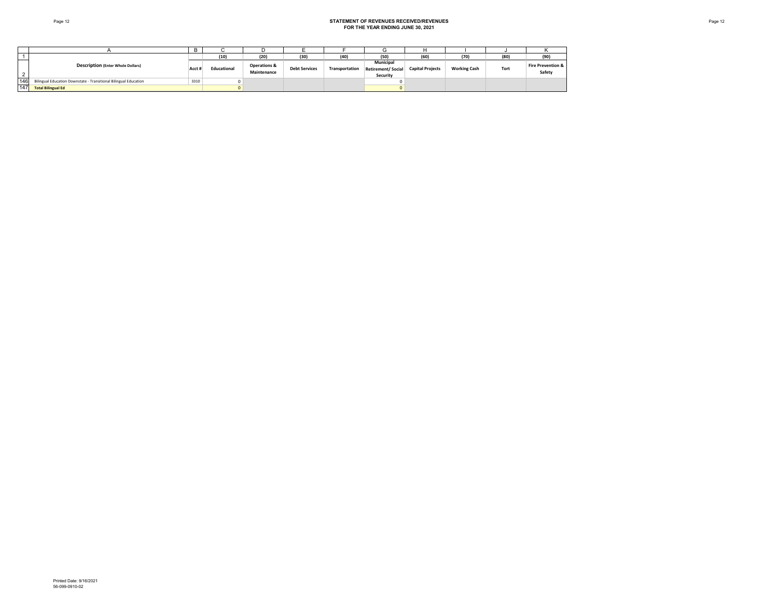#### Page 12 **STATEMENT OF REVENUES RECEIVED/REVENUES FOR THE YEAR ENDING JUNE 30, 2021**

|     |                                                                  |        | (10)        | (20)                                   | (30)                 | (40)           | $1 - \alpha$<br>טכן                        | (60)                    | (70)                | (80  | (90)                                   |
|-----|------------------------------------------------------------------|--------|-------------|----------------------------------------|----------------------|----------------|--------------------------------------------|-------------------------|---------------------|------|----------------------------------------|
|     | <b>Description (Enter Whole Dollars)</b>                         | Acct i | Educational | <b>Operations &amp;</b><br>Maintenance | <b>Debt Services</b> | Transportation | Municipal<br>Retirement/Social<br>Security | <b>Capital Projects</b> | <b>Working Cash</b> | Tort | <b>Fire Prevention &amp;</b><br>Safety |
| 146 | Bilingual Education Downstate - Transitional Bilingual Education | 3310   |             |                                        |                      |                |                                            |                         |                     |      |                                        |
| 147 | <b>Total Bilingual Ed</b>                                        |        |             |                                        |                      |                |                                            |                         |                     |      |                                        |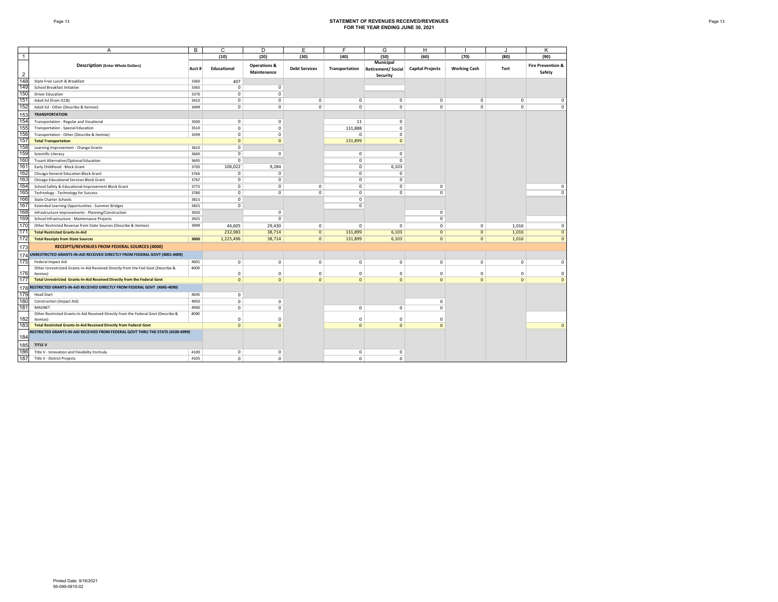#### Page 13 **STATEMENT OF REVENUES RECEIVED/REVENUES FOR THE YEAR ENDING JUNE 30, 2021**

|                | A                                                                                  | B     | C              | D                                      | E                    | F              | G                                                 | H                       |                     |                | Κ                                      |
|----------------|------------------------------------------------------------------------------------|-------|----------------|----------------------------------------|----------------------|----------------|---------------------------------------------------|-------------------------|---------------------|----------------|----------------------------------------|
| $\overline{1}$ |                                                                                    |       | (10)           | (20)                                   | (30)                 | (40)           | (50)                                              | (60)                    | (70)                | (80)           | (90)                                   |
| $\overline{2}$ | <b>Description (Enter Whole Dollars)</b>                                           | Acct# | Educational    | <b>Operations &amp;</b><br>Maintenance | <b>Debt Services</b> | Transportation | Municipal<br><b>Retirement/Social</b><br>Security | <b>Capital Projects</b> | <b>Working Cash</b> | Tort           | <b>Fire Prevention &amp;</b><br>Safety |
| 148            | State Free Lunch & Breakfast                                                       | 3360  | 407            |                                        |                      |                |                                                   |                         |                     |                |                                        |
| 149            | School Breakfast Initiative                                                        | 3365  | $^{\circ}$     | $^{\circ}$                             |                      |                |                                                   |                         |                     |                |                                        |
| 150            | <b>Driver Education</b>                                                            | 3370  | $^{\circ}$     | $^{\circ}$                             |                      |                |                                                   |                         |                     |                |                                        |
| 151            | Adult Ed (from ICCB)                                                               | 3410  | $^{\circ}$     | 0                                      | 0                    | 0              | 0                                                 | 0                       | 0                   | $\mathbf 0$    | 0                                      |
| 152            | Adult Ed - Other (Describe & Itemize)                                              | 3499  | $\overline{0}$ | $^{\circ}$                             | $\overline{0}$       | $\overline{0}$ | $\overline{0}$                                    | $\overline{0}$          | $\overline{0}$      | $\overline{0}$ | $\overline{0}$                         |
| 153            | <b>TRANSPORTATION</b>                                                              |       |                |                                        |                      |                |                                                   |                         |                     |                |                                        |
| 154            | Transportation - Regular and Vocational                                            | 3500  | $\mathbf 0$    | $\Omega$                               |                      | 11             | $\mathbf 0$                                       |                         |                     |                |                                        |
| 155            | Transportation - Special Education                                                 | 3510  | $\mathbf 0$    | $\Omega$                               |                      | 131,888        | $\mathbf 0$                                       |                         |                     |                |                                        |
| 156            | Transportation - Other (Describe & Itemize)                                        | 3599  | $\mathbf 0$    | $\mathbf 0$                            |                      | $^{\circ}$     | $\mathbf 0$                                       |                         |                     |                |                                        |
| 157            | <b>Total Transportation</b>                                                        |       | $\mathbf{0}$   | $\Omega$                               |                      | 131,899        | $\mathbf{0}$                                      |                         |                     |                |                                        |
| 158            | Learning Improvement - Change Grants                                               | 3610  | $\overline{0}$ |                                        |                      |                |                                                   |                         |                     |                |                                        |
| 159            | Scientific Literacy                                                                | 3660  | $\overline{0}$ | $\mathbf 0$                            |                      | $\mathbf 0$    | $\mathbf 0$                                       |                         |                     |                |                                        |
| 160            | Truant Alternative/Optional Education                                              | 3695  | $\overline{0}$ |                                        |                      | $\overline{0}$ | $\overline{0}$                                    |                         |                     |                |                                        |
| 161            | Early Childhood - Block Grant                                                      | 3705  | 106,022        | 9,284                                  |                      | $\overline{0}$ | 6,103                                             |                         |                     |                |                                        |
| 162            | Chicago General Education Block Grant                                              | 3766  | $\overline{0}$ | $\overline{0}$                         |                      | $\overline{0}$ | $\overline{0}$                                    |                         |                     |                |                                        |
| 163            | Chicago Educational Services Block Grant                                           | 3767  | $\overline{0}$ | $^{\circ}$                             |                      | $^{\circ}$     | $\overline{0}$                                    |                         |                     |                |                                        |
| 164            | School Safety & Educational Improvement Block Grant                                | 3775  | $\overline{0}$ | $^{\circ}$                             | 0                    | $^{\circ}$     | $\overline{0}$                                    | 0                       |                     |                | $\circ$                                |
| 165            | Technology - Technology for Success                                                | 3780  | $^{\circ}$     | $^{\circ}$                             | $\overline{0}$       | $\circ$        | $^{\circ}$                                        | $\Omega$                |                     |                | $\overline{0}$                         |
| 166            | <b>State Charter Schools</b>                                                       | 3815  | $\overline{0}$ |                                        |                      | $^{\circ}$     |                                                   |                         |                     |                |                                        |
| 167            | Extended Learning Opportunities - Summer Bridges                                   | 3825  | $\overline{0}$ |                                        |                      | $\Omega$       |                                                   |                         |                     |                |                                        |
| 168            | Infrastructure Improvements - Planning/Construction                                | 3920  |                | $\mathbf 0$                            |                      |                |                                                   | $\mathbf 0$             |                     |                |                                        |
| 169            | School Infrastructure - Maintenance Projects                                       | 3925  |                | $\overline{0}$                         |                      |                |                                                   | $\overline{0}$          |                     |                |                                        |
| 170            | Other Restricted Revenue from State Sources (Describe & Itemize)                   | 3999  | 46,605         | 29,430                                 | 0                    | $^{\circ}$     | $^{\circ}$                                        | 0                       | $\mathbf 0$         | 1,016          | 0                                      |
| 171            | <b>Total Restricted Grants-In-Aid</b>                                              |       | 232,983        | 38,714                                 | $\overline{0}$       | 131,899        | 6,103                                             | $\overline{0}$          | $\overline{0}$      | 1,016          | $\overline{0}$                         |
| 172            | <b>Total Receipts from State Sources</b>                                           | 3000  | 1,225,496      | 38,714                                 | $\overline{0}$       | 131,899        | 6,103                                             | $\overline{0}$          | $\overline{0}$      | 1,016          | $\overline{0}$                         |
| 173            | RECEIPTS/REVENUES FROM FEDERAL SOURCES (4000)                                      |       |                |                                        |                      |                |                                                   |                         |                     |                |                                        |
| 174            | UNRESTRICTED GRANTS-IN-AID RECEIVED DIRECTLY FROM FEDERAL GOVT (4001-4009)         |       |                |                                        |                      |                |                                                   |                         |                     |                |                                        |
| 175            | Federal Impact Aid                                                                 | 4001  | $\circ$        | $^{\circ}$                             | $\circ$              | $\mathbf 0$    | $\mathbf 0$                                       | $\mathbf 0$             | $\mathbf 0$         | $^{\circ}$     | $^{\circ}$                             |
|                | Other Unrestricted Grants-In-Aid Received Directly from the Fed Govt (Describe &   | 4009  |                |                                        |                      |                |                                                   |                         |                     |                |                                        |
| 176            | Itemize)                                                                           |       | $\Omega$       | $\Omega$                               | $\Omega$             | $\Omega$       | $\mathbf 0$                                       | $\Omega$                | $\mathbf 0$         | $^{\circ}$     | $\mathbf 0$                            |
| 177            | Total Unrestricted Grants-In-Aid Received Directly from the Federal Govt           |       | $\mathbf{0}$   | $\mathbf{0}$                           | $\mathbf{0}$         | $\mathbf{0}$   | $\mathbf{0}$                                      | $\mathbf{0}$            | $\mathbf{0}$        | $\mathbf{0}$   | $\Omega$                               |
| 178            | RESTRICTED GRANTS-IN-AID RECEIVED DIRECTLY FROM FEDERAL GOVT (4045-4090)           |       |                |                                        |                      |                |                                                   |                         |                     |                |                                        |
| 179            | <b>Head Start</b>                                                                  | 4045  | $\mathbf 0$    |                                        |                      |                |                                                   |                         |                     |                |                                        |
| 180            | Construction (Impact Aid)                                                          | 4050  | $\mathbf 0$    | $^{\circ}$                             |                      |                |                                                   | $\mathbf 0$             |                     |                |                                        |
| 181            | MAGNET                                                                             | 4060  | $\mathbf 0$    | $\Omega$                               |                      | $\mathbf 0$    | $\mathbf 0$                                       | $\mathbf 0$             |                     |                |                                        |
|                | Other Restricted Grants-In-Aid Received Directly from the Federal Govt (Describe & | 4090  |                |                                        |                      |                |                                                   |                         |                     |                |                                        |
| 182            | Itemize)                                                                           |       | $^{\circ}$     | $\Omega$                               |                      | $^{\circ}$     | $^{\circ}$                                        | 0                       |                     |                |                                        |
| 183            | <b>Total Restricted Grants-In-Aid Received Directly from Federal Govt</b>          |       | $\Omega$       | $\Omega$                               |                      | $\mathbf{0}$   | $\mathbf{0}$                                      | $\Omega$                |                     |                | $\Omega$                               |
| 184            | RESTRICTED GRANTS-IN-AID RECEIVED FROM FEDERAL GOVT THRU THE STATE (4100-4999)     |       |                |                                        |                      |                |                                                   |                         |                     |                |                                        |
| 185            | <b>TITLE V</b>                                                                     |       |                |                                        |                      |                |                                                   |                         |                     |                |                                        |
| 186            | Title V - Innovation and Flexibility Formula                                       | 4100  | $^{\circ}$     | $\Omega$                               |                      | $\circ$        | $\Omega$                                          |                         |                     |                |                                        |
| 187            | Title V - District Projects                                                        | 4105  | $\Omega$       | $\Omega$                               |                      | $\Omega$       | $\Omega$                                          |                         |                     |                |                                        |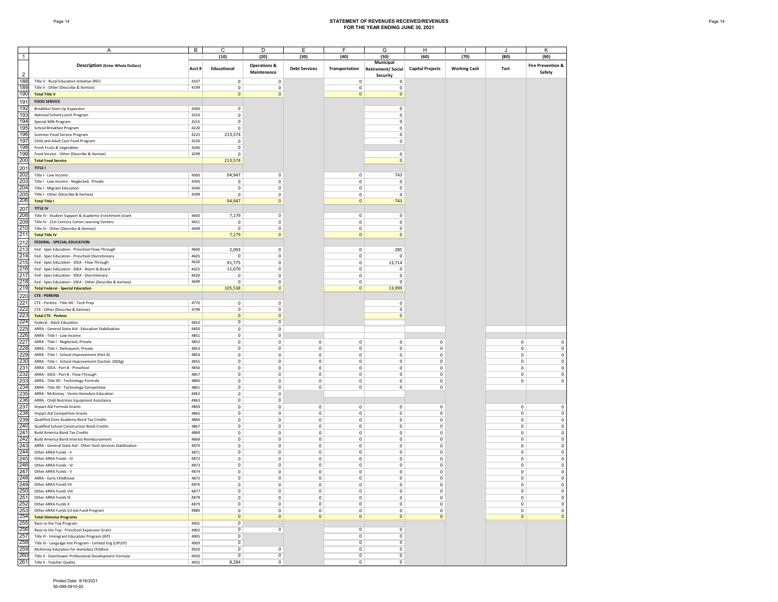#### Page 14 **STATEMENT OF REVENUES RECEIVED/REVENUES FOR THE YEAR ENDING JUNE 30, 2021**

|                | A                                                                                      | В            | C                             | D                                         | E                          | F                          | G                                                 | H                                  |                     |                            | K                                      |
|----------------|----------------------------------------------------------------------------------------|--------------|-------------------------------|-------------------------------------------|----------------------------|----------------------------|---------------------------------------------------|------------------------------------|---------------------|----------------------------|----------------------------------------|
| $\overline{1}$ |                                                                                        |              | (10)                          | (20)                                      | (30)                       | (40)                       | (50)                                              | (60)                               | (70)                | (80)                       | (90)                                   |
| $\overline{2}$ | <b>Description (Enter Whole Dollars)</b>                                               | Acct #       | Educational                   | <b>Operations &amp;</b><br>Maintenance    | <b>Debt Services</b>       | Transportation             | Municipal<br><b>Retirement/Social</b><br>Security | <b>Capital Projects</b>            | <b>Working Cash</b> | Tort                       | <b>Fire Prevention &amp;</b><br>Safety |
| 188            | Title V - Rural Education Initiative (REI)                                             | 4107         | $\mathbf 0$                   | $\mathbf 0$                               |                            | $\mathbf 0$                | 0                                                 |                                    |                     |                            |                                        |
| 189            | Title V - Other (Describe & Itemize)                                                   | 4199         | $\mathsf 0$                   | $\mathbf 0$                               |                            | $\mathbf 0$                | $\mathbf 0$                                       |                                    |                     |                            |                                        |
| 190            | <b>Total Title V</b>                                                                   |              | $\mathbf 0$                   | $\mathbf 0$                               |                            | $\mathbf 0$                | $\mathbf 0$                                       |                                    |                     |                            |                                        |
| 191            | <b>FOOD SERVICE</b>                                                                    |              |                               |                                           |                            |                            |                                                   |                                    |                     |                            |                                        |
| 192            | Breakfast Start-Up Expansion                                                           | 4200<br>4210 | $\mathsf 0$                   |                                           |                            |                            | $\mathsf 0$                                       |                                    |                     |                            |                                        |
| 193<br>194     | National School Lunch Program<br>Special Milk Program                                  | 4215         | $\mathsf 0$<br>$\mathsf 0$    |                                           |                            |                            | 0<br>0                                            |                                    |                     |                            |                                        |
| 195            | School Breakfast Program                                                               | 4220         | $\mathsf 0$                   |                                           |                            |                            | 0                                                 |                                    |                     |                            |                                        |
| 196            | Summer Food Service Program                                                            | 4225         | 213,574                       |                                           |                            |                            | $\mathsf 0$                                       |                                    |                     |                            |                                        |
| 197            | Child and Adult Care Food Program                                                      | 4226         | $\mathsf 0$                   |                                           |                            |                            | $\mathsf 0$                                       |                                    |                     |                            |                                        |
| 198            | Fresh Fruits & Vegetables                                                              | 4240         | $\mathsf 0$                   |                                           |                            |                            |                                                   |                                    |                     |                            |                                        |
| 199            | Food Service - Other (Describe & Itemize)                                              | 4299         | $\mathsf 0$                   |                                           |                            |                            | $\mathbf 0$                                       |                                    |                     |                            |                                        |
| 200            | <b>Total Food Service</b>                                                              |              | 213,574                       |                                           |                            |                            | $\mathbf 0$                                       |                                    |                     |                            |                                        |
| 201            | TITLE I                                                                                |              |                               |                                           |                            |                            |                                                   |                                    |                     |                            |                                        |
| 202            | Title I - Low Income                                                                   | 4300         | 94,947                        | $\mathsf 0$                               |                            | $\mathbf 0$                | 743                                               |                                    |                     |                            |                                        |
| 203            | Title I - Low Income - Neglected, Private                                              | 4305         | $\circ$                       | $\mathsf{O}$                              |                            | $\mathbf 0$                | $\mathsf 0$                                       |                                    |                     |                            |                                        |
| 204            | Title I - Migrant Education                                                            | 4340         | $\mathsf 0$                   | $\mathsf 0$                               |                            | $\mathbf 0$                | $^{\circ}$                                        |                                    |                     |                            |                                        |
| 205            | Title I - Other (Describe & Itemize)                                                   | 4399         | $\mathsf 0$                   | $\mathsf 0$                               |                            | $\mathbf 0$                | $\Omega$                                          |                                    |                     |                            |                                        |
| 206            | <b>Total Title I</b>                                                                   |              | 94,947                        | $\mathbf 0$                               |                            | $\mathbf 0$                | 743                                               |                                    |                     |                            |                                        |
| 207            | <b>TITLE IV</b>                                                                        |              |                               |                                           |                            |                            |                                                   |                                    |                     |                            |                                        |
| 208<br>209     | Title IV - Student Support & Academic Enrichment Grant                                 | 4400<br>4421 | 7,179<br>$\mathsf 0$          | $\mathsf{O}$                              |                            | $\mathbf 0$                | $\mathsf 0$                                       |                                    |                     |                            |                                        |
| 210            | Title IV - 21st Century Comm Learning Centers<br>Title IV - Other (Describe & Itemize) | 4499         | $\mathbf 0$                   | $\mathbf 0$<br>$\mathsf{O}$               |                            | $\mathbf 0$<br>$\mathbf 0$ | $\mathbf 0$<br>$\mathsf 0$                        |                                    |                     |                            |                                        |
| 211            | <b>Total Title IV</b>                                                                  |              | 7,179                         | $\circ$                                   |                            | $\mathbf{0}$               | $\mathbf 0$                                       |                                    |                     |                            |                                        |
| 212            | FEDERAL - SPECIAL EDUCATION                                                            |              |                               |                                           |                            |                            |                                                   |                                    |                     |                            |                                        |
| 213            | Fed - Spec Education - Preschool Flow-Through                                          | 4600         | 2,093                         | $\mathsf 0$                               |                            | $\mathbf 0$                | 285                                               |                                    |                     |                            |                                        |
| 214            | Fed - Spec Education - Preschool Discretionary                                         | 4605         | $\mathsf 0$                   | $\mathsf 0$                               |                            | $\mathbf 0$                | $\circ$                                           |                                    |                     |                            |                                        |
| 215            | Fed - Spec Education - IDEA - Flow Through                                             | 4620         | 91,775                        | $\mathbf 0$                               |                            | $\mathbf 0$                | 13,714                                            |                                    |                     |                            |                                        |
| 216            | Fed - Spec Education - IDEA - Room & Board                                             | 4625         | 11,670                        | $\mathsf 0$                               |                            | $\mathbf 0$                | $\mathbf 0$                                       |                                    |                     |                            |                                        |
| 217            | Fed - Spec Education - IDEA - Discretionary                                            | 4630         | $\mathsf 0$                   | $\mathsf 0$                               |                            | $\mathbf 0$                | 0                                                 |                                    |                     |                            |                                        |
| 218            | Fed - Spec Education - IDEA - Other (Describe & Itemize)                               | 4699         | $\mathsf 0$                   | $\mathsf 0$                               |                            | $\mathsf 0$                | $\mathsf 0$                                       |                                    |                     |                            |                                        |
| 219            | <b>Total Federal - Special Education</b>                                               |              | 105,538                       | $\mathbf{0}$                              |                            | $\mathbf{0}$               | 13,999                                            |                                    |                     |                            |                                        |
| 220            | <b>CTE - PERKINS</b>                                                                   |              |                               |                                           |                            |                            |                                                   |                                    |                     |                            |                                        |
| 221            | CTE - Perkins - Title IIIE - Tech Prep                                                 | 4770         | $\mathsf 0$                   | $\mathsf 0$                               |                            |                            | $^{\circ}$                                        |                                    |                     |                            |                                        |
| 222            | CTE - Other (Describe & Itemize)                                                       | 4799         | $\mathsf 0$                   | $\mathsf 0$                               |                            |                            | $\mathsf 0$                                       |                                    |                     |                            |                                        |
| 223<br>224     | <b>Total CTE - Perkins</b>                                                             |              | $\mathbf 0$<br>$\overline{0}$ | $\overline{0}$<br>$\overline{\mathbf{0}}$ |                            |                            | $\mathbf 0$                                       |                                    |                     |                            |                                        |
| 225            | Federal - Adult Education<br>ARRA - General State Aid - Education Stabilization        | 4810<br>4850 | $\mathbf 0$                   | $\mathsf 0$                               |                            |                            |                                                   |                                    |                     |                            |                                        |
| 226            | ARRA - Title I - Low Income                                                            | 4851         | $\mathsf 0$                   | $\mathsf 0$                               |                            |                            |                                                   |                                    |                     |                            |                                        |
| 227            | ARRA - Title I - Neglected, Private                                                    | 4852         | $\mathsf 0$                   | $\mathsf 0$                               | $\mathbf 0$                | $\mathbf 0$                | $\mathsf 0$                                       | $\mathsf 0$                        |                     | $\mathbf 0$                | $\mathbf 0$                            |
| 228            | ARRA - Title I - Delinquent, Private                                                   | 4853         | $\mathsf 0$                   | $\mathbf 0$                               | $\mathbf 0$                | $\mathbf 0$                | $\mathbf 0$                                       | $\mathsf{O}\xspace$                |                     | $\mathbf 0$                | $\mathbf 0$                            |
| 229            | ARRA - Title I - School Improvement (Part A)                                           | 4854         | $\mathsf 0$                   | $\mathsf 0$                               | $\mathbf 0$                | $\mathbf 0$                | $\mathbf 0$                                       | $\mathsf 0$                        |                     | $\mathbf 0$                | $\mathsf 0$                            |
| 230            | ARRA - Title I - School Improvement (Section 1003g)                                    | 4855         | $\mathsf 0$                   | $\mathsf 0$                               | $\mathbf 0$                | $\mathbf 0$                | $\mathsf 0$                                       | $\mathsf 0$                        |                     | $\mathbf 0$                | $\mathbf 0$                            |
| 231<br>232     | ARRA - IDEA - Part B - Preschool                                                       | 4856<br>4857 | $\mathsf 0$<br>$\mathsf 0$    | $\mathbf 0$<br>$\mathsf 0$                | $\mathbf 0$<br>$\mathbf 0$ | $\mathbf 0$<br>$\mathbf 0$ | $\mathbf 0$<br>$\mathsf 0$                        | $\mathsf{O}\xspace$<br>$\mathsf 0$ |                     | $\mathbf 0$<br>$\mathbf 0$ | 0<br>$\mathsf 0$                       |
| 233            | ARRA - IDEA - Part B - Flow-Through<br>ARRA - Title IID - Technology-Formula           | 4860         | $\mathsf 0$                   | $\mathbf 0$                               | $\mathbf 0$                | $\mathbf 0$                | $\mathbf 0$                                       | $\mathsf{O}\xspace$                |                     | $\mathbf 0$                | $\mathsf 0$                            |
| 234            | ARRA - Title IID - Technology-Competitive                                              | 4861         | $\mathbf 0$                   | $\mathsf 0$                               | $\mathbf 0$                | $\mathbf 0$                | $\circ$                                           | $\mathsf 0$                        |                     |                            |                                        |
| 235            | ARRA - McKinney - Vento Homeless Education                                             | 4862         | $\mathsf 0$                   | $\mathsf 0$                               |                            |                            |                                                   |                                    |                     |                            |                                        |
| 236            | ARRA - Child Nutrition Equipment Assistance                                            | 4863         | $\mathsf 0$                   | $\mathsf 0$                               |                            |                            |                                                   |                                    |                     |                            |                                        |
| 237            | Impact Aid Formula Grants                                                              | 4864         | $\mathsf 0$                   | $\mathsf 0$                               | $\mathbf 0$                | $\mathbf 0$                | $\mathsf 0$                                       | $\mathsf 0$                        |                     | $\mathbf 0$                | $\mathsf 0$                            |
| 238            | Impact Aid Competitive Grants                                                          | 4865         | $\mathsf 0$                   | $\mathbf 0$                               | $\mathbf 0$                | $\mathbf 0$                | $\mathbf 0$                                       | $\mathbf 0$                        |                     | $\mathbf 0$                | $\mathbf 0$                            |
| 239            | Qualified Zone Academy Bond Tax Credits                                                | 4866         | $\mathsf 0$                   | $\mathsf 0$                               | $\mathbf 0$                | $\mathbf 0$                | $\mathbf 0$                                       | $\mathsf 0$                        |                     | $\mathbf 0$                | $\mathsf 0$                            |
| 240            | Qualified School Construction Bond Credits                                             | 4867         | $\mathsf 0$                   | $\mathsf 0$                               | $\mathbf 0$                | $\mathbf 0$                | $\mathbf 0$                                       | $\mathsf 0$                        |                     | $\mathbf 0$                | $\mathbf 0$                            |
| 241<br>242     | <b>Build America Bond Tax Credits</b><br>Build America Bond Interest Reimbursement     | 4868<br>4869 | $\mathsf 0$<br>$\mathsf 0$    | $\mathbf 0$<br>$\mathsf 0$                | $\mathbf 0$<br>$\mathbf 0$ | $\mathbf 0$<br>$\mathbf 0$ | $\mathbf 0$<br>$\mathsf 0$                        | $\mathsf{O}\xspace$<br>$\mathsf 0$ |                     | $\mathbf 0$<br>$\mathbf 0$ | 0<br>$\mathbf 0$                       |
| 243            | ARRA - General State Aid - Other Govt Services Stabilization                           | 4870         | $\mathsf 0$                   | $\mathbf 0$                               | $\mathbf 0$                | $\mathbf 0$                | $\mathbf 0$                                       | $\mathsf{O}\xspace$                |                     | $\mathbf 0$                | $\mathbf 0$                            |
| 244            | Other ARRA Funds - II                                                                  | 4871         | $\mathbf 0$                   | $\mathsf 0$                               | $\mathbf 0$                | $\mathbf 0$                | $\mathbf 0$                                       | $\mathsf 0$                        |                     | $\mathbf 0$                | $\mathbf 0$                            |
| 245            | Other ARRA Funds - III                                                                 | 4872         | $\mathsf 0$                   | $\mathsf 0$                               | $\mathbf 0$                | $\mathbf 0$                | $\mathbf 0$                                       | $\mathsf 0$                        |                     | $\mathbf 0$                | $\mathbf 0$                            |
| 246            | Other ARRA Funds - IV                                                                  | 4873         | $\mathbf 0$                   | $\mathsf 0$                               | $\mathbf 0$                | $\mathbf 0$                | $\mathbf 0$                                       | $\mathbf 0$                        |                     | $\mathbf 0$                | $\mathsf 0$                            |
| 247            | Other ARRA Funds - V                                                                   | 4874         | $\mathsf 0$                   | $\mathsf 0$                               | $\mathbf 0$                | $\mathbf 0$                | $\mathsf 0$                                       | $\mathbf 0$                        |                     | $\mathbf 0$                | $\mathsf 0$                            |
| 248            | ARRA - Early Childhood                                                                 | 4875         | $\mathbf 0$                   | $\mathbf 0$                               | $\mathbf 0$                | $\mathbf 0$                | $\mathbf 0$                                       | 0                                  |                     | 0                          | $\pmb{0}$                              |
| 249            | Other ARRA Funds VII                                                                   | 4876         | U                             | U                                         | U                          | U                          | U                                                 | U                                  |                     | U                          | 0                                      |
| 250            | Other ARRA Funds VIII                                                                  | 4877         | $\mathbf 0$                   | $\mathbf 0$                               | $\mathbf 0$                | $\mathbf 0$                | $\mathbf 0$                                       | $\mathbf 0$                        |                     | $\mathbf 0$                | $\mathbf 0$                            |
| 251<br>252     | Other ARRA Funds IX<br>Other ARRA Funds X                                              | 4878<br>4879 | $\mathsf 0$<br>$\mathbf 0$    | $\circ$<br>$\mathsf 0$                    | $\mathbf 0$<br>$\mathbf 0$ | $\mathbf 0$<br>$\mathbf 0$ | $\mathbf 0$<br>$\mathbf 0$                        | $\mathsf{O}\xspace$<br>$\mathsf 0$ |                     | $\mathbf 0$<br>$\mathbf 0$ | $\mathsf 0$<br>$\mathbf 0$             |
|                | Other ARRA Funds Ed Job Fund Program                                                   | 4880         | $\mathbf 0$                   | $\mathbf 0$                               | $\mathbf 0$                | $\mathbf 0$                | $\mathbf 0$                                       | $\mathsf{O}\xspace$                |                     | $\mathbf 0$                | $\mathbf 0$                            |
| 253<br>254     | <b>Total Stimulus Programs</b>                                                         |              | $\mathbf{0}$                  | $\mathbf{0}$                              | $\mathbf{0}$               | $\mathbf{0}$               | $\mathbf{0}$                                      | $\mathbf 0$                        |                     | $\mathbf{0}$               | $\mathbf 0$                            |
| 255            | Race to the Top Program                                                                | 4901         | $\overline{0}$                |                                           |                            |                            |                                                   |                                    |                     |                            |                                        |
| 256            | Race to the Top - Preschool Expansion Grant                                            | 4902         | $\mathbf 0$                   | $\mathbf 0$                               |                            | $\mathbf 0$                | $\mathbf 0$                                       |                                    |                     |                            |                                        |
| 257            | Title III - Immigrant Education Program (IEP)                                          | 4905         | $\mathbf 0$                   |                                           |                            | $\circ$                    | $\mathbf 0$                                       |                                    |                     |                            |                                        |
| 258            | Title III - Language Inst Program - Limited Eng (LIPLEP)                               | 4909         | $\mathbf 0$                   |                                           |                            | $\overline{0}$             | $\overline{0}$                                    |                                    |                     |                            |                                        |
| 259            | McKinney Education for Homeless Children                                               | 4920         | $\overline{0}$                | 0                                         |                            | $\overline{0}$             | $\overline{0}$                                    |                                    |                     |                            |                                        |
| 260            | Title II - Eisenhower Professional Development Formula                                 | 4930         | $\overline{0}$                | $\overline{0}$                            |                            | $\overline{0}$             | $\overline{0}$                                    |                                    |                     |                            |                                        |
| 261            | Title II - Teacher Quality                                                             | 4932         | 8,284                         | $\overline{0}$                            |                            | $\overline{0}$             | $\overline{0}$                                    |                                    |                     |                            |                                        |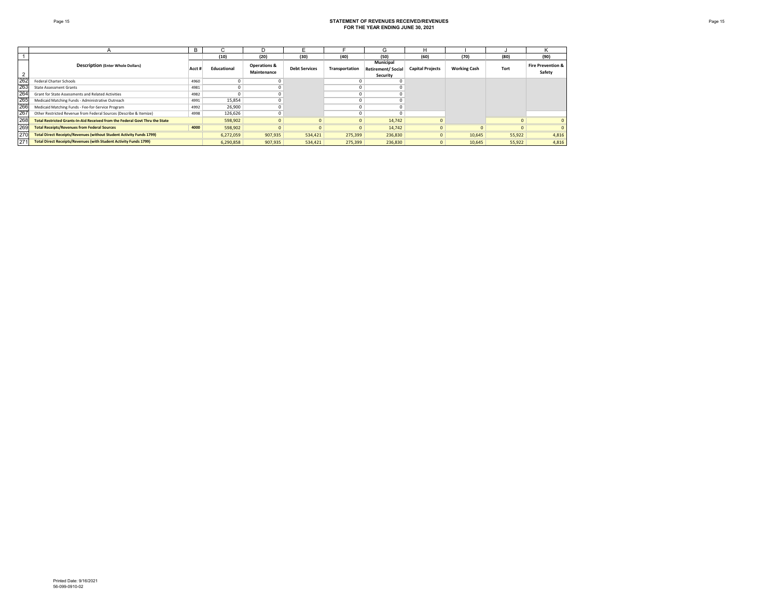|     |                                                                              | B      | ι,          |                                        |                      |                | G                                                 |                         |                     |        |                                        |
|-----|------------------------------------------------------------------------------|--------|-------------|----------------------------------------|----------------------|----------------|---------------------------------------------------|-------------------------|---------------------|--------|----------------------------------------|
|     |                                                                              |        | (10)        | (20)                                   | (30)                 | (40)           | (50)                                              | (60)                    | (70)                | (80)   | (90)                                   |
|     | <b>Description (Enter Whole Dollars)</b>                                     | Acct i | Educational | <b>Operations &amp;</b><br>Maintenance | <b>Debt Services</b> | Transportation | Municipal<br><b>Retirement/Social</b><br>Security | <b>Capital Projects</b> | <b>Working Cash</b> | Tort   | <b>Fire Prevention &amp;</b><br>Safety |
| 262 | Federal Charter Schools                                                      | 4960   |             |                                        |                      |                |                                                   |                         |                     |        |                                        |
| 263 | <b>State Assessment Grants</b>                                               | 4981   |             |                                        |                      |                |                                                   |                         |                     |        |                                        |
| 264 | Grant for State Assessments and Related Activities                           | 4982   | U           |                                        |                      |                |                                                   |                         |                     |        |                                        |
| 265 | Medicaid Matching Funds - Administrative Outreach                            | 4991   | 15,854      |                                        |                      |                |                                                   |                         |                     |        |                                        |
| 266 | Medicaid Matching Funds - Fee-for-Service Program                            | 4992   | 26,900      |                                        |                      |                |                                                   |                         |                     |        |                                        |
| 267 | Other Restricted Revenue from Federal Sources (Describe & Itemize)           | 4998   | 126,626     |                                        |                      |                |                                                   |                         |                     |        |                                        |
| 268 | Total Restricted Grants-In-Aid Received from the Federal Govt Thru the State |        | 598,902     |                                        |                      |                | 14,742                                            |                         |                     |        | $\overline{0}$                         |
| 269 | <b>Total Receipts/Revenues from Federal Sources</b>                          | 4000   | 598,902     |                                        |                      |                | 14,742                                            |                         |                     |        | $\overline{0}$                         |
| 270 | <b>Total Direct Receipts/Revenues (without Student Activity Funds 1799)</b>  |        | 6,272,059   | 907,935                                | 534,421              | 275,399        | 236,830                                           |                         | 10,645              | 55,922 | 4,816                                  |
| 27  | <b>Total Direct Receipts/Revenues (with Student Activity Funds 1799)</b>     |        | 6,290,858   | 907,935                                | 534,421              | 275,399        | 236,830                                           |                         | 10,645              | 55,922 | 4,816                                  |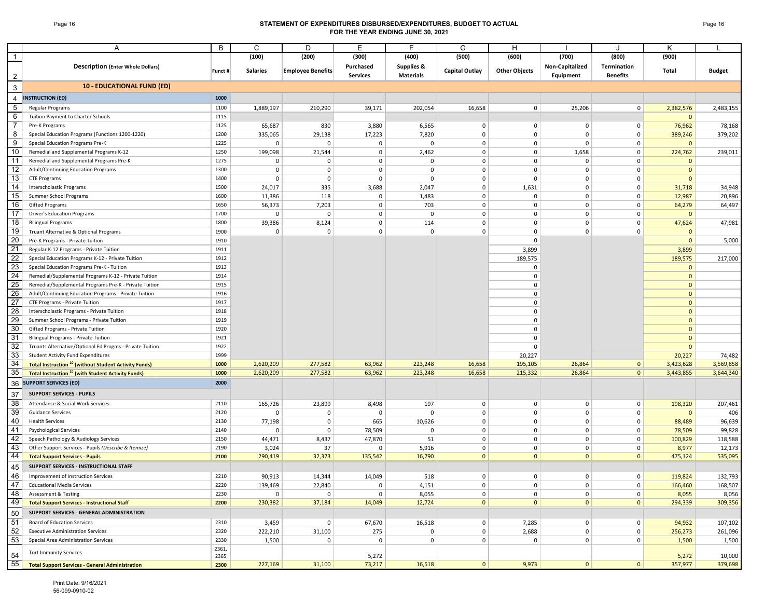## Page 16 **STATEMENT OF EXPENDITURES DISBURSED/EXPENDITURES, BUDGET TO ACTUAL FOR THE YEAR ENDING JUNE 30, 2021**

|                | A                                                                      | B       | C               | D                        | Е               | F.                    | G              | H                    |                 | ۱.                 | K            |               |
|----------------|------------------------------------------------------------------------|---------|-----------------|--------------------------|-----------------|-----------------------|----------------|----------------------|-----------------|--------------------|--------------|---------------|
| $\mathbf{1}$   |                                                                        |         | (100)           | (200)                    | (300)           | (400)                 | (500)          | (600)                | (700)           | (800)              | (900)        |               |
|                | <b>Description (Enter Whole Dollars)</b>                               |         |                 |                          |                 |                       |                |                      |                 | <b>Termination</b> |              |               |
|                |                                                                        | Funct # | <b>Salaries</b> | <b>Employee Benefits</b> | Purchased       | <b>Supplies &amp;</b> | Capital Outlay | <b>Other Objects</b> | Non-Capitalized |                    | Total        | <b>Budget</b> |
| $\overline{2}$ |                                                                        |         |                 |                          | <b>Services</b> | <b>Materials</b>      |                |                      | Equipment       | <b>Benefits</b>    |              |               |
| 3              | <b>10 - EDUCATIONAL FUND (ED)</b>                                      |         |                 |                          |                 |                       |                |                      |                 |                    |              |               |
| $\overline{4}$ | <b>INSTRUCTION (ED)</b>                                                | 1000    |                 |                          |                 |                       |                |                      |                 |                    |              |               |
| $\sqrt{5}$     | Regular Programs                                                       | 1100    | 1,889,197       | 210,290                  | 39,171          | 202,054               | 16,658         | $\mathbf 0$          | 25,206          | 0                  | 2,382,576    | 2,483,155     |
| 6              | Tuition Payment to Charter Schools                                     | 1115    |                 |                          |                 |                       |                |                      |                 |                    | $\mathbf{0}$ |               |
| $\overline{7}$ | Pre-K Programs                                                         | 1125    | 65,687          | 830                      | 3,880           | 6,565                 | 0              | 0                    | 0               | 0                  | 76,962       | 78,168        |
| 8              | Special Education Programs (Functions 1200-1220)                       | 1200    | 335,065         | 29,138                   | 17,223          | 7,820                 | 0              | 0                    | $\mathbf 0$     | $\mathbf 0$        | 389,246      | 379,202       |
| 9              | Special Education Programs Pre-K                                       | 1225    | 0               | $\mathbf 0$              | 0               | $\mathbf 0$           | 0              | 0                    | $\mathbf 0$     | $\mathbf 0$        | $\mathbf{0}$ |               |
| 10             | Remedial and Supplemental Programs K-12                                | 1250    | 199,098         | 21,544                   | 0               | 2,462                 | 0              | 0                    | 1,658           | 0                  | 224,762      | 239,011       |
| 11             | Remedial and Supplemental Programs Pre-K                               | 1275    | 0               | $\mathbf 0$              | 0               | $\mathbf 0$           | 0              | 0                    | 0               | $\mathbf 0$        | $\mathbf{0}$ |               |
| 12             | Adult/Continuing Education Programs                                    | 1300    | $\mathbf 0$     | 0                        | 0               | $\mathbf 0$           | 0              | 0                    | $\overline{0}$  | $\mathbf 0$        | $\mathbf{0}$ |               |
| 13             | <b>CTE Programs</b>                                                    | 1400    | $\mathbf 0$     | 0                        | 0               | $\mathbf 0$           | 0              | $\mathbf 0$          | $\mathbf 0$     | $\mathbf 0$        | $\mathbf{0}$ |               |
| 14             |                                                                        | 1500    |                 | 335                      | 3,688           | 2,047                 | 0              | 1,631                | $\overline{0}$  | 0                  |              |               |
| 15             | Interscholastic Programs                                               |         | 24,017          |                          |                 |                       |                |                      |                 |                    | 31,718       | 34,948        |
| 16             | Summer School Programs                                                 | 1600    | 11,386          | 118                      | 0               | 1,483                 | 0              | $\mathbf 0$          | $\mathbf 0$     | $\mathbf 0$        | 12,987       | 20,896        |
| 17             | Gifted Programs                                                        | 1650    | 56,373          | 7,203                    | 0               | 703                   | 0              | 0                    | $\overline{0}$  | $\mathbf 0$        | 64,279       | 64,497        |
| 18             | <b>Driver's Education Programs</b>                                     | 1700    | $\mathbf 0$     | 0                        | 0               | $\mathbf 0$           | 0              | 0                    | $\mathbf 0$     | $\mathbf 0$        | $\mathbf{0}$ |               |
|                | <b>Bilingual Programs</b>                                              | 1800    | 39,386          | 8,124                    | 0               | 114                   | 0              | 0                    | $\overline{0}$  | $\mathbf 0$        | 47,624       | 47,981        |
| 19             | Truant Alternative & Optional Programs                                 | 1900    | $\mathbf 0$     | $\mathbf 0$              | $\mathbf 0$     | $\mathbf 0$           | 0              | $\mathbf 0$          | $\mathbf 0$     | $\mathbf 0$        | $\mathbf{0}$ |               |
| 20             | Pre-K Programs - Private Tuition                                       | 1910    |                 |                          |                 |                       |                | $\mathbf 0$          |                 |                    | $\mathbf{0}$ | 5,000         |
| 21             | Regular K-12 Programs - Private Tuition                                | 1911    |                 |                          |                 |                       |                | 3,899                |                 |                    | 3,899        |               |
| 22             | Special Education Programs K-12 - Private Tuition                      | 1912    |                 |                          |                 |                       |                | 189,575              |                 |                    | 189,575      | 217,000       |
| 23             | Special Education Programs Pre-K - Tuition                             | 1913    |                 |                          |                 |                       |                | 0                    |                 |                    | $\mathbf{0}$ |               |
| 24             | Remedial/Supplemental Programs K-12 - Private Tuition                  | 1914    |                 |                          |                 |                       |                | 0                    |                 |                    | $\mathbf{0}$ |               |
| 25             | Remedial/Supplemental Programs Pre-K - Private Tuition                 | 1915    |                 |                          |                 |                       |                | $\Omega$             |                 |                    | $\mathbf{0}$ |               |
| 26             | Adult/Continuing Education Programs - Private Tuition                  | 1916    |                 |                          |                 |                       |                | $\mathbf 0$          |                 |                    | $\mathbf{0}$ |               |
| 27             | CTE Programs - Private Tuition                                         | 1917    |                 |                          |                 |                       |                | $\Omega$             |                 |                    | $\mathbf{0}$ |               |
| 28             | Interscholastic Programs - Private Tuition                             | 1918    |                 |                          |                 |                       |                | $\mathbf 0$          |                 |                    | $\mathbf{0}$ |               |
| 29             | Summer School Programs - Private Tuition                               | 1919    |                 |                          |                 |                       |                | 0                    |                 |                    | $\mathbf{0}$ |               |
| 30             | Gifted Programs - Private Tuition                                      | 1920    |                 |                          |                 |                       |                | 0                    |                 |                    | $\mathbf{0}$ |               |
| 31             | Bilingual Programs - Private Tuition                                   | 1921    |                 |                          |                 |                       |                | $\mathbf 0$          |                 |                    | $\mathbf{0}$ |               |
| 32             | Truants Alternative/Optional Ed Progms - Private Tuition               | 1922    |                 |                          |                 |                       |                | $\mathbf 0$          |                 |                    | $\mathbf{0}$ |               |
| 33             | <b>Student Activity Fund Expenditures</b>                              | 1999    |                 |                          |                 |                       |                | 20,227               |                 |                    | 20,227       | 74,482        |
| 34             | <b>Total Instruction<sup>10</sup></b> (without Student Activity Funds) | 1000    | 2,620,209       | 277,582                  | 63,962          | 223,248               | 16,658         | 195,105              | 26,864          | $\overline{0}$     | 3,423,628    | 3,569,858     |
| 35             | <b>Total Instruction<sup>10</sup></b> (with Student Activity Funds)    | 1000    | 2,620,209       | 277,582                  | 63,962          | 223,248               | 16,658         | 215,332              | 26,864          | $\overline{0}$     | 3,443,855    | 3,644,340     |
| 36             | <b>SUPPORT SERVICES (ED)</b>                                           | 2000    |                 |                          |                 |                       |                |                      |                 |                    |              |               |
| 37             | <b>SUPPORT SERVICES - PUPILS</b>                                       |         |                 |                          |                 |                       |                |                      |                 |                    |              |               |
| 38             | Attendance & Social Work Services                                      | 2110    | 165,726         | 23,899                   | 8,498           | 197                   | $\mathbf{0}$   | $\mathbf 0$          | $\mathbf 0$     | $\mathbf 0$        | 198,320      | 207,461       |
| 39             | <b>Guidance Services</b>                                               | 2120    | $\mathbf 0$     | $\mathbf 0$              | $\mathbf 0$     | $\pmb{0}$             | 0              | $\mathbf 0$          | $\overline{0}$  | $\mathbf 0$        | $\mathbf{0}$ | 406           |
| 40             | <b>Health Services</b>                                                 | 2130    | 77,198          | $\mathbf 0$              | 665             | 10,626                | 0              | 0                    | $\mathbf 0$     | $\mathbf 0$        | 88,489       | 96,639        |
| 41             | <b>Psychological Services</b>                                          | 2140    | $\mathbf 0$     | $\mathbf 0$              | 78,509          | 0                     | 0              | $\mathbf 0$          | $\overline{0}$  | $\mathbf 0$        | 78,509       | 99,828        |
| 42             | Speech Pathology & Audiology Services                                  | 2150    | 44,471          | 8,437                    | 47,870          | 51                    | 0              | 0                    | $\mathbf 0$     | $\mathsf 0$        | 100,829      | 118,588       |
| 43             | Other Support Services - Pupils (Describe & Itemize)                   | 2190    | 3,024           | 37                       | 0               | 5,916                 | 0              | 0                    | $\overline{0}$  | $\mathbf 0$        | 8,977        | 12,173        |
| 44             | <b>Total Support Services - Pupils</b>                                 | 2100    | 290,419         | 32,373                   | 135,542         | 16,790                | $\mathbf{0}$   | $\mathbf{0}$         | $\mathbf{0}$    | $\mathbf{0}$       | 475,124      | 535,095       |
|                |                                                                        |         |                 |                          |                 |                       |                |                      |                 |                    |              |               |
| 45             | SUPPORT SERVICES - INSTRUCTIONAL STAFF                                 |         |                 |                          |                 |                       |                |                      |                 |                    |              |               |
| 46             | Improvement of Instruction Services                                    | 2210    | 90,913          | 14,344                   | 14,049          | 518                   | $\mathbf{0}$   | $\mathbf 0$          | $\overline{0}$  | 0                  | 119,824      | 132,793       |
| 47             | <b>Educational Media Services</b>                                      | 2220    | 139,469         | 22,840                   | $\overline{0}$  | 4,151                 | $\overline{0}$ | $\overline{0}$       | $\overline{0}$  | 0                  | 166,460      | 168,507       |
| 48             | Assessment & Testing                                                   | 2230    | 0               | $\mathbf 0$              | 0               | 8,055                 | 0              | $\mathsf 0$          | $\overline{0}$  | $\mathsf 0$        | 8,055        | 8,056         |
| 49             | <b>Total Support Services - Instructional Staff</b>                    | 2200    | 230,382         | 37,184                   | 14,049          | 12,724                | $\overline{0}$ | $\mathbf 0$          | $\mathbf{0}$    | $\overline{0}$     | 294,339      | 309,356       |
| 50             | SUPPORT SERVICES - GENERAL ADMINISTRATION                              |         |                 |                          |                 |                       |                |                      |                 |                    |              |               |
| 51             | <b>Board of Education Services</b>                                     | 2310    | 3,459           | $\mathbf 0$              | 67,670          | 16,518                | 0              | 7,285                | 0 <sup>1</sup>  | $\overline{0}$     | 94,932       | 107,102       |
| 52             | <b>Executive Administration Services</b>                               | 2320    | 222,210         | 31,100                   | 275             | 0                     | $\mathbf{0}$   | 2,688                | $\overline{0}$  | $\mathsf 0$        | 256,273      | 261,096       |
| 53             | Special Area Administration Services                                   | 2330    | 1,500           | $\mathbf 0$              | 0               | 0                     | $\mathbf{0}$   | $\mathbf 0$          | $\overline{0}$  | $\mathbf 0$        | 1,500        | 1,500         |
|                | <b>Tort Immunity Services</b>                                          | 2361,   |                 |                          |                 |                       |                |                      |                 |                    |              |               |
| 54             |                                                                        | 2365    |                 |                          | 5,272           |                       |                |                      |                 |                    | 5,272        | 10,000        |
| 55             | <b>Total Support Services - General Administration</b>                 | 2300    | 227,169         | 31,100                   | 73,217          | 16,518                | 0              | 9,973                | 0               | 0                  | 357,977      | 379,698       |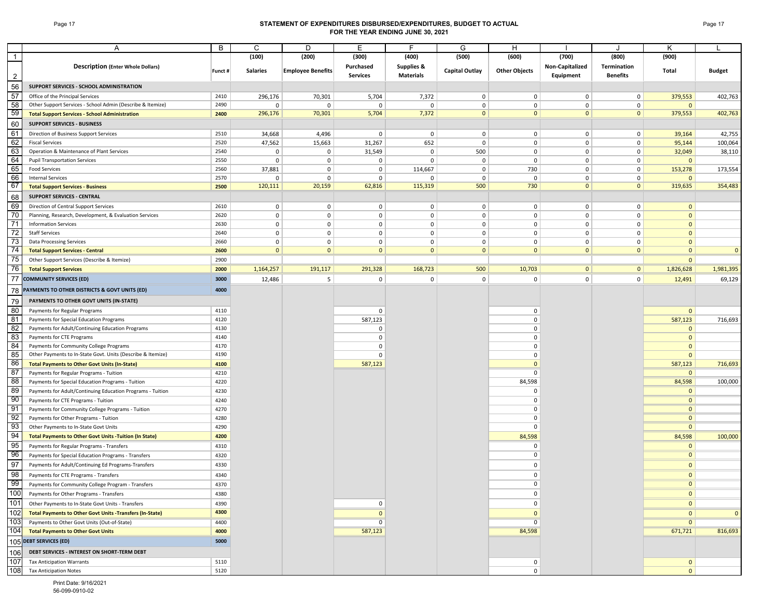### Page 17 **STATEMENT OF EXPENDITURES DISBURSED/EXPENDITURES, BUDGET TO ACTUAL FOR THE YEAR ENDING JUNE 30, 2021**

|                | Α                                                                                               | В            | C                      | D                          | Е                          | F                     | G                | H                       |                               |                               | Κ                            |                |
|----------------|-------------------------------------------------------------------------------------------------|--------------|------------------------|----------------------------|----------------------------|-----------------------|------------------|-------------------------|-------------------------------|-------------------------------|------------------------------|----------------|
| $\overline{1}$ |                                                                                                 |              | (100)                  | (200)                      | (300)                      | (400)                 | (500)            | (600)                   | (700)                         | (800)                         | (900)                        |                |
|                | <b>Description (Enter Whole Dollars)</b>                                                        |              |                        |                            | Purchased                  | <b>Supplies &amp;</b> |                  |                         | Non-Capitalized               | Termination                   |                              |                |
| $\overline{2}$ |                                                                                                 | Funct #      | <b>Salaries</b>        | <b>Employee Benefits</b>   | <b>Services</b>            | <b>Materials</b>      | Capital Outlay   | <b>Other Objects</b>    | Equipment                     | <b>Benefits</b>               | Total                        | <b>Budget</b>  |
| 56             | SUPPORT SERVICES - SCHOOL ADMINISTRATION                                                        |              |                        |                            |                            |                       |                  |                         |                               |                               |                              |                |
| 57             | Office of the Principal Services                                                                | 2410         | 296,176                | 70,301                     | 5,704                      | 7,372                 | $\mathbf 0$      | $\mathbf 0$             | $\mathbf 0$                   | $\mathbf 0$                   | 379,553                      | 402,763        |
| 58             | Other Support Services - School Admin (Describe & Itemize)                                      | 2490         | $\mathbf 0$            | $\Omega$                   | $\mathbf 0$                | 0                     | $\mathbf 0$      | $\mathbf 0$             | $\mathbf 0$                   | $\mathbf 0$                   | $\mathbf{0}$                 |                |
| 59             | <b>Total Support Services - School Administration</b>                                           | 2400         | 296,176                | 70,301                     | 5,704                      | 7,372                 | $\overline{0}$   | $\mathbf{0}$            | $\mathbf{0}$                  | $\overline{0}$                | 379,553                      | 402,763        |
| 60             | <b>SUPPORT SERVICES - BUSINESS</b>                                                              |              |                        |                            |                            |                       |                  |                         |                               |                               |                              |                |
| 61             | Direction of Business Support Services                                                          | 2510         | 34,668                 | 4,496                      | $\mathbf 0$                | 0                     | $\overline{0}$   | $\mathbf 0$             | $\overline{0}$                | $\pmb{0}$                     | 39,164                       | 42,755         |
| 62             | <b>Fiscal Services</b>                                                                          | 2520         | 47,562                 | 15,663                     | 31,267                     | 652                   | $\mathbf 0$      | $\mathbf 0$             | $\mathbf 0$                   | $\mathsf 0$                   | 95,144                       | 100,064        |
| 63             | Operation & Maintenance of Plant Services                                                       | 2540         | $\mathbf 0$            | 0                          | 31,549                     | $\mathsf 0$           | 500              | $\mathbf 0$             | $\mathbf 0$                   | $\mathbf 0$                   | 32,049                       | 38,110         |
| 64             | <b>Pupil Transportation Services</b>                                                            | 2550         | $\mathbf 0$            | $\mathbf 0$                | $\mathbf 0$                | 0                     | $\mathbf 0$      | $\mathbf 0$             | $\mathbf 0$                   | $\pmb{0}$                     | $\mathbf{0}$                 |                |
| 65<br>66       | <b>Food Services</b>                                                                            | 2560         | 37,881                 | $\mathbf 0$                | $\mathbf 0$                | 114,667               | $\mathbf 0$      | 730                     | $\mathbf 0$                   | $\mathbf 0$                   | 153,278                      | 173,554        |
| 67             | <b>Internal Services</b><br><b>Total Support Services - Business</b>                            | 2570<br>2500 | $\mathbf 0$<br>120,111 | $\mathbf 0$<br>20,159      | $\mathbf 0$<br>62,816      | 0<br>115,319          | $\pmb{0}$<br>500 | $\mathbf 0$<br>730      | $\mathbf 0$<br>$\overline{0}$ | $\mathbf 0$<br>$\overline{0}$ | $\mathbf 0$<br>319,635       | 354,483        |
|                | <b>SUPPORT SERVICES - CENTRAL</b>                                                               |              |                        |                            |                            |                       |                  |                         |                               |                               |                              |                |
| 68<br>69       |                                                                                                 | 2610         |                        |                            |                            |                       | $\overline{0}$   |                         | $\mathbf 0$                   | $\mathbf 0$                   |                              |                |
| 70             | Direction of Central Support Services<br>Planning, Research, Development, & Evaluation Services | 2620         | 0<br>$\mathbf 0$       | $\mathbf 0$<br>$\mathbf 0$ | $\mathbf 0$<br>$\mathbf 0$ | 0<br>0                | $\mathbf 0$      | 0<br>$\mathbf 0$        | $\mathbf 0$                   | $\mathbf 0$                   | $\mathbf{0}$<br>$\mathbf{0}$ |                |
| 71             | <b>Information Services</b>                                                                     | 2630         | $\mathbf 0$            | 0                          | $\mathbf 0$                | 0                     | $\mathbf 0$      | $\mathbf 0$             | 0                             | $\mathbf 0$                   | $\Omega$                     |                |
| 72             | <b>Staff Services</b>                                                                           | 2640         | $\mathbf 0$            | 0                          | $\mathbf 0$                | 0                     | $\mathbf 0$      | $\mathbf 0$             | $\mathbf 0$                   | $\mathbf 0$                   | $\mathbf{0}$                 |                |
| 73             | <b>Data Processing Services</b>                                                                 | 2660         | $\mathbf 0$            | 0                          | $\mathbf{0}$               | 0                     | $\mathbf 0$      | $\mathbf 0$             | $\mathbf 0$                   | 0                             | $\mathbf{0}$                 |                |
| 74             | <b>Total Support Services - Central</b>                                                         | 2600         | $\mathbf{0}$           | $\mathbf{0}$               | $\mathbf{0}$               | $\mathbf{0}$          | $\mathbf{0}$     | $\mathbf{0}$            | $\overline{0}$                | $\mathbf{0}$                  | $\mathbf{0}$                 | $\overline{0}$ |
| 75             | Other Support Services (Describe & Itemize)                                                     | 2900         |                        |                            |                            |                       |                  |                         |                               |                               | $\mathbf{0}$                 |                |
| 76             | <b>Total Support Services</b>                                                                   | 2000         | 1,164,257              | 191,117                    | 291,328                    | 168,723               | 500              | 10,703                  | $\overline{0}$                | $\mathbf{0}$                  | 1,826,628                    | 1,981,395      |
| 77             | <b>COMMUNITY SERVICES (ED)</b>                                                                  | 3000         | 12,486                 | 5                          | $\mathbf 0$                | $\pmb{0}$             | $\overline{0}$   | $\mathbf 0$             | $\overline{0}$                | $\mathbf 0$                   | 12,491                       | 69,129         |
| 78             | PAYMENTS TO OTHER DISTRICTS & GOVT UNITS (ED)                                                   | 4000         |                        |                            |                            |                       |                  |                         |                               |                               |                              |                |
| 79             | PAYMENTS TO OTHER GOVT UNITS (IN-STATE)                                                         |              |                        |                            |                            |                       |                  |                         |                               |                               |                              |                |
| 80             | Payments for Regular Programs                                                                   | 4110         |                        |                            | $\Omega$                   |                       |                  | 0                       |                               |                               | $\overline{0}$               |                |
| 81             | Payments for Special Education Programs                                                         | 4120         |                        |                            | 587,123                    |                       |                  | $\Omega$                |                               |                               | 587,123                      | 716,693        |
| 82             | Payments for Adult/Continuing Education Programs                                                | 4130         |                        |                            | $\mathbf 0$                |                       |                  | $\mathbf 0$             |                               |                               | $\overline{0}$               |                |
| 83             | Payments for CTE Programs                                                                       | 4140         |                        |                            | $\mathbf 0$                |                       |                  | $\Omega$                |                               |                               | $\mathbf{0}$                 |                |
| 84             | Payments for Community College Programs                                                         | 4170         |                        |                            | $\mathbf 0$                |                       |                  | 0                       |                               |                               | $\mathbf{0}$                 |                |
| 85             | Other Payments to In-State Govt. Units (Describe & Itemize)                                     | 4190         |                        |                            | $\mathbf 0$                |                       |                  | $\mathbf 0$             |                               |                               | $\mathbf{0}$                 |                |
| 86             | <b>Total Payments to Other Govt Units (In-State)</b>                                            | 4100         |                        |                            | 587,123                    |                       |                  | $\overline{0}$          |                               |                               | 587,123                      | 716,693        |
| 87             | Payments for Regular Programs - Tuition                                                         | 4210         |                        |                            |                            |                       |                  | $\mathbf 0$             |                               |                               | $\overline{0}$               |                |
| 88             | Payments for Special Education Programs - Tuition                                               | 4220         |                        |                            |                            |                       |                  | 84,598                  |                               |                               | 84,598                       | 100,000        |
| 89<br>-90      | Payments for Adult/Continuing Education Programs - Tuition                                      | 4230         |                        |                            |                            |                       |                  | $\Omega$<br>$\mathbf 0$ |                               |                               | $\mathbf{0}$<br>$\mathbf{0}$ |                |
| 91             | Payments for CTE Programs - Tuition<br>Payments for Community College Programs - Tuition        | 4240<br>4270 |                        |                            |                            |                       |                  | $\mathbf 0$             |                               |                               | $\mathbf{0}$                 |                |
| 92             | Payments for Other Programs - Tuition                                                           | 4280         |                        |                            |                            |                       |                  | $\mathbf 0$             |                               |                               | $\mathbf{0}$                 |                |
| 93             | Other Payments to In-State Govt Units                                                           | 4290         |                        |                            |                            |                       |                  | 0                       |                               |                               | $\mathbf{0}$                 |                |
| 94             | <b>Total Payments to Other Govt Units -Tuition (In State)</b>                                   | 4200         |                        |                            |                            |                       |                  | 84,598                  |                               |                               | 84,598                       | 100,000        |
| 95             | Payments for Regular Programs - Transfers                                                       | 4310         |                        |                            |                            |                       |                  | 0                       |                               |                               | $\mathbf{0}$                 |                |
| 96             | Payments for Special Education Programs - Transfers                                             | 4320         |                        |                            |                            |                       |                  | $\mathbf 0$             |                               |                               | $\overline{0}$               |                |
| 97             | Payments for Adult/Continuing Ed Programs-Transfers                                             | 4330         |                        |                            |                            |                       |                  | - 0                     |                               |                               | $\mathbf{0}$                 |                |
| 98             | Payments for CTE Programs - Transfers                                                           | 4340         |                        |                            |                            |                       |                  | $\mathbf 0$             |                               |                               | $\overline{0}$               |                |
| 99             | Payments for Community College Program - Transfers                                              | 4370         |                        |                            |                            |                       |                  | 0                       |                               |                               | 0                            |                |
| 100            | Payments for Other Programs - Transfers                                                         | 4380         |                        |                            |                            |                       |                  | $\mathbf 0$             |                               |                               | $\overline{0}$               |                |
| 101            | Other Payments to In-State Govt Units - Transfers                                               | 4390         |                        |                            | 0                          |                       |                  | $\Omega$                |                               |                               | $\overline{0}$               |                |
| 102            | <b>Total Payments to Other Govt Units -Transfers (In-State)</b>                                 | 4300         |                        |                            | $\mathbf{0}$               |                       |                  | $\Omega$                |                               |                               | $\overline{0}$               | $\mathbf{0}$   |
| 103            | Payments to Other Govt Units (Out-of-State)                                                     | 4400         |                        |                            | 0                          |                       |                  | 0                       |                               |                               | $\overline{0}$               |                |
| 104            | <b>Total Payments to Other Govt Units</b>                                                       | 4000         |                        |                            | 587,123                    |                       |                  | 84,598                  |                               |                               | 671,721                      | 816,693        |
|                | 105 DEBT SERVICES (ED)                                                                          | 5000         |                        |                            |                            |                       |                  |                         |                               |                               |                              |                |
| 106            | DEBT SERVICES - INTEREST ON SHORT-TERM DEBT                                                     |              |                        |                            |                            |                       |                  |                         |                               |                               |                              |                |
| 107            | <b>Tax Anticipation Warrants</b>                                                                | 5110         |                        |                            |                            |                       |                  | 0                       |                               |                               | $\overline{0}$               |                |
| 108            | <b>Tax Anticipation Notes</b>                                                                   | 5120         |                        |                            |                            |                       |                  | $\mathbf 0$             |                               |                               | $\overline{0}$               |                |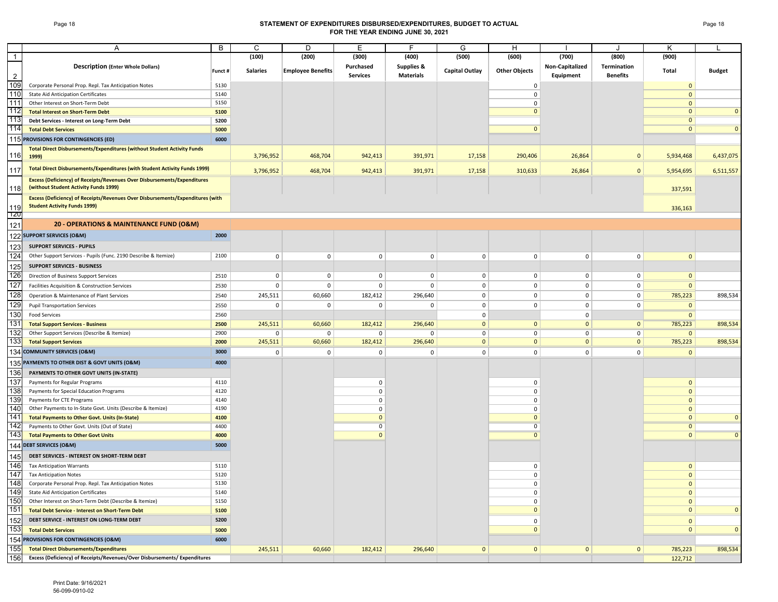### Page 18 **STATEMENT OF EXPENDITURES DISBURSED/EXPENDITURES, BUDGET TO ACTUAL FOR THE YEAR ENDING JUNE 30, 2021**

|                | Α                                                                                 | B            | C                      | D                        | Е                | F.                    | G                           | H                    |                            |                 | Κ                            |               |
|----------------|-----------------------------------------------------------------------------------|--------------|------------------------|--------------------------|------------------|-----------------------|-----------------------------|----------------------|----------------------------|-----------------|------------------------------|---------------|
| $\overline{1}$ |                                                                                   |              | (100)                  | (200)                    | (300)            | (400)                 | (500)                       | (600)                | (700)                      | (800)           | (900)                        |               |
|                | <b>Description (Enter Whole Dollars)</b>                                          |              |                        |                          | Purchased        | <b>Supplies &amp;</b> |                             |                      | Non-Capitalized            | Termination     |                              |               |
| 2              |                                                                                   | Funct #      | <b>Salaries</b>        | <b>Employee Benefits</b> | <b>Services</b>  | <b>Materials</b>      | Capital Outlay              | <b>Other Objects</b> | Equipment                  | <b>Benefits</b> | Total                        | <b>Budget</b> |
| 109            | Corporate Personal Prop. Repl. Tax Anticipation Notes                             | 5130         |                        |                          |                  |                       |                             | 0                    |                            |                 | $\mathbf{0}$                 |               |
| 110            | <b>State Aid Anticipation Certificates</b>                                        | 5140         |                        |                          |                  |                       |                             | $\pmb{0}$            |                            |                 | $\mathbf{0}$                 |               |
| 111            | Other Interest on Short-Term Debt                                                 | 5150         |                        |                          |                  |                       |                             | $\Omega$             |                            |                 | $\mathbf{0}$                 |               |
| 112            | <b>Total Interest on Short-Term Debt</b>                                          | 5100         |                        |                          |                  |                       |                             | $\mathbf{0}$         |                            |                 | $\mathbf{0}$                 | $\Omega$      |
| 113            | Debt Services - Interest on Long-Term Debt                                        | 5200         |                        |                          |                  |                       |                             |                      |                            |                 | $\mathbf{0}$                 |               |
| 114            | <b>Total Debt Services</b>                                                        | 5000         |                        |                          |                  |                       |                             | $\mathbf{0}$         |                            |                 | $\mathbf{0}$                 | $\Omega$      |
|                | 115 PROVISIONS FOR CONTINGENCIES (ED)                                             | 6000         |                        |                          |                  |                       |                             |                      |                            |                 |                              |               |
|                | <b>Total Direct Disbursements/Expenditures (without Student Activity Funds</b>    |              |                        |                          |                  |                       |                             |                      |                            |                 |                              |               |
| 116            | 1999)                                                                             |              | 3,796,952              | 468,704                  | 942,413          | 391,971               | 17,158                      | 290,406              | 26,864                     | $\mathbf{0}$    | 5,934,468                    | 6,437,075     |
| 117            | <b>Total Direct Disbursements/Expenditures (with Student Activity Funds 1999)</b> |              | 3,796,952              | 468,704                  | 942,413          | 391,971               | 17,158                      | 310,633              | 26,864                     | $\mathbf{0}$    | 5,954,695                    | 6,511,557     |
|                | <b>Excess (Deficiency) of Receipts/Revenues Over Disbursements/Expenditures</b>   |              |                        |                          |                  |                       |                             |                      |                            |                 |                              |               |
| 118            | (without Student Activity Funds 1999)                                             |              |                        |                          |                  |                       |                             |                      |                            |                 | 337,591                      |               |
|                | Excess (Deficiency) of Receipts/Revenues Over Disbursements/Expenditures (with    |              |                        |                          |                  |                       |                             |                      |                            |                 |                              |               |
| 119            | <b>Student Activity Funds 1999)</b>                                               |              |                        |                          |                  |                       |                             |                      |                            |                 | 336,163                      |               |
| 120            |                                                                                   |              |                        |                          |                  |                       |                             |                      |                            |                 |                              |               |
| 121            | 20 - OPERATIONS & MAINTENANCE FUND (O&M)                                          |              |                        |                          |                  |                       |                             |                      |                            |                 |                              |               |
|                | 122 SUPPORT SERVICES (O&M)                                                        | 2000         |                        |                          |                  |                       |                             |                      |                            |                 |                              |               |
| 123            | <b>SUPPORT SERVICES - PUPILS</b>                                                  |              |                        |                          |                  |                       |                             |                      |                            |                 |                              |               |
| 124            | Other Support Services - Pupils (Func. 2190 Describe & Itemize)                   | 2100         | $\mathbf 0$            | $\mathbf 0$              | 0                | $\mathbf 0$           | $\mathbf 0$                 | $\mathbf 0$          | $\mathbf 0$                | $\mathbf 0$     | $\mathbf{0}$                 |               |
| 125            | <b>SUPPORT SERVICES - BUSINESS</b>                                                |              |                        |                          |                  |                       |                             |                      |                            |                 |                              |               |
| 126            | Direction of Business Support Services                                            | 2510         | 0                      | 0                        | 0                | 0                     | 0                           | 0                    | 0                          | $\Omega$        | $\mathbf 0$                  |               |
| 127            | Facilities Acquisition & Construction Services                                    | 2530         | $\mathbf 0$            | 0                        | 0                | $\mathbf 0$           | $\mathbf 0$                 | $\mathbf 0$          | $\mathbf 0$                | $\mathbf 0$     | $\mathbf 0$                  |               |
| 128            | Operation & Maintenance of Plant Services                                         | 2540         |                        | 60,660                   | 182,412          |                       | $\mathbf 0$                 | $\pmb{0}$            | $\mathbf 0$                | $\mathbf 0$     |                              | 898,534       |
| 129            |                                                                                   |              | 245,511<br>$\mathbf 0$ | 0                        | $\mathbf 0$      | 296,640<br>0          | $\mathbf 0$                 | $\mathbf 0$          | $\mathbf 0$                | $\Omega$        | 785,223<br>$\overline{0}$    |               |
| 130            | <b>Pupil Transportation Services</b>                                              | 2550         |                        |                          |                  |                       |                             |                      |                            |                 |                              |               |
| 131            | <b>Food Services</b><br><b>Total Support Services - Business</b>                  | 2560         | 245,511                | 60,660                   | 182,412          | 296,640               | $\mathbf 0$<br>$\mathbf{0}$ | $\mathbf{0}$         | $\mathbf 0$<br>$\mathbf 0$ | $\mathbf{0}$    | $\mathbf 0$<br>785,223       | 898,534       |
| 132            | Other Support Services (Describe & Itemize)                                       | 2500<br>2900 | 0                      | 0                        | 0                | $\mathbf 0$           | $\mathbf 0$                 | 0                    | $\mathbf 0$                | $\mathbf 0$     | $\mathbf 0$                  |               |
| 133            | <b>Total Support Services</b>                                                     | 2000         | 245,511                | 60,660                   | 182,412          | 296,640               | $\overline{0}$              | $\mathbf{0}$         | $\mathbf{0}$               | $\mathbf{0}$    | 785,223                      | 898,534       |
|                | 134 COMMUNITY SERVICES (O&M)                                                      | 3000         | $\mathbf 0$            | $\mathbf 0$              | $\Omega$         | $\mathbf 0$           | $\mathbf 0$                 | $\mathbf 0$          | $\mathbf 0$                | $\mathbf 0$     | $\mathbf{0}$                 |               |
|                | 135 PAYMENTS TO OTHER DIST & GOVT UNITS (O&M)                                     | 4000         |                        |                          |                  |                       |                             |                      |                            |                 |                              |               |
|                |                                                                                   |              |                        |                          |                  |                       |                             |                      |                            |                 |                              |               |
| 136<br>137     | PAYMENTS TO OTHER GOVT UNITS (IN-STATE)                                           |              |                        |                          |                  |                       |                             |                      |                            |                 |                              |               |
| 138            | Payments for Regular Programs<br>Payments for Special Education Programs          | 4110<br>4120 |                        |                          | 0<br>$\mathbf 0$ |                       |                             | 0<br>$\Omega$        |                            |                 | $\mathbf{0}$<br>$\mathbf{0}$ |               |
| 139            | Payments for CTE Programs                                                         | 4140         |                        |                          | $\mathbf 0$      |                       |                             | $\Omega$             |                            |                 | $\mathbf{0}$                 |               |
| 140            | Other Payments to In-State Govt. Units (Describe & Itemize)                       | 4190         |                        |                          | $\mathbf 0$      |                       |                             | $\Omega$             |                            |                 | $\mathbf{0}$                 |               |
| 141            | <b>Total Payments to Other Govt. Units (In-State)</b>                             | 4100         |                        |                          | $\mathbf{0}$     |                       |                             | $\Omega$             |                            |                 | $\mathbf 0$                  | $\Omega$      |
| 142            | Payments to Other Govt. Units (Out of State)                                      | 4400         |                        |                          | 0                |                       |                             | $\overline{0}$       |                            |                 | $\overline{0}$               |               |
| 143            | <b>Total Payments to Other Govt Units</b>                                         | 4000         |                        |                          | $\Omega$         |                       |                             | $\Omega$             |                            |                 | $\overline{0}$               |               |
| 144            | <b>DEBT SERVICES (O&amp;M)</b>                                                    | 5000         |                        |                          |                  |                       |                             |                      |                            |                 |                              |               |
| 145            | DEBT SERVICES - INTEREST ON SHORT-TERM DEBT                                       |              |                        |                          |                  |                       |                             |                      |                            |                 |                              |               |
| 146            | <b>Tax Anticipation Warrants</b>                                                  | 5110         |                        |                          |                  |                       |                             | 0                    |                            |                 | $\mathbf 0$                  |               |
| 147            | <b>Tax Anticipation Notes</b>                                                     | 5120         |                        |                          |                  |                       |                             | 0                    |                            |                 | $\mathbf 0$                  |               |
| 148            | Corporate Personal Prop. Repl. Tax Anticipation Notes                             | 5130         |                        |                          |                  |                       |                             | 0                    |                            |                 | $\mathbf{0}$                 |               |
| 149            | <b>State Aid Anticipation Certificates</b>                                        | 5140         |                        |                          |                  |                       |                             | $\mathbf 0$          |                            |                 | $\mathbf 0$                  |               |
| 150            | Other Interest on Short-Term Debt (Describe & Itemize)                            | 5150         |                        |                          |                  |                       |                             | $\mathbf 0$          |                            |                 | $\mathbf{0}$                 |               |
| 151            | <b>Total Debt Service - Interest on Short-Term Debt</b>                           | 5100         |                        |                          |                  |                       |                             | $\mathbf{0}$         |                            |                 | $\mathbf{0}$                 | $\mathbf{0}$  |
| 152            | DEBT SERVICE - INTEREST ON LONG-TERM DEBT                                         | 5200         |                        |                          |                  |                       |                             | $\mathbf 0$          |                            |                 | $\mathbf{0}$                 |               |
| 153            | <b>Total Debt Services</b>                                                        | 5000         |                        |                          |                  |                       |                             | $\mathbf{0}$         |                            |                 | $\mathbf 0$                  | $\mathbf{0}$  |
|                | 154 PROVISIONS FOR CONTINGENCIES (O&M)                                            | 6000         |                        |                          |                  |                       |                             |                      |                            |                 |                              |               |
| 155            | <b>Total Direct Disbursements/Expenditures</b>                                    |              | 245,511                | 60,660                   | 182,412          | 296,640               | $\mathbf{0}$                | $\mathbf{0}$         | $\mathbf{0}$               | $\mathbf{0}$    | 785,223                      | 898,534       |
| 156            | Excess (Deficiency) of Receipts/Revenues/Over Disbursements/ Expenditures         |              |                        |                          |                  |                       |                             |                      |                            |                 | 122,712                      |               |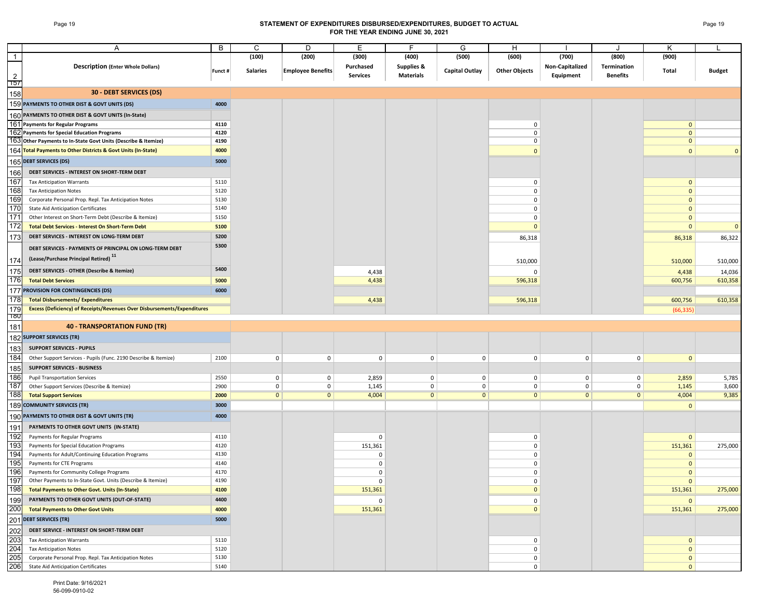## Page 19 **STATEMENT OF EXPENDITURES DISBURSED/EXPENDITURES, BUDGET TO ACTUAL FOR THE YEAR ENDING JUNE 30, 2021**

|                         |                                                                                 | B       | C               | D                        | E               |                       | G              | н                       |                 |                 |                |               |
|-------------------------|---------------------------------------------------------------------------------|---------|-----------------|--------------------------|-----------------|-----------------------|----------------|-------------------------|-----------------|-----------------|----------------|---------------|
| $\mathbf{1}$            | Α                                                                               |         |                 |                          |                 |                       |                |                         |                 |                 |                |               |
|                         |                                                                                 |         | (100)           | (200)                    | (300)           | (400)                 | (500)          | (600)                   | (700)           | (800)           | (900)          |               |
|                         | <b>Description (Enter Whole Dollars)</b>                                        | Funct # | <b>Salaries</b> | <b>Employee Benefits</b> | Purchased       | <b>Supplies &amp;</b> | Capital Outlay | <b>Other Objects</b>    | Non-Capitalized | Termination     | Total          | <b>Budget</b> |
| $\overline{2}$          |                                                                                 |         |                 |                          | <b>Services</b> | <b>Materials</b>      |                |                         | Equipment       | <b>Benefits</b> |                |               |
| 157                     |                                                                                 |         |                 |                          |                 |                       |                |                         |                 |                 |                |               |
| 158                     | <b>30 - DEBT SERVICES (DS)</b>                                                  |         |                 |                          |                 |                       |                |                         |                 |                 |                |               |
|                         | 159 PAYMENTS TO OTHER DIST & GOVT UNITS (DS)                                    | 4000    |                 |                          |                 |                       |                |                         |                 |                 |                |               |
|                         | 160 PAYMENTS TO OTHER DIST & GOVT UNITS (In-State)                              |         |                 |                          |                 |                       |                |                         |                 |                 |                |               |
|                         | 161 Payments for Regular Programs                                               | 4110    |                 |                          |                 |                       |                | 0                       |                 |                 | $\mathbf{0}$   |               |
|                         | 162 Payments for Special Education Programs                                     | 4120    |                 |                          |                 |                       |                | $\mathbf 0$             |                 |                 | $\mathbf{0}$   |               |
|                         | 163 Other Payments to In-State Govt Units (Describe & Itemize)                  | 4190    |                 |                          |                 |                       |                | $\mathbf 0$             |                 |                 | $\mathbf{0}$   |               |
|                         | 164 Total Payments to Other Districts & Govt Units (In-State)                   | 4000    |                 |                          |                 |                       |                | $\Omega$                |                 |                 | $\Omega$       | $\Omega$      |
|                         | 165 DEBT SERVICES (DS)                                                          | 5000    |                 |                          |                 |                       |                |                         |                 |                 |                |               |
| 166                     | DEBT SERVICES - INTEREST ON SHORT-TERM DEBT                                     |         |                 |                          |                 |                       |                |                         |                 |                 |                |               |
| 167                     | <b>Tax Anticipation Warrants</b>                                                | 5110    |                 |                          |                 |                       |                | 0                       |                 |                 | $\overline{0}$ |               |
| 168                     | <b>Tax Anticipation Notes</b>                                                   | 5120    |                 |                          |                 |                       |                | $\mathbf 0$             |                 |                 | $\mathbf{0}$   |               |
| 169                     | Corporate Personal Prop. Repl. Tax Anticipation Notes                           | 5130    |                 |                          |                 |                       |                | $\mathbf 0$             |                 |                 | $\mathbf{0}$   |               |
| 170                     | <b>State Aid Anticipation Certificates</b>                                      | 5140    |                 |                          |                 |                       |                | $\mathbf 0$             |                 |                 | $\mathbf 0$    |               |
| 171<br>$\overline{172}$ | Other Interest on Short-Term Debt (Describe & Itemize)                          | 5150    |                 |                          |                 |                       |                | $\mathbf 0$<br>$\Omega$ |                 |                 | $\mathbf 0$    |               |
|                         | <b>Total Debt Services - Interest On Short-Term Debt</b>                        | 5100    |                 |                          |                 |                       |                |                         |                 |                 | $\mathbf{0}$   | $\mathbf 0$   |
| 173                     | DEBT SERVICES - INTEREST ON LONG-TERM DEBT                                      | 5200    |                 |                          |                 |                       |                | 86,318                  |                 |                 | 86,318         | 86,322        |
|                         | DEBT SERVICES - PAYMENTS OF PRINCIPAL ON LONG-TERM DEBT                         | 5300    |                 |                          |                 |                       |                |                         |                 |                 |                |               |
| 174                     | (Lease/Purchase Principal Retired) 11                                           |         |                 |                          |                 |                       |                | 510,000                 |                 |                 | 510,000        | 510,000       |
| 175                     | DEBT SERVICES - OTHER (Describe & Itemize)                                      | 5400    |                 |                          | 4,438           |                       |                | $\Omega$                |                 |                 | 4,438          | 14,036        |
| 176                     | <b>Total Debt Services</b>                                                      | 5000    |                 |                          | 4,438           |                       |                | 596,318                 |                 |                 | 600,756        | 610,358       |
| 177                     | PROVISION FOR CONTINGENCIES (DS)                                                | 6000    |                 |                          |                 |                       |                |                         |                 |                 |                |               |
| 178                     | <b>Total Disbursements/ Expenditures</b>                                        |         |                 |                          | 4,438           |                       |                | 596,318                 |                 |                 | 600,756        | 610,358       |
| 179                     | <b>Excess (Deficiency) of Receipts/Revenues Over Disbursements/Expenditures</b> |         |                 |                          |                 |                       |                |                         |                 |                 | (66, 335)      |               |
| 180                     |                                                                                 |         |                 |                          |                 |                       |                |                         |                 |                 |                |               |
| 181                     | <b>40 - TRANSPORTATION FUND (TR)</b>                                            |         |                 |                          |                 |                       |                |                         |                 |                 |                |               |
|                         | 182 SUPPORT SERVICES (TR)                                                       |         |                 |                          |                 |                       |                |                         |                 |                 |                |               |
| 183                     | <b>SUPPORT SERVICES - PUPILS</b>                                                |         |                 |                          |                 |                       |                |                         |                 |                 |                |               |
| 184                     | Other Support Services - Pupils (Func. 2190 Describe & Itemize)                 | 2100    | $\mathbf 0$     | $\mathbf 0$              | $\mathbf 0$     | $\mathsf 0$           | $\overline{0}$ | 0                       | $\mathbf 0$     | $\mathbf 0$     | $\mathbf{0}$   |               |
| 185                     | <b>SUPPORT SERVICES - BUSINESS</b>                                              |         |                 |                          |                 |                       |                |                         |                 |                 |                |               |
| 186                     | <b>Pupil Transportation Services</b>                                            | 2550    | $\mathbf 0$     | $\mathbf 0$              | 2,859           | 0                     | $\mathbf 0$    | 0                       | 0               | 0               | 2,859          | 5,785         |
| 187                     | Other Support Services (Describe & Itemize)                                     | 2900    | $\mathbf 0$     | $\mathbf 0$              | 1,145           | 0                     | $\mathbf 0$    | $\mathbf 0$             | $\mathbf 0$     | $\mathbf 0$     | 1,145          | 3,600         |
| 188                     | <b>Total Support Services</b>                                                   | 2000    | $\mathbf{0}$    | $\mathbf{0}$             | 4,004           | $\mathbf{0}$          | $\overline{0}$ | $\mathbf{0}$            | $\mathbf{0}$    | $\mathbf{0}$    | 4,004          | 9,385         |
|                         | 189 COMMUNITY SERVICES (TR)                                                     | 3000    |                 |                          |                 |                       |                |                         |                 |                 | $\mathbf{0}$   |               |
|                         | 190 PAYMENTS TO OTHER DIST & GOVT UNITS (TR)                                    | 4000    |                 |                          |                 |                       |                |                         |                 |                 |                |               |
| 191                     | PAYMENTS TO OTHER GOVT UNITS (IN-STATE)                                         |         |                 |                          |                 |                       |                |                         |                 |                 |                |               |
| 192                     | Payments for Regular Programs                                                   | 4110    |                 |                          | $\mathbf 0$     |                       |                | 0                       |                 |                 | $\mathbf{0}$   |               |
| 193                     | Payments for Special Education Programs                                         | 4120    |                 |                          | 151,361         |                       |                | 0                       |                 |                 | 151,361        | 275,000       |
| 194                     | Payments for Adult/Continuing Education Programs                                | 4130    |                 |                          | $\Omega$        |                       |                | 0                       |                 |                 | $\mathbf 0$    |               |
| 195                     | Payments for CTE Programs                                                       | 4140    |                 |                          | $\Omega$        |                       |                | $\mathbf 0$             |                 |                 | $\mathbf{0}$   |               |
| 196                     | Payments for Community College Programs                                         | 4170    |                 |                          | $\Omega$        |                       |                | $\mathbf 0$             |                 |                 | $\Omega$       |               |
| 197                     | Other Payments to In-State Govt. Units (Describe & Itemize)                     | 4190    |                 |                          |                 |                       |                | U                       |                 |                 | $\mathbf{0}$   |               |
| 198                     | <b>Total Payments to Other Govt. Units (In-State)</b>                           | 4100    |                 |                          | 151,361         |                       |                | $\mathbf{0}$            |                 |                 | 151,361        | 275,000       |
| 199                     | PAYMENTS TO OTHER GOVT UNITS (OUT-OF-STATE)                                     | 4400    |                 |                          | $\mathbf 0$     |                       |                | 0                       |                 |                 | $\mathbf{0}$   |               |
| 200                     | <b>Total Payments to Other Govt Units</b>                                       | 4000    |                 |                          | 151,361         |                       |                | $\mathbf{0}$            |                 |                 | 151,361        | 275,000       |
|                         | 201 DEBT SERVICES (TR)                                                          | 5000    |                 |                          |                 |                       |                |                         |                 |                 |                |               |
| 202                     | DEBT SERVICE - INTEREST ON SHORT-TERM DEBT                                      |         |                 |                          |                 |                       |                |                         |                 |                 |                |               |
| 203                     | <b>Tax Anticipation Warrants</b>                                                | 5110    |                 |                          |                 |                       |                | 0                       |                 |                 | $\overline{0}$ |               |
| 204                     | <b>Tax Anticipation Notes</b>                                                   | 5120    |                 |                          |                 |                       |                | 0                       |                 |                 | $\mathbf{0}$   |               |
| 205                     | Corporate Personal Prop. Repl. Tax Anticipation Notes                           | 5130    |                 |                          |                 |                       |                | 0                       |                 |                 | $\mathbf 0$    |               |
| 206                     | <b>State Aid Anticipation Certificates</b>                                      | 5140    |                 |                          |                 |                       |                | 0                       |                 |                 | $\mathbf{0}$   |               |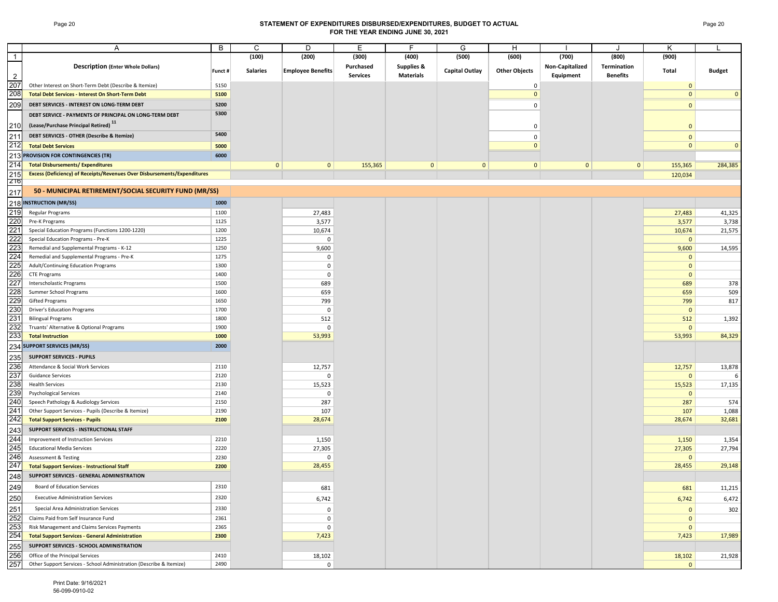## Page 20 **STATEMENT OF EXPENDITURES DISBURSED/EXPENDITURES, BUDGET TO ACTUAL FOR THE YEAR ENDING JUNE 30, 2021**

|                | Α                                                                               | В       | С               | D                        | Е         | F                     | G              | н                    |                 | J               | Κ                    |               |
|----------------|---------------------------------------------------------------------------------|---------|-----------------|--------------------------|-----------|-----------------------|----------------|----------------------|-----------------|-----------------|----------------------|---------------|
| $\overline{1}$ |                                                                                 |         | (100)           | (200)                    | (300)     | (400)                 | (500)          | (600)                | (700)           | (800)           | (900)                |               |
|                | <b>Description (Enter Whole Dollars)</b>                                        | Funct # | <b>Salaries</b> | <b>Employee Benefits</b> | Purchased | <b>Supplies &amp;</b> | Capital Outlay | <b>Other Objects</b> | Non-Capitalized | Termination     | Total                | <b>Budget</b> |
| 2              |                                                                                 |         |                 |                          | Services  | <b>Materials</b>      |                |                      | Equipment       | <b>Benefits</b> |                      |               |
| 207            | Other Interest on Short-Term Debt (Describe & Itemize)                          | 5150    |                 |                          |           |                       |                | 0                    |                 |                 | $\mathbf 0$          |               |
| 208            | <b>Total Debt Services - Interest On Short-Term Debt</b>                        | 5100    |                 |                          |           |                       |                | $\mathbf{0}$         |                 |                 | $\mathbf{0}$         | $\mathbf{0}$  |
| 209            | DEBT SERVICES - INTEREST ON LONG-TERM DEBT                                      | 5200    |                 |                          |           |                       |                | 0                    |                 |                 | $\mathbf{0}$         |               |
|                | DEBT SERVICE - PAYMENTS OF PRINCIPAL ON LONG-TERM DEBT                          | 5300    |                 |                          |           |                       |                |                      |                 |                 |                      |               |
|                | (Lease/Purchase Principal Retired) <sup>11</sup>                                |         |                 |                          |           |                       |                |                      |                 |                 |                      |               |
| 210            |                                                                                 |         |                 |                          |           |                       |                | 0                    |                 |                 | $\mathbf{0}$         |               |
| 211            | DEBT SERVICES - OTHER (Describe & Itemize)                                      | 5400    |                 |                          |           |                       |                | $\mathbf 0$          |                 |                 | $\mathbf{0}$         |               |
| 212            | <b>Total Debt Services</b>                                                      | 5000    |                 |                          |           |                       |                | $\mathbf{0}$         |                 |                 | $\mathbf{0}$         | $\mathbf{0}$  |
|                | 213 PROVISION FOR CONTINGENCIES (TR)                                            | 6000    |                 |                          |           |                       |                |                      |                 |                 |                      |               |
| 214            | <b>Total Disbursements/ Expenditures</b>                                        |         | $\mathbf 0$     | $\mathbf{0}$             | 155,365   | $\mathbf{0}$          | $\mathbf{0}$   | $\mathbf{0}$         | $\mathbf 0$     | $\mathbf{0}$    | 155,365              | 284,385       |
| 215            | <b>Excess (Deficiency) of Receipts/Revenues Over Disbursements/Expenditures</b> |         |                 |                          |           |                       |                |                      |                 |                 | 120,034              |               |
| 216            |                                                                                 |         |                 |                          |           |                       |                |                      |                 |                 |                      |               |
| 217            | 50 - MUNICIPAL RETIREMENT/SOCIAL SECURITY FUND (MR/SS)                          |         |                 |                          |           |                       |                |                      |                 |                 |                      |               |
|                | 218 INSTRUCTION (MR/SS)                                                         | 1000    |                 |                          |           |                       |                |                      |                 |                 |                      |               |
| 219            | Regular Programs                                                                | 1100    |                 | 27,483                   |           |                       |                |                      |                 |                 | 27,483               | 41,325        |
| 220            | Pre-K Programs                                                                  | 1125    |                 | 3,577                    |           |                       |                |                      |                 |                 | 3,577                | 3,738         |
| 221            | Special Education Programs (Functions 1200-1220)                                | 1200    |                 | 10,674                   |           |                       |                |                      |                 |                 |                      | 21,575        |
| 222            | Special Education Programs - Pre-K                                              | 1225    |                 | $\mathbf 0$              |           |                       |                |                      |                 |                 | 10,674               |               |
| 223            | Remedial and Supplemental Programs - K-12                                       | 1250    |                 | 9,600                    |           |                       |                |                      |                 |                 | $\mathbf 0$<br>9,600 | 14,595        |
| 224            | Remedial and Supplemental Programs - Pre-K                                      | 1275    |                 |                          |           |                       |                |                      |                 |                 |                      |               |
| 225            |                                                                                 |         |                 | 0                        |           |                       |                |                      |                 |                 | $\mathbf 0$          |               |
| 226            | Adult/Continuing Education Programs                                             | 1300    |                 | $^{\circ}$               |           |                       |                |                      |                 |                 | $\mathbf{0}$         |               |
|                | <b>CTE Programs</b>                                                             | 1400    |                 | $^{\circ}$               |           |                       |                |                      |                 |                 | $\mathbf 0$          |               |
| 227            | Interscholastic Programs                                                        | 1500    |                 | 689                      |           |                       |                |                      |                 |                 | 689                  | 378           |
| 228            | Summer School Programs                                                          | 1600    |                 | 659                      |           |                       |                |                      |                 |                 | 659                  | 509           |
| <b>229</b>     | <b>Gifted Programs</b>                                                          | 1650    |                 | 799                      |           |                       |                |                      |                 |                 | 799                  | 817           |
| 230            | <b>Driver's Education Programs</b>                                              | 1700    |                 | $\mathbf 0$              |           |                       |                |                      |                 |                 | $\mathbf 0$          |               |
| 231            | <b>Bilingual Programs</b>                                                       | 1800    |                 | 512                      |           |                       |                |                      |                 |                 | 512                  | 1,392         |
| 232            | Truants' Alternative & Optional Programs                                        | 1900    |                 | $\Omega$                 |           |                       |                |                      |                 |                 | $\mathbf 0$          |               |
| 233            | <b>Total Instruction</b>                                                        | 1000    |                 | 53,993                   |           |                       |                |                      |                 |                 | 53,993               | 84,329        |
|                | 234 SUPPORT SERVICES (MR/SS)                                                    | 2000    |                 |                          |           |                       |                |                      |                 |                 |                      |               |
| 235            | <b>SUPPORT SERVICES - PUPILS</b>                                                |         |                 |                          |           |                       |                |                      |                 |                 |                      |               |
| 236            | Attendance & Social Work Services                                               | 2110    |                 | 12,757                   |           |                       |                |                      |                 |                 | 12,757               | 13,878        |
| 237            | <b>Guidance Services</b>                                                        | 2120    |                 | 0                        |           |                       |                |                      |                 |                 | $\mathbf{0}$         |               |
| 238            | <b>Health Services</b>                                                          | 2130    |                 | 15,523                   |           |                       |                |                      |                 |                 | 15,523               | 17,135        |
| 239            | <b>Psychological Services</b>                                                   | 2140    |                 | $\Omega$                 |           |                       |                |                      |                 |                 | $\mathbf 0$          |               |
| 240            | Speech Pathology & Audiology Services                                           | 2150    |                 | 287                      |           |                       |                |                      |                 |                 | 287                  | 574           |
| 241            | Other Support Services - Pupils (Describe & Itemize)                            | 2190    |                 | 107                      |           |                       |                |                      |                 |                 | 107                  | 1,088         |
| 242            | <b>Total Support Services - Pupils</b>                                          | 2100    |                 | 28,674                   |           |                       |                |                      |                 |                 | 28,674               | 32,681        |
| 243            | SUPPORT SERVICES - INSTRUCTIONAL STAFF                                          |         |                 |                          |           |                       |                |                      |                 |                 |                      |               |
| 244            | Improvement of Instruction Services                                             | 2210    |                 | 1,150                    |           |                       |                |                      |                 |                 | 1,150                | 1,354         |
| 245            | <b>Educational Media Services</b>                                               | 2220    |                 | 27,305                   |           |                       |                |                      |                 |                 | 27,305               | 27,794        |
| 246            | Assessment & Testing                                                            | 2230    |                 | $\Omega$                 |           |                       |                |                      |                 |                 | $\mathbf 0$          |               |
| 247            | <b>Total Support Services - Instructional Staff</b>                             | 2200    |                 | 28,455                   |           |                       |                |                      |                 |                 | 28,455               | 29,148        |
| 248            | SUPPORT SERVICES - GENERAL ADMINISTRATION                                       |         |                 |                          |           |                       |                |                      |                 |                 |                      |               |
|                | Board of Education Services                                                     | 2310    |                 |                          |           |                       |                |                      |                 |                 |                      |               |
| 249            |                                                                                 |         |                 | 681                      |           |                       |                |                      |                 |                 | 681                  | 11,215        |
| 250            | <b>Executive Administration Services</b>                                        | 2320    |                 | 6,742                    |           |                       |                |                      |                 |                 | 6,742                | 6,472         |
| 251            | Special Area Administration Services                                            | 2330    |                 | 0                        |           |                       |                |                      |                 |                 | $\mathbf 0$          | 302           |
| 252            | Claims Paid from Self Insurance Fund                                            | 2361    |                 | 0                        |           |                       |                |                      |                 |                 | $\mathbf{0}$         |               |
| 253            | Risk Management and Claims Services Payments                                    | 2365    |                 | 0                        |           |                       |                |                      |                 |                 | $\mathbf 0$          |               |
| 254            | <b>Total Support Services - General Administration</b>                          | 2300    |                 | 7,423                    |           |                       |                |                      |                 |                 | 7,423                | 17,989        |
| 255            | SUPPORT SERVICES - SCHOOL ADMINISTRATION                                        |         |                 |                          |           |                       |                |                      |                 |                 |                      |               |
| 256            | Office of the Principal Services                                                | 2410    |                 | 18,102                   |           |                       |                |                      |                 |                 | 18,102               | 21,928        |
| 257            | Other Support Services - School Administration (Describe & Itemize)             | 2490    |                 | $\Omega$                 |           |                       |                |                      |                 |                 | $\mathbf{0}$         |               |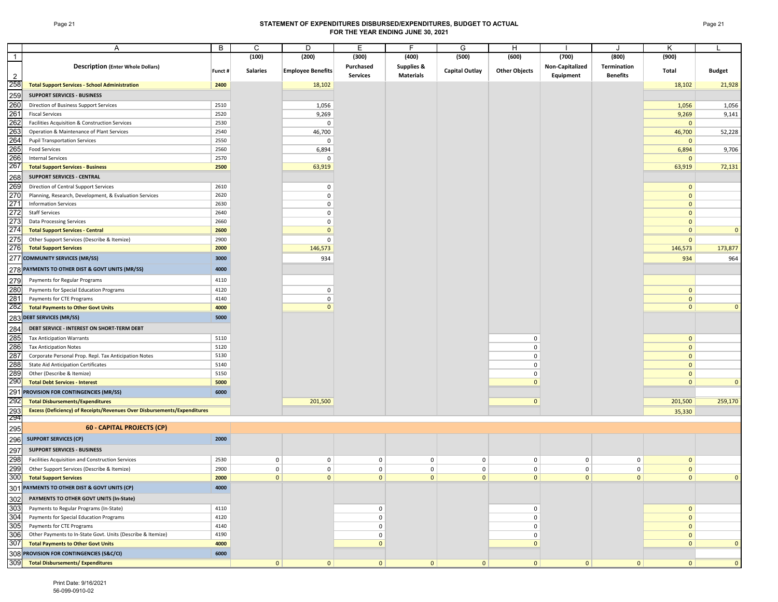## Page 21 **STATEMENT OF EXPENDITURES DISBURSED/EXPENDITURES, BUDGET TO ACTUAL FOR THE YEAR ENDING JUNE 30, 2021**

|                | $\overline{A}$                                                                  | B            | C                 | D                           | Е                 | F.                    | G                     | H                    |                   | $\cdot$                     | K                            |                |
|----------------|---------------------------------------------------------------------------------|--------------|-------------------|-----------------------------|-------------------|-----------------------|-----------------------|----------------------|-------------------|-----------------------------|------------------------------|----------------|
| $\overline{1}$ |                                                                                 |              | (100)             | (200)                       | (300)             | (400)                 | (500)                 | (600)                | (700)             | (800)                       | (900)                        |                |
|                | <b>Description (Enter Whole Dollars)</b>                                        |              |                   |                             | Purchased         | <b>Supplies &amp;</b> |                       |                      | Non-Capitalized   | Termination                 |                              |                |
| 2              |                                                                                 | Funct #      | <b>Salaries</b>   | <b>Employee Benefits</b>    | <b>Services</b>   | <b>Materials</b>      | <b>Capital Outlay</b> | <b>Other Objects</b> | Equipment         | <b>Benefits</b>             | Total                        | <b>Budget</b>  |
| 258            | <b>Total Support Services - School Administration</b>                           | 2400         |                   | 18,102                      |                   |                       |                       |                      |                   |                             | 18,102                       | 21,928         |
|                |                                                                                 |              |                   |                             |                   |                       |                       |                      |                   |                             |                              |                |
| 259            | <b>SUPPORT SERVICES - BUSINESS</b>                                              |              |                   |                             |                   |                       |                       |                      |                   |                             |                              |                |
| 260            | Direction of Business Support Services                                          | 2510         |                   | 1,056                       |                   |                       |                       |                      |                   |                             | 1,056                        | 1,056          |
| 261            | <b>Fiscal Services</b>                                                          | 2520         |                   | 9,269                       |                   |                       |                       |                      |                   |                             | 9,269                        | 9,141          |
| 262            | Facilities Acquisition & Construction Services                                  | 2530         |                   | 0                           |                   |                       |                       |                      |                   |                             | $\mathbf{0}$                 |                |
| 263            | Operation & Maintenance of Plant Services                                       | 2540         |                   | 46,700                      |                   |                       |                       |                      |                   |                             | 46,700                       | 52,228         |
| 264<br>265     | <b>Pupil Transportation Services</b><br><b>Food Services</b>                    | 2550         |                   | 0                           |                   |                       |                       |                      |                   |                             | $\mathbf{0}$                 |                |
| 266            | <b>Internal Services</b>                                                        | 2560<br>2570 |                   | 6,894                       |                   |                       |                       |                      |                   |                             | 6,894                        | 9,706          |
| 267            | <b>Total Support Services - Business</b>                                        | 2500         |                   | 0<br>63,919                 |                   |                       |                       |                      |                   |                             | $\mathbf{0}$<br>63,919       | 72,131         |
|                | <b>SUPPORT SERVICES - CENTRAL</b>                                               |              |                   |                             |                   |                       |                       |                      |                   |                             |                              |                |
| 268            |                                                                                 |              |                   |                             |                   |                       |                       |                      |                   |                             |                              |                |
| 269            | Direction of Central Support Services                                           | 2610         |                   | 0                           |                   |                       |                       |                      |                   |                             | $\mathbf{0}$                 |                |
| 270<br>271     | Planning, Research, Development, & Evaluation Services                          | 2620         |                   | 0<br>$\mathbf 0$            |                   |                       |                       |                      |                   |                             | $\mathbf{0}$<br>$\mathbf{0}$ |                |
| 272            | <b>Information Services</b><br><b>Staff Services</b>                            | 2630<br>2640 |                   | $\mathbf 0$                 |                   |                       |                       |                      |                   |                             | $\mathbf{0}$                 |                |
| 273            | <b>Data Processing Services</b>                                                 | 2660         |                   | 0                           |                   |                       |                       |                      |                   |                             | $\mathbf{0}$                 |                |
| 274            | <b>Total Support Services - Central</b>                                         | 2600         |                   | $\mathbf{0}$                |                   |                       |                       |                      |                   |                             | $\mathbf{0}$                 | $\overline{0}$ |
| 275            | Other Support Services (Describe & Itemize)                                     | 2900         |                   |                             |                   |                       |                       |                      |                   |                             |                              |                |
| 276            | <b>Total Support Services</b>                                                   | 2000         |                   | 0<br>146,573                |                   |                       |                       |                      |                   |                             | $\mathbf{0}$<br>146,573      | 173,877        |
|                |                                                                                 |              |                   |                             |                   |                       |                       |                      |                   |                             |                              |                |
|                | 277 COMMUNITY SERVICES (MR/SS)                                                  | 3000         |                   | 934                         |                   |                       |                       |                      |                   |                             | 934                          | 964            |
|                | 278 PAYMENTS TO OTHER DIST & GOVT UNITS (MR/SS)                                 | 4000         |                   |                             |                   |                       |                       |                      |                   |                             |                              |                |
| 279            | Payments for Regular Programs                                                   | 4110         |                   |                             |                   |                       |                       |                      |                   |                             |                              |                |
| 280            | Payments for Special Education Programs                                         | 4120         |                   | 0                           |                   |                       |                       |                      |                   |                             | $\mathbf{0}$                 |                |
| 281            | Payments for CTE Programs                                                       | 4140         |                   | 0                           |                   |                       |                       |                      |                   |                             | $\mathbf{0}$                 |                |
| 282            | <b>Total Payments to Other Govt Units</b>                                       | 4000         |                   | $\mathbf{0}$                |                   |                       |                       |                      |                   |                             | $\mathbf{0}$                 | $\mathbf{0}$   |
|                | 283 DEBT SERVICES (MR/SS)                                                       | 5000         |                   |                             |                   |                       |                       |                      |                   |                             |                              |                |
| 284            | DEBT SERVICE - INTEREST ON SHORT-TERM DEBT                                      |              |                   |                             |                   |                       |                       |                      |                   |                             |                              |                |
| 285            | <b>Tax Anticipation Warrants</b>                                                | 5110         |                   |                             |                   |                       |                       | $\mathbf 0$          |                   |                             | $\mathbf{0}$                 |                |
| 286            | <b>Tax Anticipation Notes</b>                                                   | 5120         |                   |                             |                   |                       |                       | 0                    |                   |                             | $\mathbf{0}$                 |                |
| 287            | Corporate Personal Prop. Repl. Tax Anticipation Notes                           | 5130         |                   |                             |                   |                       |                       | 0                    |                   |                             | $\mathbf{0}$                 |                |
| 288            | <b>State Aid Anticipation Certificates</b>                                      | 5140         |                   |                             |                   |                       |                       | 0                    |                   |                             | $\mathbf{0}$                 |                |
| 289            | Other (Describe & Itemize)                                                      | 5150         |                   |                             |                   |                       |                       | 0                    |                   |                             | $\mathbf{0}$                 |                |
| 290            | <b>Total Debt Services - Interest</b>                                           | 5000         |                   |                             |                   |                       |                       | $\mathbf{0}$         |                   |                             | $\mathbf{0}$                 | $\overline{0}$ |
| 291            | PROVISION FOR CONTINGENCIES (MR/SS)                                             | 6000         |                   |                             |                   |                       |                       |                      |                   |                             |                              |                |
| 292            | <b>Total Disbursements/Expenditures</b>                                         |              |                   | 201,500                     |                   |                       |                       | $\mathbf{0}$         |                   |                             | 201,500                      | 259,170        |
| 293            | <b>Excess (Deficiency) of Receipts/Revenues Over Disbursements/Expenditures</b> |              |                   |                             |                   |                       |                       |                      |                   |                             | 35,330                       |                |
| 294            |                                                                                 |              |                   |                             |                   |                       |                       |                      |                   |                             |                              |                |
| 295            | 60 - CAPITAL PROJECTS (CP)                                                      |              |                   |                             |                   |                       |                       |                      |                   |                             |                              |                |
| 296            | <b>SUPPORT SERVICES (CP)</b>                                                    | 2000         |                   |                             |                   |                       |                       |                      |                   |                             |                              |                |
|                | <b>SUPPORT SERVICES - BUSINESS</b>                                              |              |                   |                             |                   |                       |                       |                      |                   |                             |                              |                |
| 297            |                                                                                 |              |                   |                             |                   |                       |                       |                      |                   |                             |                              |                |
| 298            | Facilities Acquisition and Construction Services                                | 2530         | 0                 | 0                           | 0                 | 0                     | $\mathbf 0$           | $\mathbf 0$          | 0                 | $\mathbf 0$                 | $\mathbf{0}$                 |                |
| 299<br>300     | Other Support Services (Describe & Itemize)                                     | 2900         | 0<br>$\mathbf{0}$ | $\mathbf 0$<br>$\mathbf{0}$ | 0<br>$\mathbf{0}$ | 0<br>$\mathbf{0}$     | 0<br>$\mathbf{0}$     | $\mathbf 0$          | 0<br>$\mathbf{0}$ | $\mathbf 0$<br>$\mathbf{0}$ | $\mathbf{0}$<br>$\mathbf{0}$ | $\Omega$       |
|                | <b>Total Support Services</b>                                                   | 2000         |                   |                             |                   |                       |                       | $\mathbf{0}$         |                   |                             |                              |                |
|                | 301 PAYMENTS TO OTHER DIST & GOVT UNITS (CP)                                    | 4000         |                   |                             |                   |                       |                       |                      |                   |                             |                              |                |
| 302            | PAYMENTS TO OTHER GOVT UNITS (In-State)                                         |              |                   |                             |                   |                       |                       |                      |                   |                             |                              |                |
| 303            | Payments to Regular Programs (In-State)                                         | 4110         |                   |                             | 0                 |                       |                       | $\mathbf 0$          |                   |                             | $\overline{0}$               |                |
| 304            | Payments for Special Education Programs                                         | 4120         |                   |                             | 0                 |                       |                       | 0                    |                   |                             | $\mathbf{0}$                 |                |
| 305            | Payments for CTE Programs                                                       | 4140         |                   |                             | 0                 |                       |                       | 0                    |                   |                             | $\mathbf{0}$                 |                |
| 306            | Other Payments to In-State Govt. Units (Describe & Itemize)                     | 4190         |                   |                             | 0                 |                       |                       | 0                    |                   |                             | $\mathbf{0}$                 |                |
| 307            | <b>Total Payments to Other Govt Units</b>                                       | 4000         |                   |                             | $\mathbf 0$       |                       |                       | $\mathbf{0}$         |                   |                             | $\mathbf{0}$                 | $\mathbf{0}$   |
|                | 308 PROVISION FOR CONTINGENCIES (S&C/CI)                                        | 6000         |                   |                             |                   |                       |                       |                      |                   |                             |                              |                |
| 309            | <b>Total Disbursements/ Expenditures</b>                                        |              | $\mathbf{0}$      | $\bf{0}$                    | 0                 | 0                     | 0                     | $\mathbf{0}$         | 0                 | 0                           | $\mathbf{0}$                 | $\overline{0}$ |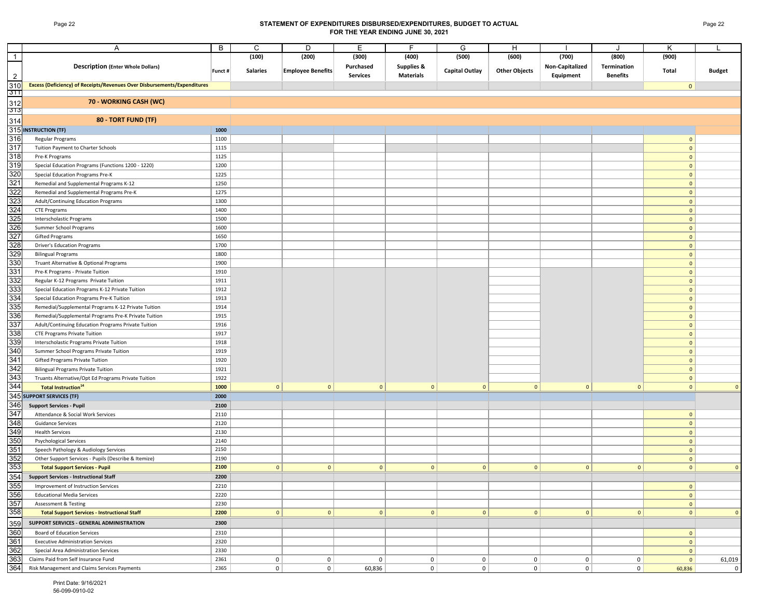## Page 22 **STATEMENT OF EXPENDITURES DISBURSED/EXPENDITURES, BUDGET TO ACTUAL FOR THE YEAR ENDING JUNE 30, 2021**

|                                        | Α                                                                               | В       | C               | D                        | Е               | F                     | G                     | H                    |                 | $\cdot$         | Κ              |                |
|----------------------------------------|---------------------------------------------------------------------------------|---------|-----------------|--------------------------|-----------------|-----------------------|-----------------------|----------------------|-----------------|-----------------|----------------|----------------|
| $\overline{1}$                         |                                                                                 |         | (100)           | (200)                    | (300)           | (400)                 | (500)                 | (600)                | (700)           | (800)           | (900)          |                |
|                                        | <b>Description (Enter Whole Dollars)</b>                                        | Funct # | <b>Salaries</b> | <b>Employee Benefits</b> | Purchased       | <b>Supplies &amp;</b> | <b>Capital Outlay</b> | <b>Other Objects</b> | Non-Capitalized | Termination     | Total          | <b>Budget</b>  |
| $\overline{2}$                         |                                                                                 |         |                 |                          | <b>Services</b> | <b>Materials</b>      |                       |                      | Equipment       | <b>Benefits</b> |                |                |
| 310                                    | <b>Excess (Deficiency) of Receipts/Revenues Over Disbursements/Expenditures</b> |         |                 |                          |                 |                       |                       |                      |                 |                 | $\overline{0}$ |                |
| 3TT                                    |                                                                                 |         |                 |                          |                 |                       |                       |                      |                 |                 |                |                |
| 312                                    | 70 - WORKING CASH (WC)                                                          |         |                 |                          |                 |                       |                       |                      |                 |                 |                |                |
| $\frac{1}{313}$                        |                                                                                 |         |                 |                          |                 |                       |                       |                      |                 |                 |                |                |
| 314                                    | 80 - TORT FUND (TF)                                                             |         |                 |                          |                 |                       |                       |                      |                 |                 |                |                |
| 315                                    | <b>INSTRUCTION (TF)</b>                                                         | 1000    |                 |                          |                 |                       |                       |                      |                 |                 |                |                |
| 316                                    | Regular Programs                                                                | 1100    |                 |                          |                 |                       |                       |                      |                 |                 | 0              |                |
| 317                                    | Tuition Payment to Charter Schools                                              | 1115    |                 |                          |                 |                       |                       |                      |                 |                 | 0              |                |
| 318                                    | Pre-K Programs                                                                  | 1125    |                 |                          |                 |                       |                       |                      |                 |                 | $\overline{0}$ |                |
| 319                                    | Special Education Programs (Functions 1200 - 1220)                              | 1200    |                 |                          |                 |                       |                       |                      |                 |                 | 0              |                |
|                                        | Special Education Programs Pre-K                                                | 1225    |                 |                          |                 |                       |                       |                      |                 |                 | $\overline{0}$ |                |
|                                        | Remedial and Supplemental Programs K-12                                         | 1250    |                 |                          |                 |                       |                       |                      |                 |                 | $\overline{0}$ |                |
| 320<br>321<br>322<br>323<br>324<br>325 | Remedial and Supplemental Programs Pre-K                                        | 1275    |                 |                          |                 |                       |                       |                      |                 |                 | $\overline{0}$ |                |
|                                        | Adult/Continuing Education Programs                                             | 1300    |                 |                          |                 |                       |                       |                      |                 |                 | 0              |                |
|                                        | <b>CTE Programs</b>                                                             | 1400    |                 |                          |                 |                       |                       |                      |                 |                 | $\overline{0}$ |                |
|                                        | Interscholastic Programs                                                        | 1500    |                 |                          |                 |                       |                       |                      |                 |                 | $\overline{0}$ |                |
| 326<br>327                             | Summer School Programs                                                          | 1600    |                 |                          |                 |                       |                       |                      |                 |                 | $\overline{0}$ |                |
|                                        | <b>Gifted Programs</b>                                                          | 1650    |                 |                          |                 |                       |                       |                      |                 |                 | $\overline{0}$ |                |
| 328                                    | <b>Driver's Education Programs</b>                                              | 1700    |                 |                          |                 |                       |                       |                      |                 |                 | 0              |                |
| 329                                    | <b>Bilingual Programs</b>                                                       | 1800    |                 |                          |                 |                       |                       |                      |                 |                 | $\overline{0}$ |                |
| 330                                    | Truant Alternative & Optional Programs                                          | 1900    |                 |                          |                 |                       |                       |                      |                 |                 | 0              |                |
| 331                                    | Pre-K Programs - Private Tuition                                                | 1910    |                 |                          |                 |                       |                       |                      |                 |                 | 0              |                |
| 332                                    | Regular K-12 Programs Private Tuition                                           | 1911    |                 |                          |                 |                       |                       |                      |                 |                 | 0              |                |
|                                        | Special Education Programs K-12 Private Tuition                                 | 1912    |                 |                          |                 |                       |                       |                      |                 |                 | 0              |                |
| 333<br>334<br>335<br>336               | Special Education Programs Pre-K Tuition                                        | 1913    |                 |                          |                 |                       |                       |                      |                 |                 | 0              |                |
|                                        | Remedial/Supplemental Programs K-12 Private Tuition                             | 1914    |                 |                          |                 |                       |                       |                      |                 |                 | 0              |                |
|                                        | Remedial/Supplemental Programs Pre-K Private Tuition                            | 1915    |                 |                          |                 |                       |                       |                      |                 |                 | $\mathbf{0}$   |                |
| 337                                    | Adult/Continuing Education Programs Private Tuition                             | 1916    |                 |                          |                 |                       |                       |                      |                 |                 | 0              |                |
| 338                                    | <b>CTE Programs Private Tuition</b>                                             | 1917    |                 |                          |                 |                       |                       |                      |                 |                 | $\mathbf{0}$   |                |
| 339                                    | Interscholastic Programs Private Tuition                                        | 1918    |                 |                          |                 |                       |                       |                      |                 |                 | 0              |                |
| 340                                    | Summer School Programs Private Tuition                                          | 1919    |                 |                          |                 |                       |                       |                      |                 |                 | $\mathbf{0}$   |                |
| 341<br>342<br>343                      | Gifted Programs Private Tuition                                                 | 1920    |                 |                          |                 |                       |                       |                      |                 |                 | $\overline{0}$ |                |
|                                        | <b>Bilingual Programs Private Tuition</b>                                       | 1921    |                 |                          |                 |                       |                       |                      |                 |                 | $\mathbf{0}$   |                |
|                                        | Truants Alternative/Opt Ed Programs Private Tuition                             | 1922    |                 |                          |                 |                       |                       |                      |                 |                 | $\overline{0}$ |                |
| 344                                    | <b>Total Instruction</b> <sup>14</sup>                                          | 1000    | $\mathbf{0}$    | $\mathbf{0}$             | $\overline{0}$  | $\mathbf{0}$          | $\mathbf{0}$          | $\mathbf 0$          | $\mathbf{0}$    | $\mathbf{0}$    | $\overline{0}$ | $\Omega$       |
|                                        | 345 SUPPORT SERVICES (TF)                                                       | 2000    |                 |                          |                 |                       |                       |                      |                 |                 |                |                |
| 346                                    | <b>Support Services - Pupil</b>                                                 | 2100    |                 |                          |                 |                       |                       |                      |                 |                 |                |                |
| 347                                    | Attendance & Social Work Services                                               | 2110    |                 |                          |                 |                       |                       |                      |                 |                 | 0              |                |
| 348                                    | <b>Guidance Services</b>                                                        | 2120    |                 |                          |                 |                       |                       |                      |                 |                 | 0              |                |
| 349                                    | <b>Health Services</b>                                                          | 2130    |                 |                          |                 |                       |                       |                      |                 |                 | 0              |                |
| 350<br>351                             | <b>Psychological Services</b>                                                   | 2140    |                 |                          |                 |                       |                       |                      |                 |                 | 0              |                |
|                                        | Speech Pathology & Audiology Services                                           | 2150    |                 |                          |                 |                       |                       |                      |                 |                 | $\mathbf{0}$   |                |
| 352                                    | Other Support Services - Pupils (Describe & Itemize)                            | 2190    |                 |                          |                 |                       |                       |                      |                 |                 | 0              |                |
| 353                                    | <b>Total Support Services - Pupil</b>                                           | 2100    | 0               | $\mathbf{0}$             | 0               | 0                     | 0                     | $\mathbf{0}$         | $\mathbf{0}$    | $\mathbf{0}$    | 0              | $\overline{0}$ |
| 354                                    | <b>Support Services - Instructional Staff</b>                                   | 2200    |                 |                          |                 |                       |                       |                      |                 |                 |                |                |
|                                        | Improvement of Instruction Services                                             | 2210    |                 |                          |                 |                       |                       |                      |                 |                 | 0              |                |
|                                        | <b>Educational Media Services</b>                                               | 2220    |                 |                          |                 |                       |                       |                      |                 |                 | 0              |                |
|                                        | <b>Assessment &amp; Testing</b>                                                 | 2230    |                 |                          |                 |                       |                       |                      |                 |                 | 0              |                |
| 355<br>356<br>357<br>358<br>359        | <b>Total Support Services - Instructional Staff</b>                             | 2200    | 0               | $\mathbf{0}$             | 0               | 0                     | 0                     | $\mathbf{0}$         | 0               | 0               | 0              | $\mathbf{0}$   |
|                                        | SUPPORT SERVICES - GENERAL ADMINISTRATION                                       | 2300    |                 |                          |                 |                       |                       |                      |                 |                 |                |                |
| 360                                    | Board of Education Services                                                     | 2310    |                 |                          |                 |                       |                       |                      |                 |                 | 0              |                |
| 361                                    | <b>Executive Administration Services</b>                                        | 2320    |                 |                          |                 |                       |                       |                      |                 |                 | 0              |                |
| 362                                    | Special Area Administration Services                                            | 2330    |                 |                          |                 |                       |                       |                      |                 |                 | 0              |                |
| 363                                    | Claims Paid from Self Insurance Fund                                            | 2361    | $\mathbf 0$     | $\overline{0}$           | $\overline{0}$  | 0                     | 0                     | 0                    | $\mathbf 0$     | $\mathbf 0$     | $\circ$        | 61,019         |
| 364                                    | Risk Management and Claims Services Payments                                    | 2365    | $\mathbf 0$     | $\overline{0}$           | 60,836          | $\overline{0}$        | 0 <sup>1</sup>        | 0                    | $\overline{0}$  | $\overline{0}$  | 60,836         | $\mathsf{O}$   |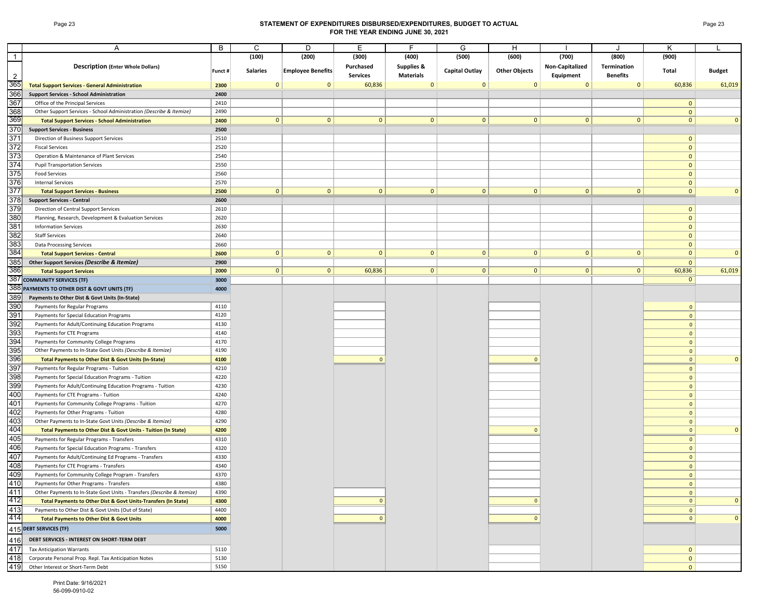## Page 23 **STATEMENT OF EXPENDITURES DISBURSED/EXPENDITURES, BUDGET TO ACTUAL FOR THE YEAR ENDING JUNE 30, 2021**

|                | A                                                                             | В            | C               | D                        | E               |                  | G              | н                    |                 |                 |                              |               |
|----------------|-------------------------------------------------------------------------------|--------------|-----------------|--------------------------|-----------------|------------------|----------------|----------------------|-----------------|-----------------|------------------------------|---------------|
| $\overline{1}$ |                                                                               |              | (100)           | (200)                    | (300)           | (400)            | (500)          | (600)                | (700)           | (800)           | (900)                        |               |
|                | <b>Description (Enter Whole Dollars)</b>                                      |              |                 |                          | Purchased       | Supplies &       |                |                      | Non-Capitalized | Termination     |                              |               |
| $\overline{2}$ |                                                                               | Funct #      | <b>Salaries</b> | <b>Employee Benefits</b> | <b>Services</b> | <b>Materials</b> | Capital Outlay | <b>Other Objects</b> | Equipment       | <b>Benefits</b> | Total                        | <b>Budget</b> |
| 365            | <b>Total Support Services - General Administration</b>                        | 2300         | $\mathbf{0}$    | $\mathbf{0}$             | 60,836          | $\mathbf 0$      | $\mathbf{0}$   | $\mathbf{0}$         | $\mathbf{0}$    | $\mathbf{0}$    | 60,836                       | 61,019        |
| 366            | <b>Support Services - School Administration</b>                               | 2400         |                 |                          |                 |                  |                |                      |                 |                 |                              |               |
| 367            | Office of the Principal Services                                              | 2410         |                 |                          |                 |                  |                |                      |                 |                 | 0                            |               |
| 368            | Other Support Services - School Administration (Describe & Itemize)           | 2490         |                 |                          |                 |                  |                |                      |                 |                 | $\mathbf{0}$                 |               |
| 369            | <b>Total Support Services - School Administration</b>                         | 2400         | $\mathbf{0}$    | $\mathbf{0}$             | 0               | $\mathbf{0}$     | $\mathbf{0}$   | $\mathbf{0}$         | 0               | $\mathbf{0}$    | $\mathbf{0}$                 | $\Omega$      |
| 370            | <b>Support Services - Business</b>                                            | 2500         |                 |                          |                 |                  |                |                      |                 |                 |                              |               |
| 371            | Direction of Business Support Services                                        | 2510         |                 |                          |                 |                  |                |                      |                 |                 | $\mathbf{0}$                 |               |
| 372            | <b>Fiscal Services</b>                                                        | 2520         |                 |                          |                 |                  |                |                      |                 |                 | $\mathbf{0}$                 |               |
| 373            | Operation & Maintenance of Plant Services                                     | 2540         |                 |                          |                 |                  |                |                      |                 |                 | $\mathbf{0}$                 |               |
| 374            | <b>Pupil Transportation Services</b>                                          | 2550         |                 |                          |                 |                  |                |                      |                 |                 | $\mathbf{0}$                 |               |
| 375            | <b>Food Services</b>                                                          | 2560         |                 |                          |                 |                  |                |                      |                 |                 | $\mathbf{0}$                 |               |
| 376            | <b>Internal Services</b>                                                      | 2570         |                 |                          |                 |                  |                |                      |                 |                 | $\mathbf{0}$                 |               |
| 377            | <b>Total Support Services - Business</b>                                      | 2500         | $\mathbf{0}$    | $\mathbf{0}$             | 0               | $\mathbf{0}$     | 0              | $\mathbf{0}$         | 0               | $\mathbf{0}$    | $\mathbf{0}$                 | $\Omega$      |
| 378            | <b>Support Services - Central</b>                                             | 2600         |                 |                          |                 |                  |                |                      |                 |                 |                              |               |
| 379            | Direction of Central Support Services                                         | 2610         |                 |                          |                 |                  |                |                      |                 |                 | $\mathbf{0}$                 |               |
| 380            | Planning, Research, Development & Evaluation Services                         | 2620         |                 |                          |                 |                  |                |                      |                 |                 | $\mathbf{0}$                 |               |
| 381            | <b>Information Services</b>                                                   | 2630         |                 |                          |                 |                  |                |                      |                 |                 | $\mathbf{0}$                 |               |
| 382            | <b>Staff Services</b>                                                         | 2640         |                 |                          |                 |                  |                |                      |                 |                 | $\mathbf{0}$                 |               |
| 383            | <b>Data Processing Services</b>                                               | 2660         |                 |                          |                 |                  |                |                      |                 |                 | $\mathbf{0}$                 |               |
| 384            | <b>Total Support Services - Central</b>                                       | 2600         | $\mathbf{0}$    | $\mathbf{0}$             | $\mathbf{0}$    | $\mathbf{0}$     | 0              | $\mathbf{0}$         | 0               | $\mathbf{0}$    | $\mathbf{0}$                 | $\Omega$      |
| 385            | Other Support Services (Describe & Itemize)                                   | 2900         |                 |                          |                 |                  |                |                      |                 |                 | $\mathbf{0}$                 |               |
| 386            | <b>Total Support Services</b>                                                 | 2000         | $\mathbf{0}$    | $\mathbf{0}$             | 60,836          | $\mathbf{0}$     | 0              | $\mathbf{0}$         | 0               | 0               | 60,836                       | 61,019        |
|                | 387 COMMUNITY SERVICES (TF)                                                   | 3000         |                 |                          |                 |                  |                |                      |                 |                 | $\mathbf{0}$                 |               |
|                | 388 PAYMENTS TO OTHER DIST & GOVT UNITS (TF)                                  | 4000         |                 |                          |                 |                  |                |                      |                 |                 |                              |               |
| 389<br>390     | Payments to Other Dist & Govt Units (In-State)                                |              |                 |                          |                 |                  |                |                      |                 |                 |                              |               |
| 391            | Payments for Regular Programs                                                 | 4110<br>4120 |                 |                          |                 |                  |                |                      |                 |                 | $\mathbf{0}$                 |               |
| 392            | Payments for Special Education Programs                                       | 4130         |                 |                          |                 |                  |                |                      |                 |                 | $\mathbf{0}$<br>$\mathbf{0}$ |               |
| 393            | Payments for Adult/Continuing Education Programs<br>Payments for CTE Programs | 4140         |                 |                          |                 |                  |                |                      |                 |                 | $\mathbf{0}$                 |               |
| 394            | Payments for Community College Programs                                       | 4170         |                 |                          |                 |                  |                |                      |                 |                 | $\mathbf{0}$                 |               |
| 395            | Other Payments to In-State Govt Units (Describe & Itemize)                    | 4190         |                 |                          |                 |                  |                |                      |                 |                 | $\mathbf{0}$                 |               |
| 396            | Total Payments to Other Dist & Govt Units (In-State)                          | 4100         |                 |                          | $\Omega$        |                  |                | $\Omega$             |                 |                 | $\mathbf{0}$                 | $\mathbf{0}$  |
| 397            | Payments for Regular Programs - Tuition                                       | 4210         |                 |                          |                 |                  |                |                      |                 |                 | $\mathbf{0}$                 |               |
| 398            | Payments for Special Education Programs - Tuition                             | 4220         |                 |                          |                 |                  |                |                      |                 |                 | $\mathbf{0}$                 |               |
| 399            | Payments for Adult/Continuing Education Programs - Tuition                    | 4230         |                 |                          |                 |                  |                |                      |                 |                 | $\mathbf{0}$                 |               |
| 400            | Payments for CTE Programs - Tuition                                           | 4240         |                 |                          |                 |                  |                |                      |                 |                 | $\mathbf{0}$                 |               |
| 401            | Payments for Community College Programs - Tuition                             | 4270         |                 |                          |                 |                  |                |                      |                 |                 | $\mathbf{0}$                 |               |
| 402            | Payments for Other Programs - Tuition                                         | 4280         |                 |                          |                 |                  |                |                      |                 |                 | $\mathbf{0}$                 |               |
| 403            | Other Payments to In-State Govt Units (Describe & Itemize)                    | 4290         |                 |                          |                 |                  |                |                      |                 |                 | $\mathbf{0}$                 |               |
| 404            | Total Payments to Other Dist & Govt Units - Tuition (In State)                | 4200         |                 |                          |                 |                  |                | $\Omega$             |                 |                 | $\mathbf{0}$                 | $\mathbf{0}$  |
| 405            | Payments for Regular Programs - Transfers                                     | 4310         |                 |                          |                 |                  |                |                      |                 |                 | $\mathbf{0}$                 |               |
| 406            | Payments for Special Education Programs - Transfers                           | 4320         |                 |                          |                 |                  |                |                      |                 |                 | $\mathbf{0}$                 |               |
| 407            | Payments for Adult/Continuing Ed Programs - Transfers                         | 4330         |                 |                          |                 |                  |                |                      |                 |                 | $\mathbf{0}$                 |               |
| 408            | Payments for CTE Programs - Transfers                                         | 4340         |                 |                          |                 |                  |                |                      |                 |                 | $\mathbf{0}$                 |               |
| 409            | Payments for Community College Program - Transfers                            | 4370         |                 |                          |                 |                  |                |                      |                 |                 | $\mathbf{0}$                 |               |
| 410            | Payments for Other Programs - Transfers                                       | 4380         |                 |                          |                 |                  |                |                      |                 |                 | 0                            |               |
| 411            | Other Payments to In-State Govt Units - Transfers (Describe & Itemize)        | 4390         |                 |                          |                 |                  |                |                      |                 |                 | $\mathbf{0}$                 |               |
| 412            | Total Payments to Other Dist & Govt Units-Transfers (In State)                | 4300         |                 |                          | $\overline{0}$  |                  |                | $\overline{0}$       |                 |                 | 0                            | $\mathbf{0}$  |
| 413            | Payments to Other Dist & Govt Units (Out of State)                            | 4400         |                 |                          |                 |                  |                |                      |                 |                 | $\mathbf{0}$                 |               |
| 414            | <b>Total Payments to Other Dist &amp; Govt Units</b>                          | 4000         |                 |                          | $\Omega$        |                  |                | $\overline{0}$       |                 |                 | $\mathbf{0}$                 | $\mathbf{0}$  |
|                | 415 DEBT SERVICES (TF)                                                        | 5000         |                 |                          |                 |                  |                |                      |                 |                 |                              |               |
| 416            | DEBT SERVICES - INTEREST ON SHORT-TERM DEBT                                   |              |                 |                          |                 |                  |                |                      |                 |                 |                              |               |
| 417            | <b>Tax Anticipation Warrants</b>                                              | 5110         |                 |                          |                 |                  |                |                      |                 |                 | $\mathbf{0}$                 |               |
| 418            | Corporate Personal Prop. Repl. Tax Anticipation Notes                         | 5130         |                 |                          |                 |                  |                |                      |                 |                 | $\mathbf{0}$                 |               |
| 419            | Other Interest or Short-Term Debt                                             | 5150         |                 |                          |                 |                  |                |                      |                 |                 | $\mathbf{0}$                 |               |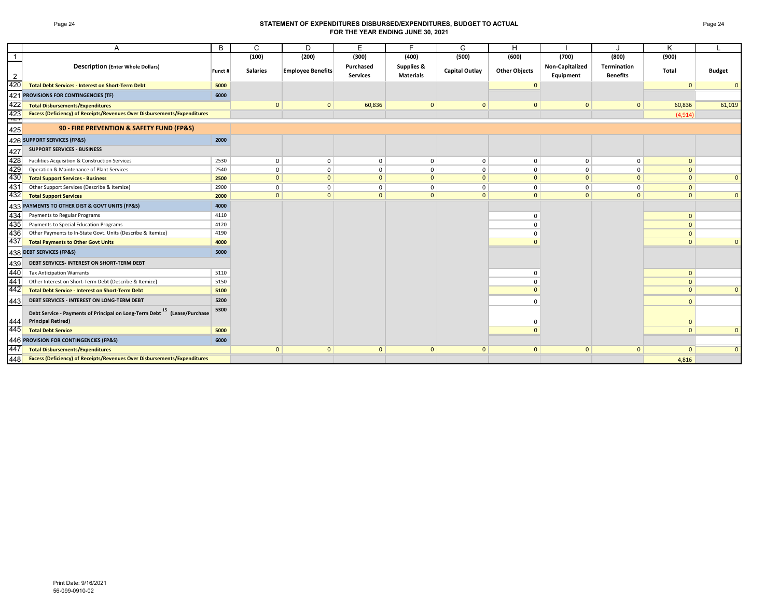### Page 24 **STATEMENT OF EXPENDITURES DISBURSED/EXPENDITURES, BUDGET TO ACTUAL FOR THE YEAR ENDING JUNE 30, 2021**

|            | Α                                                                                                                 | B       | C               | D                        | E                            | F                              | G                     | H                    |                              |                                | K              |               |
|------------|-------------------------------------------------------------------------------------------------------------------|---------|-----------------|--------------------------|------------------------------|--------------------------------|-----------------------|----------------------|------------------------------|--------------------------------|----------------|---------------|
| -1         |                                                                                                                   |         | (100)           | (200)                    | (300)                        | (400)                          | (500)                 | (600)                | (700)                        | (800)                          | (900)          |               |
|            | <b>Description (Enter Whole Dollars)</b>                                                                          | Funct # | <b>Salaries</b> | <b>Employee Benefits</b> | Purchased<br><b>Services</b> | Supplies &<br><b>Materials</b> | <b>Capital Outlay</b> | <b>Other Objects</b> | Non-Capitalized<br>Equipment | Termination<br><b>Benefits</b> | Total          | <b>Budget</b> |
| 420        | <b>Total Debt Services - Interest on Short-Term Debt</b>                                                          | 5000    |                 |                          |                              |                                |                       | $\mathbf{0}$         |                              |                                | $\overline{0}$ | $\mathbf{0}$  |
|            | 421 PROVISIONS FOR CONTINGENCIES (TF)                                                                             | 6000    |                 |                          |                              |                                |                       |                      |                              |                                |                |               |
| 422        | <b>Total Disbursements/Expenditures</b>                                                                           |         | $\mathbf{0}$    | $\mathbf{0}$             | 60,836                       | $\mathbf{0}$                   | $\mathbf{0}$          | $\mathbf{0}$         | $\mathbf{0}$                 | $\mathbf{0}$                   | 60,836         | 61,019        |
| 423        | <b>Excess (Deficiency) of Receipts/Revenues Over Disbursements/Expenditures</b>                                   |         |                 |                          |                              |                                |                       |                      |                              |                                | (4, 914)       |               |
| 729<br>425 | 90 - FIRE PREVENTION & SAFETY FUND (FP&S)                                                                         |         |                 |                          |                              |                                |                       |                      |                              |                                |                |               |
|            | 426 SUPPORT SERVICES (FP&S)                                                                                       | 2000    |                 |                          |                              |                                |                       |                      |                              |                                |                |               |
| 427        | <b>SUPPORT SERVICES - BUSINESS</b>                                                                                |         |                 |                          |                              |                                |                       |                      |                              |                                |                |               |
| 428        | Facilities Acquisition & Construction Services                                                                    | 2530    | 0               | 0                        | $\mathbf 0$                  | 0                              | 0                     | 0                    | $^{\circ}$                   | 0                              | $\mathbf{0}$   |               |
| 429<br>430 | Operation & Maintenance of Plant Services                                                                         | 2540    | $\Omega$        | 0                        | $\Omega$                     | $\mathbf 0$                    | 0                     | $\Omega$             | $\Omega$                     | $\mathbf 0$                    | $\mathbf{0}$   |               |
|            | <b>Total Support Services - Business</b>                                                                          | 2500    | $\mathbf{0}$    | $\mathbf{0}$             | $\mathbf{0}$                 | $\mathbf{0}$                   | $\mathbf{0}$          | $\Omega$             | $\Omega$                     | $\mathbf{0}$                   | $\mathbf{0}$   | $\mathbf{0}$  |
| 431<br>432 | Other Support Services (Describe & Itemize)                                                                       | 2900    | $\mathbf{0}$    | 0                        | $\mathbf 0$                  | 0                              | $\mathbf 0$           | 0                    | $^{\circ}$                   | $\mathbf 0$                    | $\mathbf{0}$   |               |
|            | <b>Total Support Services</b>                                                                                     | 2000    | $\mathbf{0}$    | $\mathbf{0}$             | $\mathbf{0}$                 | $\mathbf{0}$                   | $\mathbf{0}$          | $\Omega$             | $\Omega$                     | $\mathbf{0}$                   | $\Omega$       | $\Omega$      |
| 4331       | PAYMENTS TO OTHER DIST & GOVT UNITS (FP&S)                                                                        | 4000    |                 |                          |                              |                                |                       |                      |                              |                                |                |               |
| 434        | Payments to Regular Programs                                                                                      | 4110    |                 |                          |                              |                                |                       | $\Omega$             |                              |                                | $\mathbf{0}$   |               |
| 435        | Payments to Special Education Programs                                                                            | 4120    |                 |                          |                              |                                |                       | $\Omega$             |                              |                                | $\mathbf{0}$   |               |
| 436        | Other Payments to In-State Govt. Units (Describe & Itemize)                                                       | 4190    |                 |                          |                              |                                |                       | $\Omega$             |                              |                                | $\mathbf{0}$   |               |
| 437        | <b>Total Payments to Other Govt Units</b>                                                                         | 4000    |                 |                          |                              |                                |                       |                      |                              |                                | $\mathbf{0}$   | $\mathbf{0}$  |
|            | 438 DEBT SERVICES (FP&S)                                                                                          | 5000    |                 |                          |                              |                                |                       |                      |                              |                                |                |               |
| 439        | DEBT SERVICES- INTEREST ON SHORT-TERM DEBT                                                                        |         |                 |                          |                              |                                |                       |                      |                              |                                |                |               |
| 440        | <b>Tax Anticipation Warrants</b>                                                                                  | 5110    |                 |                          |                              |                                |                       | $\Omega$             |                              |                                | $\mathbf{0}$   |               |
| 441        | Other Interest on Short-Term Debt (Describe & Itemize)                                                            | 5150    |                 |                          |                              |                                |                       |                      |                              |                                | $\mathbf{0}$   |               |
| 442        | <b>Total Debt Service - Interest on Short-Term Debt</b>                                                           | 5100    |                 |                          |                              |                                |                       | $\Omega$             |                              |                                | $\mathbf{0}$   | $\mathbf{0}$  |
| 443        | DEBT SERVICES - INTEREST ON LONG-TERM DEBT                                                                        | 5200    |                 |                          |                              |                                |                       | $\Omega$             |                              |                                | $\Omega$       |               |
| 444        | Debt Service - Payments of Principal on Long-Term Debt <sup>15</sup> (Lease/Purchase<br><b>Principal Retired)</b> | 5300    |                 |                          |                              |                                |                       | $\Omega$             |                              |                                | $\Omega$       |               |
| 445        | <b>Total Debt Service</b>                                                                                         | 5000    |                 |                          |                              |                                |                       |                      |                              |                                | $\mathbf{0}$   | $\mathbf{0}$  |
|            | 446 PROVISION FOR CONTINGENCIES (FP&S)                                                                            | 6000    |                 |                          |                              |                                |                       |                      |                              |                                |                |               |
| 447        | <b>Total Disbursements/Expenditures</b>                                                                           |         | $\mathbf{0}$    | $\mathbf{0}$             | $\mathbf{0}$                 | $\mathbf{0}$                   | $\mathbf{0}$          | $\mathbf{0}$         | $\mathbf{0}$                 | $\mathbf{0}$                   | $\mathbf{0}$   | $\mathbf{0}$  |
| 448        | <b>Excess (Deficiency) of Receipts/Revenues Over Disbursements/Expenditures</b>                                   |         |                 |                          |                              |                                |                       |                      |                              |                                | 4,816          |               |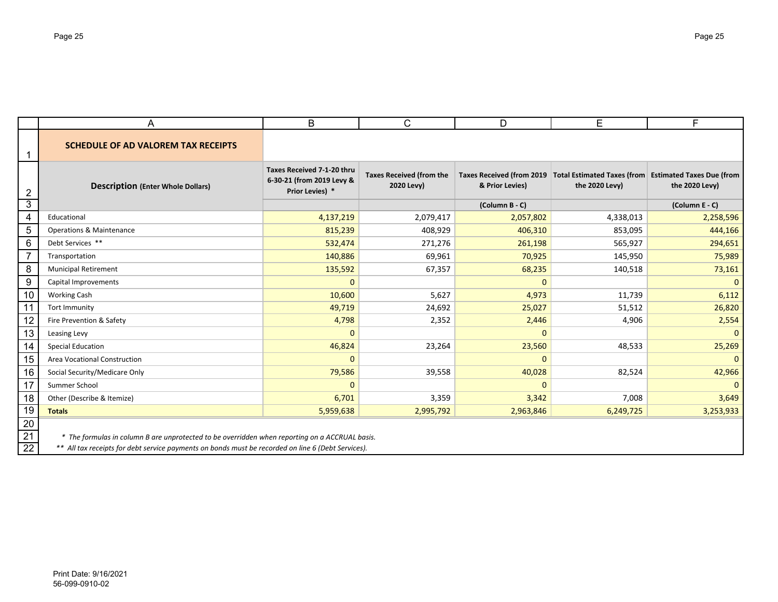|                             | A                                                                                                                                                                                                    | B                                                                          | C                                             | D               | E                                                                                                 | F.             |  |  |  |  |
|-----------------------------|------------------------------------------------------------------------------------------------------------------------------------------------------------------------------------------------------|----------------------------------------------------------------------------|-----------------------------------------------|-----------------|---------------------------------------------------------------------------------------------------|----------------|--|--|--|--|
|                             | <b>SCHEDULE OF AD VALOREM TAX RECEIPTS</b>                                                                                                                                                           |                                                                            |                                               |                 |                                                                                                   |                |  |  |  |  |
| 2                           | <b>Description (Enter Whole Dollars)</b>                                                                                                                                                             | Taxes Received 7-1-20 thru<br>6-30-21 (from 2019 Levy &<br>Prior Levies) * | <b>Taxes Received (from the</b><br>2020 Levy) | & Prior Levies) | Taxes Received (from 2019 Total Estimated Taxes (from Estimated Taxes Due (from<br>the 2020 Levy) | the 2020 Levy) |  |  |  |  |
| 3                           |                                                                                                                                                                                                      |                                                                            |                                               | (Column B - C)  |                                                                                                   | (Column E - C) |  |  |  |  |
| 4                           | Educational                                                                                                                                                                                          | 4,137,219                                                                  | 2,079,417                                     | 2,057,802       | 4,338,013                                                                                         | 2,258,596      |  |  |  |  |
| 5                           | <b>Operations &amp; Maintenance</b>                                                                                                                                                                  | 815,239                                                                    | 408,929                                       | 406,310         | 853,095                                                                                           | 444,166        |  |  |  |  |
| 6                           | Debt Services **                                                                                                                                                                                     | 532,474                                                                    | 271,276                                       | 261,198         | 565,927                                                                                           | 294,651        |  |  |  |  |
| 7                           | Transportation                                                                                                                                                                                       | 140,886                                                                    | 69,961                                        | 70,925          | 145,950                                                                                           | 75,989         |  |  |  |  |
| 8                           | <b>Municipal Retirement</b>                                                                                                                                                                          | 135,592                                                                    | 67,357                                        | 68,235          | 140,518                                                                                           | 73,161         |  |  |  |  |
| 9                           | Capital Improvements                                                                                                                                                                                 | $\mathbf 0$                                                                |                                               | $\mathbf 0$     |                                                                                                   | $\mathbf{0}$   |  |  |  |  |
| 10                          | <b>Working Cash</b>                                                                                                                                                                                  | 10,600                                                                     | 5,627                                         | 4,973           | 11,739                                                                                            | 6,112          |  |  |  |  |
| 11                          | <b>Tort Immunity</b>                                                                                                                                                                                 | 49,719                                                                     | 24,692                                        | 25,027          | 51,512                                                                                            | 26,820         |  |  |  |  |
| 12                          | Fire Prevention & Safety                                                                                                                                                                             | 4,798                                                                      | 2,352                                         | 2,446           | 4,906                                                                                             | 2,554          |  |  |  |  |
| 13                          | Leasing Levy                                                                                                                                                                                         | $\mathbf{0}$                                                               |                                               | $\mathbf{0}$    |                                                                                                   | $\mathbf{0}$   |  |  |  |  |
| 14                          | <b>Special Education</b>                                                                                                                                                                             | 46,824                                                                     | 23,264                                        | 23,560          | 48,533                                                                                            | 25,269         |  |  |  |  |
| 15                          | Area Vocational Construction                                                                                                                                                                         | $\mathbf 0$                                                                |                                               | $\mathbf 0$     |                                                                                                   | $\mathbf{0}$   |  |  |  |  |
| 16                          | Social Security/Medicare Only                                                                                                                                                                        | 79,586                                                                     | 39,558                                        | 40,028          | 82,524                                                                                            | 42,966         |  |  |  |  |
| 17                          | Summer School                                                                                                                                                                                        | $\mathbf{0}$                                                               |                                               | $\mathbf{0}$    |                                                                                                   | $\overline{0}$ |  |  |  |  |
| 18                          | Other (Describe & Itemize)                                                                                                                                                                           | 6,701                                                                      | 3,359                                         | 3,342           | 7,008                                                                                             | 3,649          |  |  |  |  |
| 19                          | <b>Totals</b>                                                                                                                                                                                        | 5,959,638                                                                  | 2,995,792                                     | 2,963,846       | 6,249,725                                                                                         | 3,253,933      |  |  |  |  |
| 20<br>21<br>$\overline{22}$ | * The formulas in column B are unprotected to be overridden when reporting on a ACCRUAL basis.<br>** All tax receipts for debt service payments on bonds must be recorded on line 6 (Debt Services). |                                                                            |                                               |                 |                                                                                                   |                |  |  |  |  |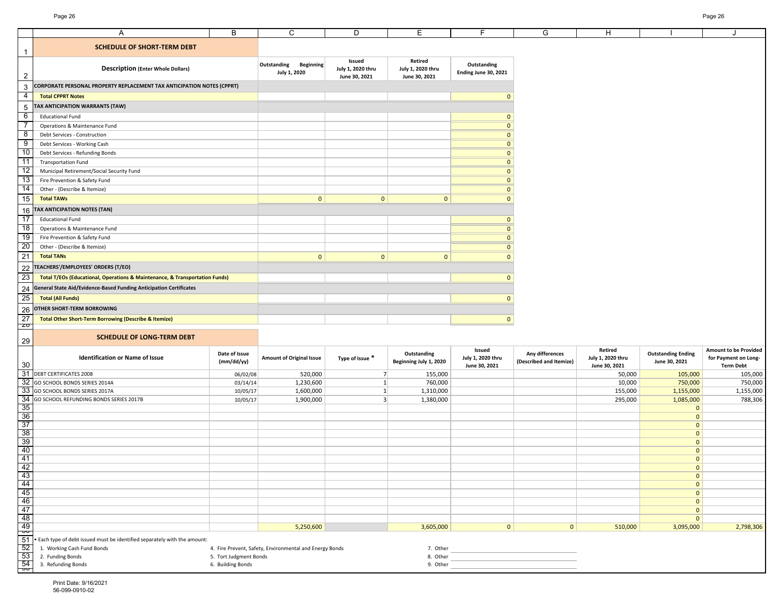|                                                                                                                                                                                                                                                                                                                                                           | Α                                                                           | B                           | C                                                       | D                                            | E                                             | F                                            | G                                          | H                                             |                                            | J                                                                 |
|-----------------------------------------------------------------------------------------------------------------------------------------------------------------------------------------------------------------------------------------------------------------------------------------------------------------------------------------------------------|-----------------------------------------------------------------------------|-----------------------------|---------------------------------------------------------|----------------------------------------------|-----------------------------------------------|----------------------------------------------|--------------------------------------------|-----------------------------------------------|--------------------------------------------|-------------------------------------------------------------------|
| $\overline{1}$                                                                                                                                                                                                                                                                                                                                            | <b>SCHEDULE OF SHORT-TERM DEBT</b>                                          |                             |                                                         |                                              |                                               |                                              |                                            |                                               |                                            |                                                                   |
| $\overline{2}$                                                                                                                                                                                                                                                                                                                                            | <b>Description (Enter Whole Dollars)</b>                                    |                             | <b>Beginning</b><br>Outstanding<br>July 1, 2020         | Issued<br>July 1, 2020 thru<br>June 30, 2021 | Retired<br>July 1, 2020 thru<br>June 30, 2021 | Outstanding<br>Ending June 30, 2021          |                                            |                                               |                                            |                                                                   |
| $\mathbf{3}$                                                                                                                                                                                                                                                                                                                                              | CORPORATE PERSONAL PROPERTY REPLACEMENT TAX ANTICIPATION NOTES (CPPRT)      |                             |                                                         |                                              |                                               |                                              |                                            |                                               |                                            |                                                                   |
|                                                                                                                                                                                                                                                                                                                                                           | <b>Total CPPRT Notes</b>                                                    |                             |                                                         |                                              |                                               | $\mathbf{0}$                                 |                                            |                                               |                                            |                                                                   |
| $\frac{4}{1}$                                                                                                                                                                                                                                                                                                                                             |                                                                             |                             |                                                         |                                              |                                               |                                              |                                            |                                               |                                            |                                                                   |
|                                                                                                                                                                                                                                                                                                                                                           | TAX ANTICIPATION WARRANTS (TAW)                                             |                             |                                                         |                                              |                                               |                                              |                                            |                                               |                                            |                                                                   |
|                                                                                                                                                                                                                                                                                                                                                           | <b>Educational Fund</b>                                                     |                             |                                                         |                                              |                                               | $\mathbf{0}$                                 |                                            |                                               |                                            |                                                                   |
|                                                                                                                                                                                                                                                                                                                                                           | Operations & Maintenance Fund                                               |                             |                                                         |                                              |                                               | $\mathbf{0}$                                 |                                            |                                               |                                            |                                                                   |
|                                                                                                                                                                                                                                                                                                                                                           | Debt Services - Construction                                                |                             |                                                         |                                              |                                               | $\mathbf{0}$                                 |                                            |                                               |                                            |                                                                   |
|                                                                                                                                                                                                                                                                                                                                                           | Debt Services - Working Cash                                                |                             |                                                         |                                              |                                               | $\mathbf{0}$                                 |                                            |                                               |                                            |                                                                   |
|                                                                                                                                                                                                                                                                                                                                                           | Debt Services - Refunding Bonds                                             |                             |                                                         |                                              |                                               | $\mathbf{0}$                                 |                                            |                                               |                                            |                                                                   |
|                                                                                                                                                                                                                                                                                                                                                           | <b>Transportation Fund</b>                                                  |                             |                                                         |                                              |                                               | $\mathbf{0}$<br>$\Omega$                     |                                            |                                               |                                            |                                                                   |
|                                                                                                                                                                                                                                                                                                                                                           | Municipal Retirement/Social Security Fund                                   |                             |                                                         |                                              |                                               | $\Omega$                                     |                                            |                                               |                                            |                                                                   |
|                                                                                                                                                                                                                                                                                                                                                           | Fire Prevention & Safety Fund<br>Other - (Describe & Itemize)               |                             |                                                         |                                              |                                               | $\mathbf{0}$                                 |                                            |                                               |                                            |                                                                   |
| $\frac{5}{6}$ $\frac{6}{7}$ $\frac{9}{10}$ $\frac{11}{11}$ $\frac{12}{13}$ $\frac{14}{14}$ $\frac{15}{16}$ $\frac{16}{17}$ $\frac{17}{18}$ $\frac{19}{120}$ $21$                                                                                                                                                                                          |                                                                             |                             | $\mathbf{0}$                                            |                                              |                                               |                                              |                                            |                                               |                                            |                                                                   |
|                                                                                                                                                                                                                                                                                                                                                           | <b>Total TAWs</b>                                                           |                             |                                                         | $\mathbf{0}$                                 | $\mathbf{0}$                                  | $\mathbf{0}$                                 |                                            |                                               |                                            |                                                                   |
|                                                                                                                                                                                                                                                                                                                                                           | TAX ANTICIPATION NOTES (TAN)                                                |                             |                                                         |                                              |                                               |                                              |                                            |                                               |                                            |                                                                   |
|                                                                                                                                                                                                                                                                                                                                                           | <b>Educational Fund</b>                                                     |                             |                                                         |                                              |                                               | $\mathbf{0}$                                 |                                            |                                               |                                            |                                                                   |
|                                                                                                                                                                                                                                                                                                                                                           | Operations & Maintenance Fund                                               |                             |                                                         |                                              |                                               | $\mathbf{0}$                                 |                                            |                                               |                                            |                                                                   |
|                                                                                                                                                                                                                                                                                                                                                           | Fire Prevention & Safety Fund                                               |                             |                                                         |                                              |                                               | $\mathbf{0}$                                 |                                            |                                               |                                            |                                                                   |
|                                                                                                                                                                                                                                                                                                                                                           | Other - (Describe & Itemize)                                                |                             |                                                         |                                              |                                               | $\mathbf{0}$                                 |                                            |                                               |                                            |                                                                   |
|                                                                                                                                                                                                                                                                                                                                                           | <b>Total TANs</b>                                                           |                             | $\mathbf{0}$                                            | $\mathbf{0}$                                 | $\mathbf{0}$                                  | $\Omega$                                     |                                            |                                               |                                            |                                                                   |
| $\begin{array}{r} 22 \\ 23 \\ 24 \\ 25 \\ \hline 26 \\ 27 \end{array}$                                                                                                                                                                                                                                                                                    | TEACHERS'/EMPLOYEES' ORDERS (T/EO)                                          |                             |                                                         |                                              |                                               |                                              |                                            |                                               |                                            |                                                                   |
|                                                                                                                                                                                                                                                                                                                                                           | Total T/EOs (Educational, Operations & Maintenance, & Transportation Funds) |                             |                                                         |                                              |                                               | $\mathbf{0}$                                 |                                            |                                               |                                            |                                                                   |
|                                                                                                                                                                                                                                                                                                                                                           | General State Aid/Evidence-Based Funding Anticipation Certificates          |                             |                                                         |                                              |                                               |                                              |                                            |                                               |                                            |                                                                   |
|                                                                                                                                                                                                                                                                                                                                                           | <b>Total (All Funds)</b>                                                    |                             |                                                         |                                              |                                               | $\Omega$                                     |                                            |                                               |                                            |                                                                   |
|                                                                                                                                                                                                                                                                                                                                                           | OTHER SHORT-TERM BORROWING                                                  |                             |                                                         |                                              |                                               |                                              |                                            |                                               |                                            |                                                                   |
|                                                                                                                                                                                                                                                                                                                                                           | <b>Total Other Short-Term Borrowing (Describe &amp; Itemize)</b>            |                             |                                                         |                                              |                                               | $\mathbf{0}$                                 |                                            |                                               |                                            |                                                                   |
| <b>ZO</b>                                                                                                                                                                                                                                                                                                                                                 |                                                                             |                             |                                                         |                                              |                                               |                                              |                                            |                                               |                                            |                                                                   |
| 29                                                                                                                                                                                                                                                                                                                                                        | <b>SCHEDULE OF LONG-TERM DEBT</b>                                           |                             |                                                         |                                              |                                               |                                              |                                            |                                               |                                            |                                                                   |
| 30                                                                                                                                                                                                                                                                                                                                                        | <b>Identification or Name of Issue</b>                                      | Date of Issue<br>(mm/dd/yy) | <b>Amount of Original Issue</b>                         | Type of Issue *                              | Outstanding<br>Beginning July 1, 2020         | Issued<br>July 1, 2020 thru<br>June 30, 2021 | Any differences<br>(Described and Itemize) | Retired<br>July 1, 2020 thru<br>June 30, 2021 | <b>Outstanding Ending</b><br>June 30, 2021 | Amount to be Provided<br>for Payment on Long-<br><b>Term Debt</b> |
| 31                                                                                                                                                                                                                                                                                                                                                        | <b>DEBT CERTIFICATES 2008</b>                                               | 06/02/08                    | 520,000                                                 | 7 <sup>1</sup>                               | 155,000                                       |                                              |                                            | 50,000                                        | 105,000                                    | 105,000                                                           |
| 32                                                                                                                                                                                                                                                                                                                                                        | GO SCHOOL BONDS SERIES 2014A                                                | 03/14/14                    | 1,230,600                                               | 1                                            | 760,000                                       |                                              |                                            | 10,000                                        | 750,000                                    | 750,000                                                           |
| 33                                                                                                                                                                                                                                                                                                                                                        | GO SCHOOL BONDS SERIES 2017A                                                | 10/05/17                    | 1,600,000                                               | 1                                            | 1,310,000                                     |                                              |                                            | 155,000                                       | 1,155,000                                  | 1,155,000                                                         |
|                                                                                                                                                                                                                                                                                                                                                           | GO SCHOOL REFUNDING BONDS SERIES 2017B                                      | 10/05/17                    | 1,900,000                                               | 3 <sup>1</sup>                               | 1,380,000                                     |                                              |                                            | 295,000                                       | 1,085,000<br>$\mathbf{0}$                  | 788,306                                                           |
|                                                                                                                                                                                                                                                                                                                                                           |                                                                             |                             |                                                         |                                              |                                               |                                              |                                            |                                               | $\mathbf{0}$                               |                                                                   |
|                                                                                                                                                                                                                                                                                                                                                           |                                                                             |                             |                                                         |                                              |                                               |                                              |                                            |                                               | $\mathbf{0}$                               |                                                                   |
|                                                                                                                                                                                                                                                                                                                                                           |                                                                             |                             |                                                         |                                              |                                               |                                              |                                            |                                               | $\mathbf{0}$                               |                                                                   |
|                                                                                                                                                                                                                                                                                                                                                           |                                                                             |                             |                                                         |                                              |                                               |                                              |                                            |                                               | $\mathbf{0}$                               |                                                                   |
|                                                                                                                                                                                                                                                                                                                                                           |                                                                             |                             |                                                         |                                              |                                               |                                              |                                            |                                               | $\mathbf 0$                                |                                                                   |
|                                                                                                                                                                                                                                                                                                                                                           |                                                                             |                             |                                                         |                                              |                                               |                                              |                                            |                                               | $\mathbf{0}$                               |                                                                   |
|                                                                                                                                                                                                                                                                                                                                                           |                                                                             |                             |                                                         |                                              |                                               |                                              |                                            |                                               | $\Omega$                                   |                                                                   |
|                                                                                                                                                                                                                                                                                                                                                           |                                                                             |                             |                                                         |                                              |                                               |                                              |                                            |                                               | $\mathbf 0$<br>$\mathbf 0$                 |                                                                   |
|                                                                                                                                                                                                                                                                                                                                                           |                                                                             |                             |                                                         |                                              |                                               |                                              |                                            |                                               | $\mathbf{0}$                               |                                                                   |
|                                                                                                                                                                                                                                                                                                                                                           |                                                                             |                             |                                                         |                                              |                                               |                                              |                                            |                                               | $\mathbf{0}$                               |                                                                   |
|                                                                                                                                                                                                                                                                                                                                                           |                                                                             |                             |                                                         |                                              |                                               |                                              |                                            |                                               | $\mathbf 0$                                |                                                                   |
|                                                                                                                                                                                                                                                                                                                                                           |                                                                             |                             |                                                         |                                              |                                               |                                              |                                            |                                               | $\mathbf{0}$                               |                                                                   |
|                                                                                                                                                                                                                                                                                                                                                           |                                                                             |                             | 5,250,600                                               |                                              | 3,605,000                                     | $\mathbf{0}$                                 | $\mathbf 0$                                | 510,000                                       | 3,095,000                                  | 2,798,306                                                         |
|                                                                                                                                                                                                                                                                                                                                                           | Each type of debt issued must be identified separately with the amount:     |                             |                                                         |                                              |                                               |                                              |                                            |                                               |                                            |                                                                   |
|                                                                                                                                                                                                                                                                                                                                                           | 1. Working Cash Fund Bonds                                                  |                             | 4. Fire Prevent, Safety, Environmental and Energy Bonds |                                              | 7. Other                                      |                                              |                                            |                                               |                                            |                                                                   |
|                                                                                                                                                                                                                                                                                                                                                           | 2. Funding Bonds                                                            | 5. Tort Judgment Bonds      |                                                         |                                              | 8. Other                                      |                                              |                                            |                                               |                                            |                                                                   |
| $\frac{34}{35} \frac{36}{36} \frac{37}{38} \frac{38}{39} \frac{40}{40} \frac{41}{42} \frac{42}{43} \frac{44}{45} \frac{44}{46} \frac{45}{48} \frac{46}{48} \frac{47}{48} \frac{48}{51} \frac{52}{52} \frac{53}{53} \frac{47}{54} \frac{48}{54} \frac{52}{54} \frac{52}{54} \frac{52}{54} \frac{52}{54} \frac{52}{54} \frac{52}{54} \frac{52}{54} \frac{5$ | 3. Refunding Bonds                                                          | 6. Building Bonds           |                                                         |                                              | 9. Other                                      |                                              |                                            |                                               |                                            |                                                                   |